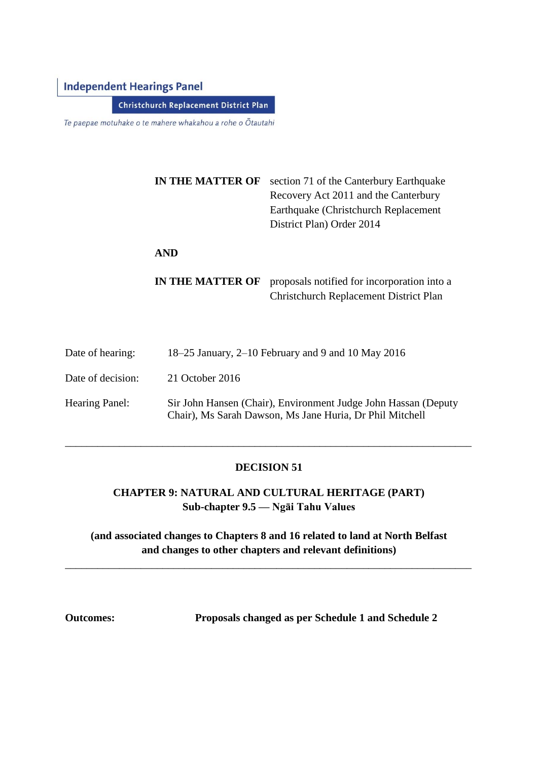# **Independent Hearings Panel**

**Christchurch Replacement District Plan** 

Te paepae motuhake o te mahere whakahou a rohe o Ōtautahi

| IN THE MATTER OF | section 71 of the Canterbury Earthquake<br>Recovery Act 2011 and the Canterbury<br>Earthquake (Christchurch Replacement<br>District Plan) Order 2014 |
|------------------|------------------------------------------------------------------------------------------------------------------------------------------------------|
| <b>AND</b>       |                                                                                                                                                      |

**IN THE MATTER OF** proposals notified for incorporation into a Christchurch Replacement District Plan

| Date of hearing:      | 18–25 January, $2-10$ February and 9 and 10 May 2016                                                                       |
|-----------------------|----------------------------------------------------------------------------------------------------------------------------|
| Date of decision:     | 21 October 2016                                                                                                            |
| <b>Hearing Panel:</b> | Sir John Hansen (Chair), Environment Judge John Hassan (Deputy<br>Chair), Ms Sarah Dawson, Ms Jane Huria, Dr Phil Mitchell |

## **DECISION 51**

\_\_\_\_\_\_\_\_\_\_\_\_\_\_\_\_\_\_\_\_\_\_\_\_\_\_\_\_\_\_\_\_\_\_\_\_\_\_\_\_\_\_\_\_\_\_\_\_\_\_\_\_\_\_\_\_\_\_\_\_\_\_\_\_\_\_\_\_\_\_\_\_\_\_\_

# **CHAPTER 9: NATURAL AND CULTURAL HERITAGE (PART) Sub-chapter 9.5 — Ngāi Tahu Values**

# **(and associated changes to Chapters 8 and 16 related to land at North Belfast and changes to other chapters and relevant definitions)**

\_\_\_\_\_\_\_\_\_\_\_\_\_\_\_\_\_\_\_\_\_\_\_\_\_\_\_\_\_\_\_\_\_\_\_\_\_\_\_\_\_\_\_\_\_\_\_\_\_\_\_\_\_\_\_\_\_\_\_\_\_\_\_\_\_\_\_\_\_\_\_\_\_\_\_

**Outcomes: Proposals changed as per Schedule 1 and Schedule 2**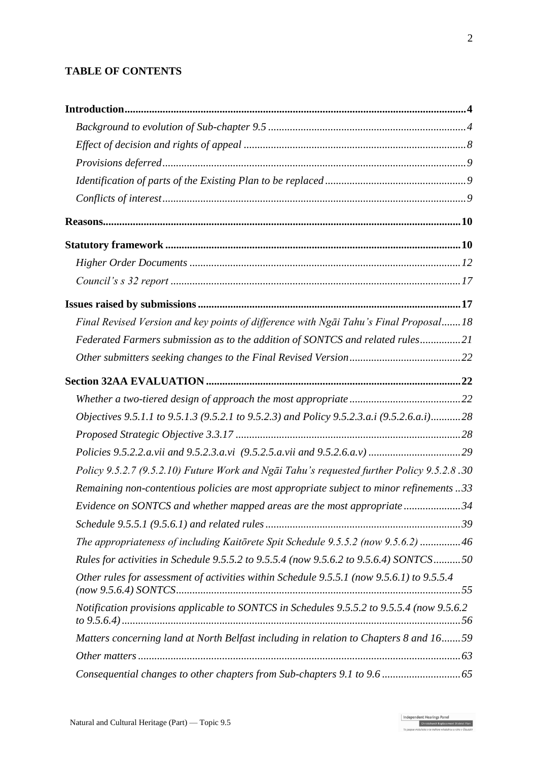# **TABLE OF CONTENTS**

| Final Revised Version and key points of difference with Ngai Tahu's Final Proposal 18      |  |
|--------------------------------------------------------------------------------------------|--|
| Federated Farmers submission as to the addition of SONTCS and related rules21              |  |
|                                                                                            |  |
|                                                                                            |  |
|                                                                                            |  |
| Objectives 9.5.1.1 to 9.5.1.3 (9.5.2.1 to 9.5.2.3) and Policy 9.5.2.3.a.i (9.5.2.6.a.i) 28 |  |
|                                                                                            |  |
|                                                                                            |  |
| Policy 9.5.2.7 (9.5.2.10) Future Work and Ngāi Tahu's requested further Policy 9.5.2.8.30  |  |
| Remaining non-contentious policies are most appropriate subject to minor refinements33     |  |
| Evidence on SONTCS and whether mapped areas are the most appropriate34                     |  |
|                                                                                            |  |
| The appropriateness of including Kaitōrete Spit Schedule 9.5.5.2 (now 9.5.6.2) 46          |  |
| Rules for activities in Schedule 9.5.5.2 to 9.5.5.4 (now 9.5.6.2 to 9.5.6.4) SONTCS50      |  |
| Other rules for assessment of activities within Schedule 9.5.5.1 (now 9.5.6.1) to 9.5.5.4  |  |
| Notification provisions applicable to SONTCS in Schedules 9.5.5.2 to 9.5.5.4 (now 9.5.6.2  |  |
| Matters concerning land at North Belfast including in relation to Chapters 8 and 1659      |  |
|                                                                                            |  |
|                                                                                            |  |

Independent Hearings Panel<br>Christchurch Replacement District Plan<br>To opene actualists of a miles of history a cohe of Christi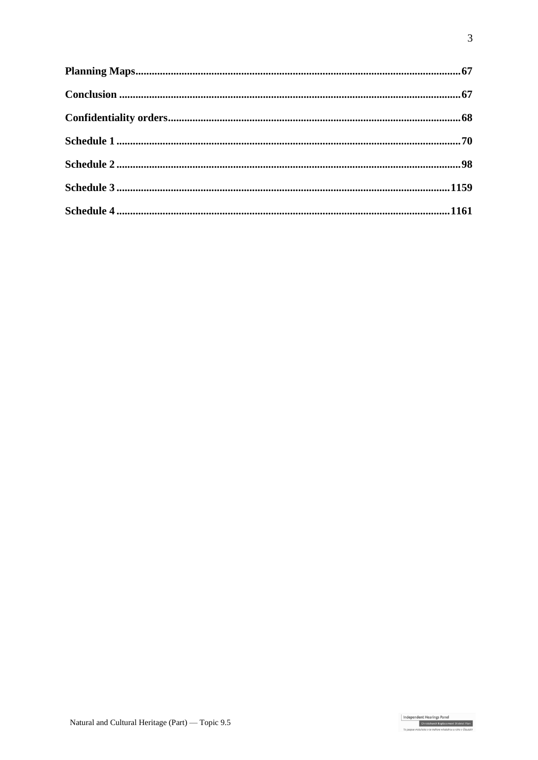Independent Hearings Panel<br>Christchurch Replacement District Plan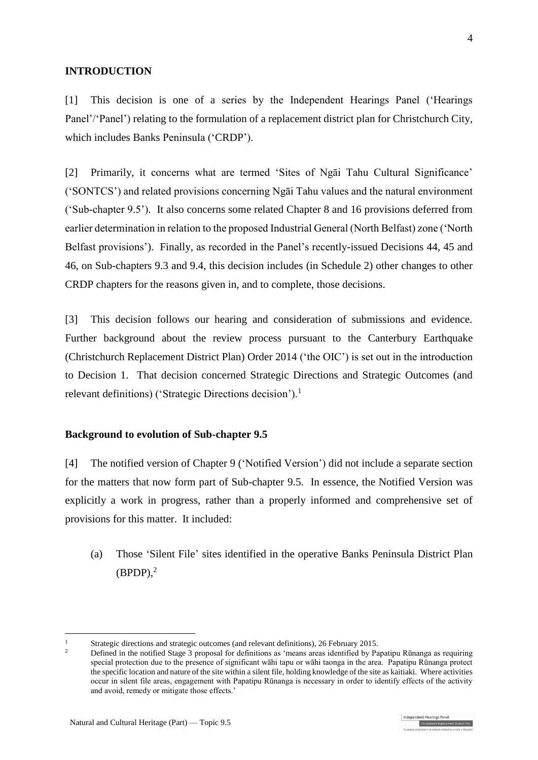### **INTRODUCTION**

[1] This decision is one of a series by the Independent Hearings Panel ('Hearings Panel'''Panel'' relating to the formulation of a replacement district plan for Christchurch City, which includes Banks Peninsula ('CRDP').

[2] Primarily, it concerns what are termed 'Sites of Ngāi Tahu Cultural Significance' ('SONTCS') and related provisions concerning Ngāi Tahu values and the natural environment ('Sub-chapter 9.5'). It also concerns some related Chapter 8 and 16 provisions deferred from earlier determination in relation to the proposed Industrial General (North Belfast) zone ('North Belfast provisions'). Finally, as recorded in the Panel's recently-issued Decisions 44, 45 and 46, on Sub-chapters 9.3 and 9.4, this decision includes (in Schedule 2) other changes to other CRDP chapters for the reasons given in, and to complete, those decisions.

[3] This decision follows our hearing and consideration of submissions and evidence. Further background about the review process pursuant to the [Canterbury Earthquake](http://www.legislation.govt.nz/regulation/public/2014/0228/latest/DLM6190883.html?search=ts_act%40bill%40regulation%40deemedreg_Canterbury+Earthquake+%28Christchurch+Replacement+District+Plan%29+Order+2014+_resel_25_a&p=1)  [\(Christchurch Replacement District Plan\) Order 2014](http://www.legislation.govt.nz/regulation/public/2014/0228/latest/DLM6190883.html?search=ts_act%40bill%40regulation%40deemedreg_Canterbury+Earthquake+%28Christchurch+Replacement+District+Plan%29+Order+2014+_resel_25_a&p=1) ('the OIC') is set out in the introduction to Decision 1. That decision concerned Strategic Directions and Strategic Outcomes (and relevant definitions) ('Strategic Directions decision').<sup>1</sup>

### **Background to evolution of Sub-chapter 9.5**

[4] The notified version of Chapter 9 ('Notified Version') did not include a separate section for the matters that now form part of Sub-chapter 9.5. In essence, the Notified Version was explicitly a work in progress, rather than a properly informed and comprehensive set of provisions for this matter. It included:

(a) Those 'Silent File' sites identified in the operative Banks Peninsula District Plan  $(BPDP),<sup>2</sup>$ 

<sup>&</sup>lt;sup>1</sup> [Strategic directions and strategic outcomes \(and relevant definitions\), 26 February 2015.](http://www.chchplan.ihp.govt.nz/wp-content/uploads/2015/03/Strategic-Directions-and-Strategic-Outcomes-Decision.pdf)

<sup>2</sup> Defined in the notified Stage 3 proposal for definitions as 'means areas identified by Papatipu Rūnanga as requiring special protection due to the presence of significant wāhi tapu or wāhi taonga in the area. Papatipu Rūnanga protect the specific location and nature of the site within a silent file, holding knowledge of the site as kaitiaki. Where activities occur in silent file areas, engagement with Papatipu Rūnanga is necessary in order to identify effects of the activity and avoid, remedy or mitigate those effects.'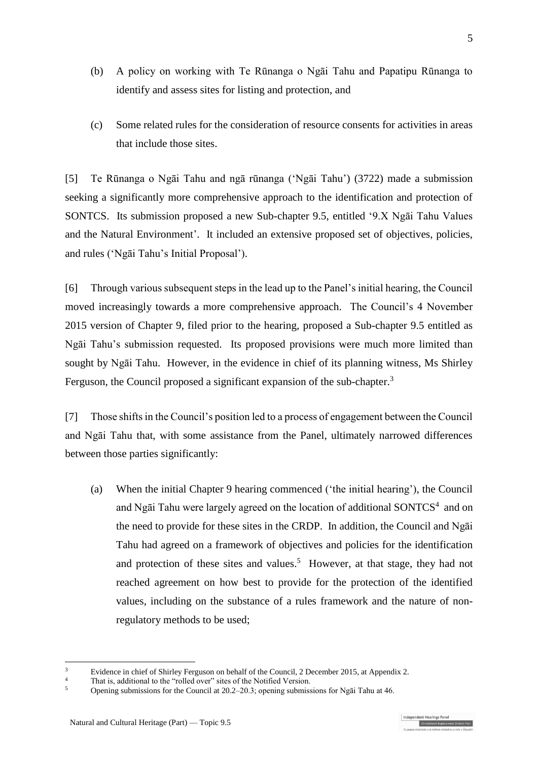- (b) A policy on working with Te Rūnanga o Ngāi Tahu and Papatipu Rūnanga to identify and assess sites for listing and protection, and
- (c) Some related rules for the consideration of resource consents for activities in areas that include those sites.

[5] Te Rūnanga o Ngāi Tahu and ngā rūnanga ('Ngāi Tahu') (3722) made a submission seeking a significantly more comprehensive approach to the identification and protection of SONTCS. Its submission proposed a new Sub-chapter 9.5, entitled '9.X Ngāi Tahu Values and the Natural Environment'. It included an extensive proposed set of objectives, policies, and rules ('Ngāi Tahu's Initial Proposal').

[6] Through various subsequent steps in the lead up to the Panel's initial hearing, the Council moved increasingly towards a more comprehensive approach. The Council's 4 November 2015 version of Chapter 9, filed prior to the hearing, proposed a Sub-chapter 9.5 entitled as Ngāi Tahu's submission requested. Its proposed provisions were much more limited than sought by Ngāi Tahu. However, in the evidence in chief of its planning witness, Ms Shirley Ferguson, the Council proposed a significant expansion of the sub-chapter.<sup>3</sup>

<span id="page-4-0"></span>[7] Those shifts in the Council's position led to a process of engagement between the Council and Ngāi Tahu that, with some assistance from the Panel, ultimately narrowed differences between those parties significantly:

(a) When the initial Chapter 9 hearing commenced ('the initial hearing'), the Council and Ngai Tahu were largely agreed on the location of additional SONTCS $4$  and on the need to provide for these sites in the CRDP. In addition, the Council and Ngāi Tahu had agreed on a framework of objectives and policies for the identification and protection of these sites and values. <sup>5</sup> However, at that stage, they had not reached agreement on how best to provide for the protection of the identified values, including on the substance of a rules framework and the nature of nonregulatory methods to be used;

<sup>&</sup>lt;sup>3</sup> Evidence in chief of Shirley Ferguson on behalf of the Council, 2 December 2015, at Appendix 2.

<sup>&</sup>lt;sup>4</sup> That is, additional to the "rolled over" sites of the Notified Version.

<sup>5</sup> Opening submissions for the Council at 20.2–20.3; opening submissions for Ngāi Tahu at 46.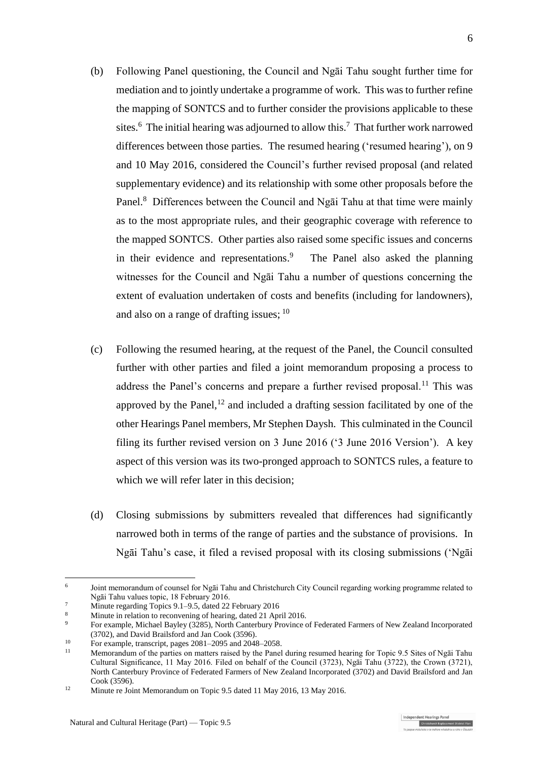- (b) Following Panel questioning, the Council and Ngāi Tahu sought further time for mediation and to jointly undertake a programme of work. This was to further refine the mapping of SONTCS and to further consider the provisions applicable to these sites.<sup>6</sup> The initial hearing was adjourned to allow this.<sup>7</sup> That further work narrowed differences between those parties. The resumed hearing ('resumed hearing'), on 9 and 10 May 2016, considered the Council's further revised proposal (and related supplementary evidence) and its relationship with some other proposals before the Panel.<sup>8</sup> Differences between the Council and Ngai Tahu at that time were mainly as to the most appropriate rules, and their geographic coverage with reference to the mapped SONTCS. Other parties also raised some specific issues and concerns in their evidence and representations.<sup>9</sup> The Panel also asked the planning witnesses for the Council and Ngāi Tahu a number of questions concerning the extent of evaluation undertaken of costs and benefits (including for landowners), and also on a range of drafting issues; <sup>10</sup>
- (c) Following the resumed hearing, at the request of the Panel, the Council consulted further with other parties and filed a joint memorandum proposing a process to address the Panel's concerns and prepare a further revised proposal.<sup>11</sup> This was approved by the Panel, $^{12}$  and included a drafting session facilitated by one of the other Hearings Panel members, Mr Stephen Daysh. This culminated in the Council filing its further revised version on 3 June 2016 ('3 June 2016 Version'). A key aspect of this version was its two-pronged approach to SONTCS rules, a feature to which we will refer later in this decision:
- (d) Closing submissions by submitters revealed that differences had significantly narrowed both in terms of the range of parties and the substance of provisions. In Ngāi Tahu's case, it filed a revised proposal with its closing submissions ('Ngāi

<sup>&</sup>lt;u>.</u> 6 Joint memorandum of counsel for Ngāi Tahu and Christchurch City Council regarding working programme related to Ngāi Tahu values topic, 18 February 2016.

<sup>7</sup> Minute regarding Topics 9.1–9.5, dated 22 February 2016

<sup>8</sup> Minute in relation to reconvening of hearing, dated 21 April 2016.

<sup>9</sup> For example, Michael Bayley (3285), North Canterbury Province of Federated Farmers of New Zealand Incorporated (3702), and David Brailsford and Jan Cook (3596).

<sup>10</sup> For example, transcript, pages 2081–2095 and 2048–2058.

<sup>11</sup> Memorandum of the parties on matters raised by the Panel during resumed hearing for Topic 9.5 Sites of Ngāi Tahu Cultural Significance, 11 May 2016. Filed on behalf of the Council (3723), Ngāi Tahu (3722), the Crown (3721), North Canterbury Province of Federated Farmers of New Zealand Incorporated (3702) and David Brailsford and Jan Cook (3596).

<sup>&</sup>lt;sup>12</sup> Minute re Joint Memorandum on Topic 9.5 dated 11 May 2016, 13 May 2016.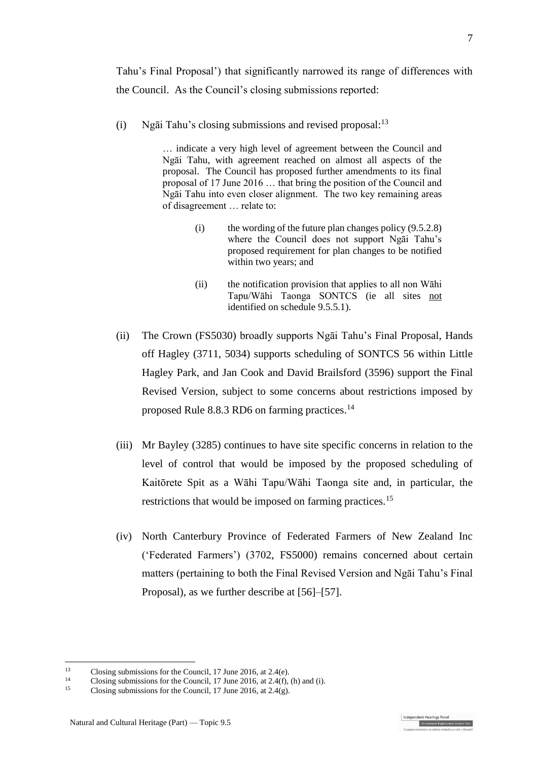Tahu's Final Proposal') that significantly narrowed its range of differences with the Council. As the Council's closing submissions reported:

(i) Ngāi Tahu's closing submissions and revised proposal:<sup>13</sup>

… indicate a very high level of agreement between the Council and Ngāi Tahu, with agreement reached on almost all aspects of the proposal. The Council has proposed further amendments to its final proposal of 17 June 2016 … that bring the position of the Council and Ngāi Tahu into even closer alignment. The two key remaining areas of disagreement … relate to:

- (i) the wording of the future plan changes policy  $(9.5.2.8)$ where the Council does not support Ngāi Tahu's proposed requirement for plan changes to be notified within two years; and
- (ii) the notification provision that applies to all non Wāhi Tapu/Wāhi Taonga SONTCS (ie all sites not identified on schedule 9.5.5.1).
- (ii) The Crown (FS5030) broadly supports Ngāi Tahu's Final Proposal, Hands off Hagley (3711, 5034) supports scheduling of SONTCS 56 within Little Hagley Park, and Jan Cook and David Brailsford (3596) support the Final Revised Version, subject to some concerns about restrictions imposed by proposed Rule 8.8.3 RD6 on farming practices.<sup>14</sup>
- (iii) Mr Bayley (3285) continues to have site specific concerns in relation to the level of control that would be imposed by the proposed scheduling of Kaitōrete Spit as a Wāhi Tapu/Wāhi Taonga site and, in particular, the restrictions that would be imposed on farming practices.<sup>15</sup>
- (iv) North Canterbury Province of Federated Farmers of New Zealand Inc ('Federated Farmers') (3702, FS5000) remains concerned about certain matters (pertaining to both the Final Revised Version and Ngāi Tahu's Final Proposal), as we further describe at [\[56\]](#page-20-0)[–\[57\].](#page-20-1)



<sup>&</sup>lt;sup>13</sup> Closing submissions for the Council, 17 June 2016, at 2.4(e).

<sup>&</sup>lt;sup>14</sup> Closing submissions for the Council, 17 June 2016, at 2.4(f), (h) and (i).

<sup>15</sup> Closing submissions for the Council, 17 June 2016, at 2.4(g).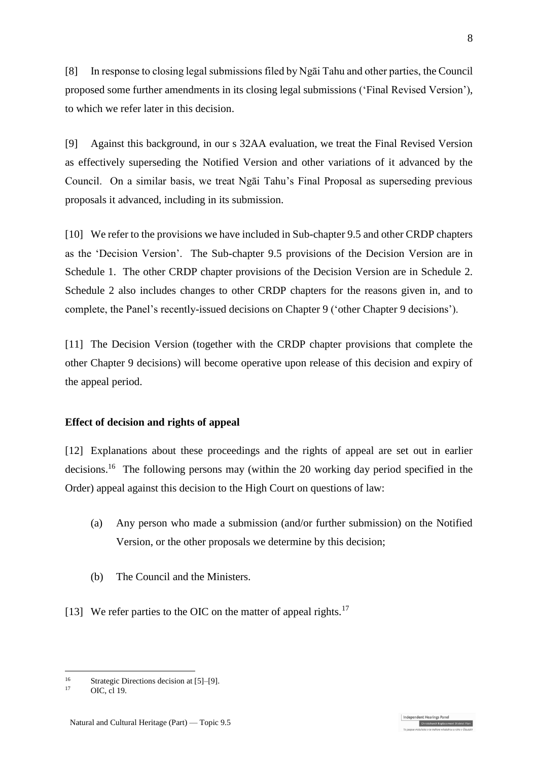[8] In response to closing legal submissions filed by Ngāi Tahu and other parties, the Council proposed some further amendments in its closing legal submissions ('Final Revised Version'), to which we refer later in this decision.

[9] Against this background, in our s 32AA evaluation, we treat the Final Revised Version as effectively superseding the Notified Version and other variations of it advanced by the Council. On a similar basis, we treat Ngāi Tahu's Final Proposal as superseding previous proposals it advanced, including in its submission.

[10] We refer to the provisions we have included in Sub-chapter 9.5 and other CRDP chapters as the 'Decision Version'. The Sub-chapter 9.5 provisions of the Decision Version are in Schedule 1. The other CRDP chapter provisions of the Decision Version are in Schedule 2. Schedule 2 also includes changes to other CRDP chapters for the reasons given in, and to complete, the Panel's recently-issued decisions on Chapter 9 ('other Chapter 9 decisions').

[11] The Decision Version (together with the CRDP chapter provisions that complete the other Chapter 9 decisions) will become operative upon release of this decision and expiry of the appeal period.

### **Effect of decision and rights of appeal**

[12] Explanations about these proceedings and the rights of appeal are set out in earlier decisions.<sup>16</sup> The following persons may (within the 20 working day period specified in the Order) appeal against this decision to the High Court on questions of law:

- (a) Any person who made a submission (and/or further submission) on the Notified Version, or the other proposals we determine by this decision;
- (b) The Council and the Ministers.
- [13] We refer parties to the OIC on the matter of appeal rights. $17$

<u>.</u>

Christchurch Replacement Distr

<sup>&</sup>lt;sup>16</sup> Strategic Directions decision at  $[5]$ – $[9]$ .

[OIC, cl 19.](http://www.legislation.govt.nz/regulation/public/2014/0228/latest/DLM6189997.html?search=ts_act%40bill%40regulation%40deemedreg_Canterbury+Earthquake+(Christchurch+Replacement+District+Plan)+Order+2014+_resel_25_a&p=1)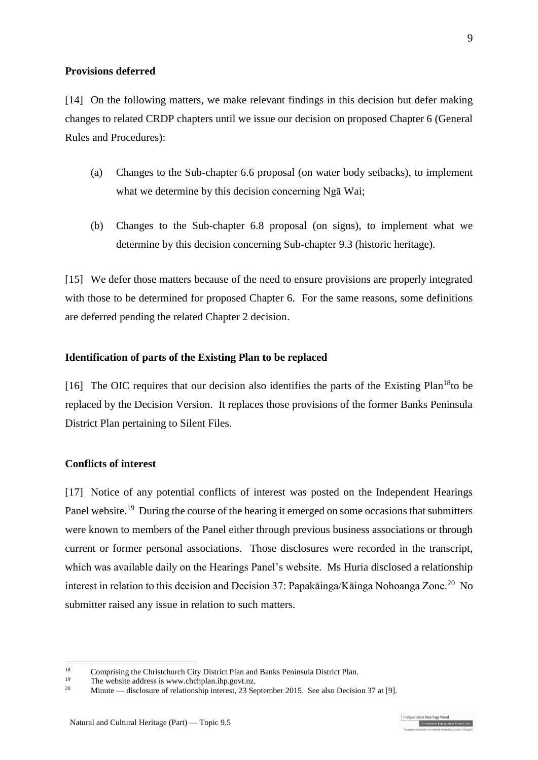#### **Provisions deferred**

[14] On the following matters, we make relevant findings in this decision but defer making changes to related CRDP chapters until we issue our decision on proposed Chapter 6 (General Rules and Procedures):

- (a) Changes to the Sub-chapter 6.6 proposal (on water body setbacks), to implement what we determine by this decision concerning Ngā Wai;
- (b) Changes to the Sub-chapter 6.8 proposal (on signs), to implement what we determine by this decision concerning Sub-chapter 9.3 (historic heritage).

[15] We defer those matters because of the need to ensure provisions are properly integrated with those to be determined for proposed Chapter 6. For the same reasons, some definitions are deferred pending the related Chapter 2 decision.

#### **Identification of parts of the Existing Plan to be replaced**

[16] The OIC requires that our decision also identifies the parts of the Existing Plan<sup>18</sup>to be replaced by the Decision Version. It replaces those provisions of the former Banks Peninsula District Plan pertaining to Silent Files.

#### **Conflicts of interest**

1

[17] Notice of any potential conflicts of interest was posted on the Independent Hearings Panel website.<sup>19</sup> During the course of the hearing it emerged on some occasions that submitters were known to members of the Panel either through previous business associations or through current or former personal associations. Those disclosures were recorded in the transcript, which was available daily on the Hearings Panel's website. Ms Huria disclosed a relationship interest in relation to this decision and Decision 37: Papakāinga/Kāinga Nohoanga Zone.<sup>20</sup> No submitter raised any issue in relation to such matters.

<sup>&</sup>lt;sup>18</sup> Comprising the Christchurch City District Plan and Banks Peninsula District Plan.

<sup>&</sup>lt;sup>19</sup> The website address is [www.chchplan.ihp.govt.nz.](http://www.chchplan.ihp.govt.nz/)<br> $\frac{20}{25}$  Minute disclosure of relationship interest 22 Sec

Minute — disclosure of relationship interest, 23 September 2015. See also Decision 37 at [9].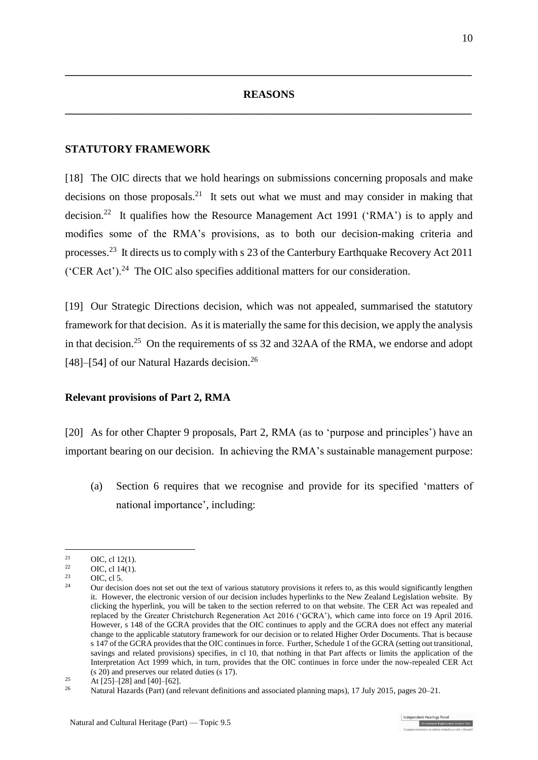# **REASONS \_\_\_\_\_\_\_\_\_\_\_\_\_\_\_\_\_\_\_\_\_\_\_\_\_\_\_\_\_\_\_\_\_\_\_\_\_\_\_\_\_\_\_\_\_\_\_\_\_\_\_\_\_\_\_\_\_\_\_\_\_\_\_\_\_\_\_\_\_\_\_\_\_\_\_**

**\_\_\_\_\_\_\_\_\_\_\_\_\_\_\_\_\_\_\_\_\_\_\_\_\_\_\_\_\_\_\_\_\_\_\_\_\_\_\_\_\_\_\_\_\_\_\_\_\_\_\_\_\_\_\_\_\_\_\_\_\_\_\_\_\_\_\_\_\_\_\_\_\_\_\_**

### **STATUTORY FRAMEWORK**

[18] The OIC directs that we hold hearings on submissions concerning proposals and make decisions on those proposals.<sup>21</sup> It sets out what we must and may consider in making that decision.<sup>22</sup> It qualifies how the [Resource Management Act 1991](http://www.legislation.govt.nz/act/public/1991/0069/latest/DLM230265.html) ('RMA') is to apply and modifies some of the RMA's provisions, as to both our decision-making criteria and processes.<sup>23</sup> It directs us to comply with s 23 of th[e Canterbury Earthquake Recovery Act 2011](http://www.legislation.govt.nz/act/public/2011/0012/latest/DLM3653522.html) ('CER Act').<sup>24</sup> The OIC also specifies additional matters for our consideration.

[19] Our Strategic Directions decision, which was not appealed, summarised the statutory framework for that decision. As it is materially the same for this decision, we apply the analysis in that decision.<sup>25</sup> On the requirements of ss 32 and 32AA of the RMA, we endorse and adopt [48]–[54] of our Natural Hazards decision.<sup>26</sup>

### **Relevant provisions of Part 2, RMA**

[20] As for other Chapter 9 proposals, Part 2, RMA (as to 'purpose and principles') have an important bearing on our decision. In achieving the RMA's sustainable management purpose:

(a) Section 6 requires that we recognise and provide for its specified 'matters of national importance', including:

 $21$ <sup>21</sup> OIC, cl [12\(1\).](http://www.legislation.govt.nz/regulation/public/2014/0228/latest/DLM6191312.html?search=ts_act%40bill%40regulation%40deemedreg_Canterbury+Earthquake+(Christchurch+Replacement+District+Plan)+Order+2014+_resel_25_a&p=1)<br>
<sup>22</sup> OIC cl 14(1)

 $^{22}$  OIC[, cl 14\(1\).](http://www.legislation.govt.nz/regulation/public/2014/0228/latest/DLM6190449.html?search=ts_act%40bill%40regulation%40deemedreg_Canterbury+Earthquake+(Christchurch+Replacement+District+Plan)+Order+2014+_resel_25_a&p=1)

 $^{23}$  OIC, [cl 5.](http://www.legislation.govt.nz/regulation/public/2014/0228/latest/DLM6190439.html?search=ts_act%40bill%40regulation%40deemedreg_Canterbury+Earthquake+(Christchurch+Replacement+District+Plan)+Order+2014+_resel_25_a&p=1)

<sup>24</sup> Our decision does not set out the text of various statutory provisions it refers to, as this would significantly lengthen it. However, the electronic version of our decision includes hyperlinks to the New Zealand Legislation website. By clicking the hyperlink, you will be taken to the section referred to on that website. The [CER Act](http://www.legislation.govt.nz/act/public/2011/0012/latest/DLM3653522.html) was repealed and replaced by the [Greater Christchurch Regeneration Act 2016 \('GCRA'\),](http://www.legislation.govt.nz/act/public/2016/0014/latest/whole.html) which came into force on 19 April 2016. However, [s 148 of the GCRA](http://www.legislation.govt.nz/act/public/2016/0014/latest/DLM6579358.html) provides that the OIC continues to apply and the GCRA does not effect any material change to the applicable statutory framework for our decision or to related Higher Order Documents. That is because s [147 of the GCRA](http://www.legislation.govt.nz/act/public/2016/0014/latest/DLM6579356.html) provides that the OIC continues in force. Further, Schedule 1 of the GCRA (setting out transitional, savings and related provisions) specifies, in cl 10, that nothing in that Part affects or limits the application of the [Interpretation Act 1999](http://www.legislation.govt.nz/act/public/1999/0085/latest/DLM31459.html) which, in turn, provides that the OIC continues in force under the now-repealed [CER Act](http://www.legislation.govt.nz/act/public/2011/0012/latest/DLM3653522.html) (s 20) and preserves our related duties (s 17).

<sup>&</sup>lt;sup>25</sup> At  $[25]$ – $[28]$  and  $[40]$ – $[62]$ .<br><sup>26</sup> Meturel Hazarda (Bart) (and

<sup>26</sup> [Natural Hazards \(Part\) \(and relevant definitions and associated planning maps\), 17 July 2015,](http://www.chchplan.ihp.govt.nz/wp-content/uploads/2015/03/Natural-Hazards-Part.pdf) pages 20–21.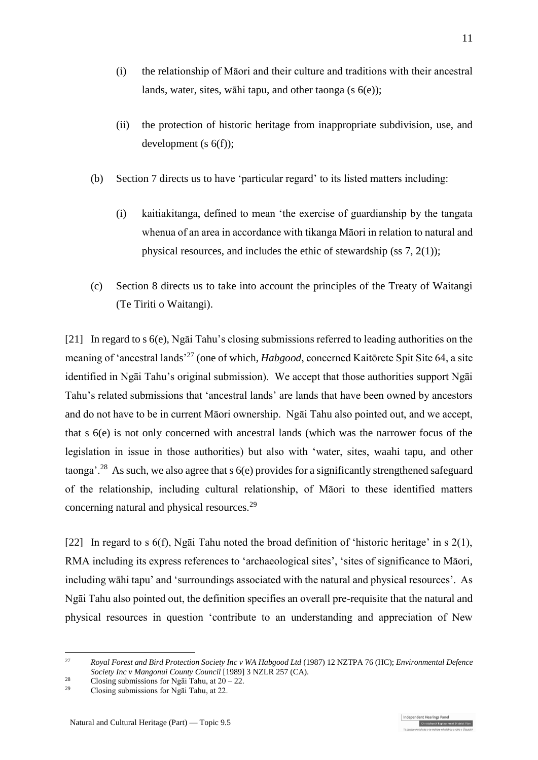- (i) the relationship of Māori and their culture and traditions with their ancestral lands, water, sites, wāhi tapu, and other taonga (s 6(e));
- (ii) the protection of historic heritage from inappropriate subdivision, use, and development (s 6(f));
- (b) Section 7 directs us to have 'particular regard' to its listed matters including:
	- (i) kaitiakitanga, defined to mean 'the exercise of guardianship by the tangata whenua of an area in accordance with tikanga Māori in relation to natural and physical resources, and includes the ethic of stewardship (ss 7, 2(1));
- (c) Section 8 directs us to take into account the principles of the Treaty of Waitangi (Te Tiriti o Waitangi).

[21] In regard to s 6(e), Ngāi Tahu's closing submissions referred to leading authorities on the meaning of 'ancestral lands' <sup>27</sup> (one of which, *Habgood*, concerned Kaitōrete Spit Site 64, a site identified in Ngāi Tahu's original submission). We accept that those authorities support Ngāi Tahu's related submissions that 'ancestral lands' are lands that have been owned by ancestors and do not have to be in current Māori ownership. Ngāi Tahu also pointed out, and we accept, that s 6(e) is not only concerned with ancestral lands (which was the narrower focus of the legislation in issue in those authorities) but also with 'water, sites, waahi tapu, and other taonga'.<sup>28</sup> As such, we also agree that s  $6(e)$  provides for a significantly strengthened safeguard of the relationship, including cultural relationship, of Māori to these identified matters concerning natural and physical resources.<sup>29</sup>

[22] In regard to s 6(f), Ngāi Tahu noted the broad definition of 'historic heritage' in s 2(1), RMA including its express references to 'archaeological sites', 'sites of significance to Māori, including wāhi tapu' and 'surroundings associated with the natural and physical resources'. As Ngāi Tahu also pointed out, the definition specifies an overall pre-requisite that the natural and physical resources in question 'contribute to an understanding and appreciation of New

<u>.</u>

<sup>27</sup> *Royal Forest and Bird Protection Society Inc v WA Habgood Ltd* (1987) 12 NZTPA 76 (HC); *Environmental Defence Society Inc v Mangonui County Council* [1989] 3 NZLR 257 (CA).

<sup>&</sup>lt;sup>28</sup> Closing submissions for Ngāi Tahu, at  $20 - 22$ .<br><sup>29</sup> Closing submissions for Ngãi Tahu, at 22.

Closing submissions for Ngai Tahu, at 22.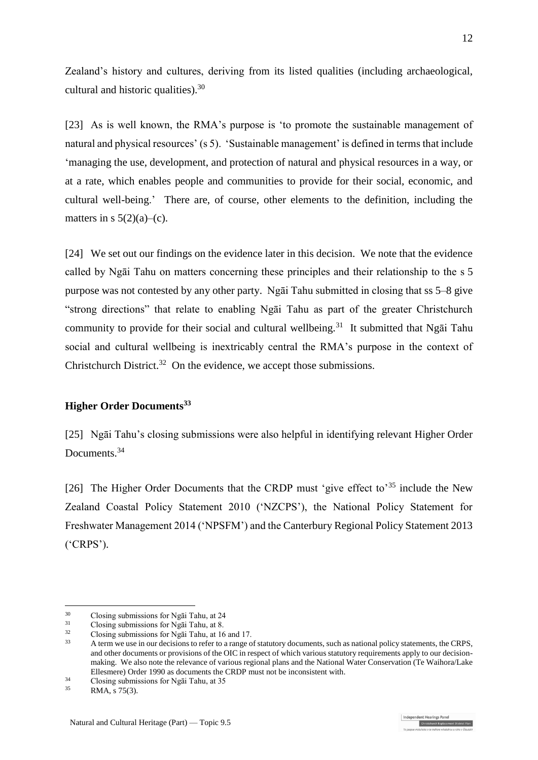Zealand's history and cultures, deriving from its listed qualities (including archaeological, cultural and historic qualities).<sup>30</sup>

[23] As is well known, the RMA's purpose is 'to promote the sustainable management of natural and physical resources' (s 5). 'Sustainable management' is defined in terms that include 'managing the use, development, and protection of natural and physical resources in a way, or at a rate, which enables people and communities to provide for their social, economic, and cultural well-being.' There are, of course, other elements to the definition, including the matters in s  $5(2)(a)$ –(c).

[24] We set out our findings on the evidence later in this decision. We note that the evidence called by Ngāi Tahu on matters concerning these principles and their relationship to the s 5 purpose was not contested by any other party. Ngāi Tahu submitted in closing that ss 5–8 give "strong directions" that relate to enabling Ngāi Tahu as part of the greater Christchurch community to provide for their social and cultural wellbeing.<sup>31</sup> It submitted that Ngai Tahu social and cultural wellbeing is inextricably central the RMA's purpose in the context of Christchurch District.<sup>32</sup> On the evidence, we accept those submissions.

### **Higher Order Documents<sup>33</sup>**

[25] Ngāi Tahu's closing submissions were also helpful in identifying relevant Higher Order Documents.<sup>34</sup>

[26] The Higher Order Documents that the CRDP must 'give effect to'<sup>35</sup> include the New Zealand Coastal Policy Statement 2010 ('NZCPS'), the National Policy Statement for Freshwater Management 2014 ('NPSFM') and the Canterbury Regional Policy Statement 2013 ('CRPS').

<u>.</u>

<sup>&</sup>lt;sup>30</sup> Closing submissions for Ngai Tahu, at 24<br><sup>31</sup> Closing submissions for Ngai Tahu, at 8

 $^{31}$  Closing submissions for Ngãi Tahu, at 8.<br> $^{32}$  Closing submissions for Na $\overline{5}$ : Tahu, at 16

 $\frac{32}{10}$  Closing submissions for Ngai Tahu, at 16 and 17.

<sup>33</sup> A term we use in our decisions to refer to a range of statutory documents, such as national policy statements, the CRPS, and other documents or provisions of the OIC in respect of which various statutory requirements apply to our decisionmaking. We also note the relevance of various regional plans and the National Water Conservation (Te Waihora/Lake Ellesmere) Order 1990 as documents the CRDP must not be inconsistent with.

 $\frac{34}{35}$  Closing submissions for Ngāi Tahu, at 35<br> $\frac{35}{35}$ 

RMA, s 75(3).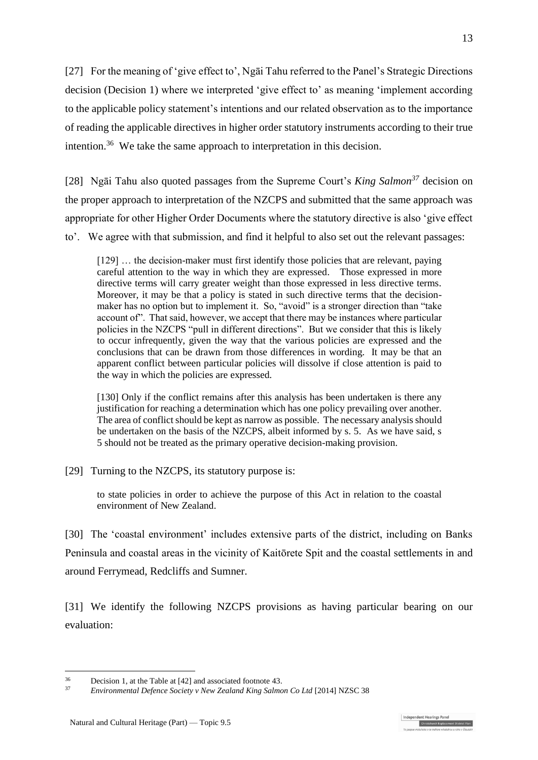[27] For the meaning of 'give effect to', Ngāi Tahu referred to the Panel's Strategic Directions decision (Decision 1) where we interpreted 'give effect to' as meaning 'implement according to the applicable policy statement's intentions and our related observation as to the importance of reading the applicable directives in higher order statutory instruments according to their true intention.<sup>36</sup> We take the same approach to interpretation in this decision.

[28] Ngāi Tahu also quoted passages from the Supreme Court's *King Salmon<sup>37</sup>* decision on the proper approach to interpretation of the NZCPS and submitted that the same approach was appropriate for other Higher Order Documents where the statutory directive is also 'give effect to'. We agree with that submission, and find it helpful to also set out the relevant passages:

[129] … the decision-maker must first identify those policies that are relevant, paying careful attention to the way in which they are expressed. Those expressed in more directive terms will carry greater weight than those expressed in less directive terms. Moreover, it may be that a policy is stated in such directive terms that the decisionmaker has no option but to implement it. So, "avoid" is a stronger direction than "take account of". That said, however, we accept that there may be instances where particular policies in the NZCPS "pull in different directions". But we consider that this is likely to occur infrequently, given the way that the various policies are expressed and the conclusions that can be drawn from those differences in wording. It may be that an apparent conflict between particular policies will dissolve if close attention is paid to the way in which the policies are expressed.

[130] Only if the conflict remains after this analysis has been undertaken is there any justification for reaching a determination which has one policy prevailing over another. The area of conflict should be kept as narrow as possible. The necessary analysis should be undertaken on the basis of the NZCPS, albeit informed by s. 5. As we have said, s 5 should not be treated as the primary operative decision-making provision.

[29] Turning to the NZCPS, its statutory purpose is:

to state policies in order to achieve the purpose of this Act in relation to the coastal environment of New Zealand.

[30] The 'coastal environment' includes extensive parts of the district, including on Banks Peninsula and coastal areas in the vicinity of Kaitōrete Spit and the coastal settlements in and around Ferrymead, Redcliffs and Sumner.

[31] We identify the following NZCPS provisions as having particular bearing on our evaluation:

<u>.</u>

ndent Hearings Pane Christchurch Replacement Dist

<sup>&</sup>lt;sup>36</sup> Decision 1, at the Table at [42] and associated footnote 43.<br> $V_{\text{min}}$   $V_{\text{min}}$   $V_{\text{min}}$   $V_{\text{min}}$   $V_{\text{min}}$   $V_{\text{min}}$   $V_{\text{min}}$   $V_{\text{min}}$   $V_{\text{min}}$   $V_{\text{min}}$ 

<sup>37</sup> *Environmental Defence Society v New Zealand King Salmon Co Ltd* [2014] NZSC 38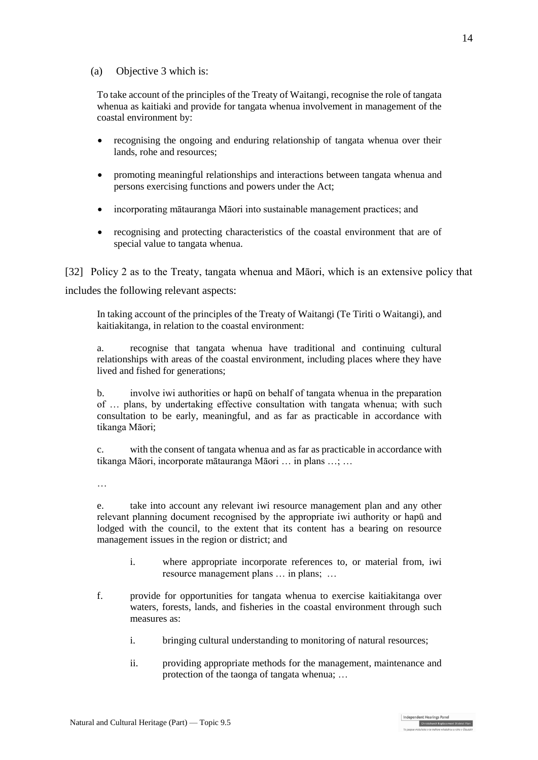### (a) Objective 3 which is:

To take account of the principles of the Treaty of Waitangi, recognise the role of tangata whenua as kaitiaki and provide for tangata whenua involvement in management of the coastal environment by:

- recognising the ongoing and enduring relationship of tangata whenua over their lands, rohe and resources;
- promoting meaningful relationships and interactions between tangata whenua and persons exercising functions and powers under the Act;
- incorporating mātauranga Māori into sustainable management practices; and
- recognising and protecting characteristics of the coastal environment that are of special value to tangata whenua.

[32] Policy 2 as to the Treaty, tangata whenua and Māori, which is an extensive policy that includes the following relevant aspects:

In taking account of the principles of the Treaty of Waitangi (Te Tiriti o Waitangi), and kaitiakitanga, in relation to the coastal environment:

a. recognise that tangata whenua have traditional and continuing cultural relationships with areas of the coastal environment, including places where they have lived and fished for generations;

b. involve iwi authorities or hapū on behalf of tangata whenua in the preparation of … plans, by undertaking effective consultation with tangata whenua; with such consultation to be early, meaningful, and as far as practicable in accordance with tikanga Māori;

c. with the consent of tangata whenua and as far as practicable in accordance with tikanga Māori, incorporate mātauranga Māori … in plans …; …

…

e. take into account any relevant iwi resource management plan and any other relevant planning document recognised by the appropriate iwi authority or hapū and lodged with the council, to the extent that its content has a bearing on resource management issues in the region or district; and

- i. where appropriate incorporate references to, or material from, iwi resource management plans … in plans; …
- f. provide for opportunities for tangata whenua to exercise kaitiakitanga over waters, forests, lands, and fisheries in the coastal environment through such measures as:
	- i. bringing cultural understanding to monitoring of natural resources;
	- ii. providing appropriate methods for the management, maintenance and protection of the taonga of tangata whenua; …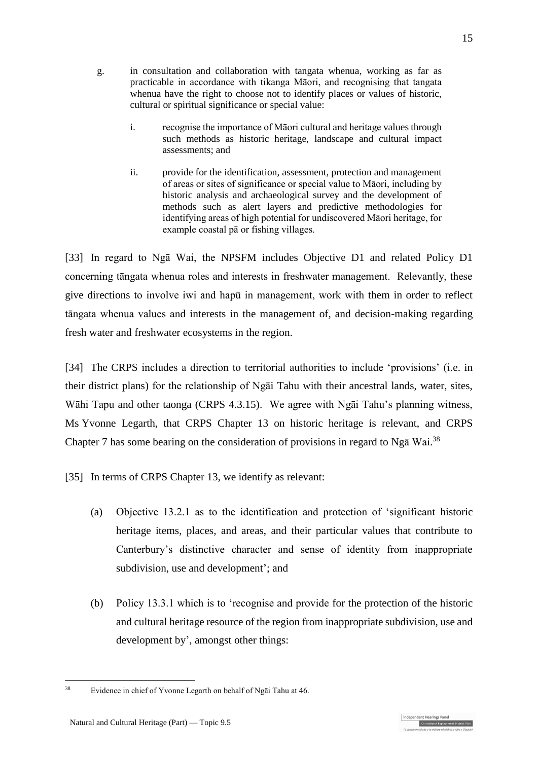- g. in consultation and collaboration with tangata whenua, working as far as practicable in accordance with tikanga Māori, and recognising that tangata whenua have the right to choose not to identify places or values of historic, cultural or spiritual significance or special value:
	- i. recognise the importance of Māori cultural and heritage values through such methods as historic heritage, landscape and cultural impact assessments; and
	- ii. provide for the identification, assessment, protection and management of areas or sites of significance or special value to Māori, including by historic analysis and archaeological survey and the development of methods such as alert layers and predictive methodologies for identifying areas of high potential for undiscovered Māori heritage, for example coastal pā or fishing villages.

[33] In regard to Ngā Wai, the NPSFM includes Objective D1 and related Policy D1 concerning tāngata whenua roles and interests in freshwater management. Relevantly, these give directions to involve iwi and hapū in management, work with them in order to reflect tāngata whenua values and interests in the management of, and decision-making regarding fresh water and freshwater ecosystems in the region.

[34] The CRPS includes a direction to territorial authorities to include 'provisions' (i.e. in their district plans) for the relationship of Ngāi Tahu with their ancestral lands, water, sites, Wāhi Tapu and other taonga (CRPS 4.3.15). We agree with Ngāi Tahu's planning witness, Ms Yvonne Legarth, that CRPS Chapter 13 on historic heritage is relevant, and CRPS Chapter 7 has some bearing on the consideration of provisions in regard to Nga Wai.<sup>38</sup>

[35] In terms of CRPS Chapter 13, we identify as relevant:

- (a) Objective 13.2.1 as to the identification and protection of 'significant historic heritage items, places, and areas, and their particular values that contribute to Canterbury's distinctive character and sense of identity from inappropriate subdivision, use and development'; and
- (b) Policy 13.3.1 which is to 'recognise and provide for the protection of the historic and cultural heritage resource of the region from inappropriate subdivision, use and development by', amongst other things:

ndependent Hearings Pane

<sup>1</sup> <sup>38</sup> Evidence in chief of Yvonne Legarth on behalf of Ngāi Tahu at 46.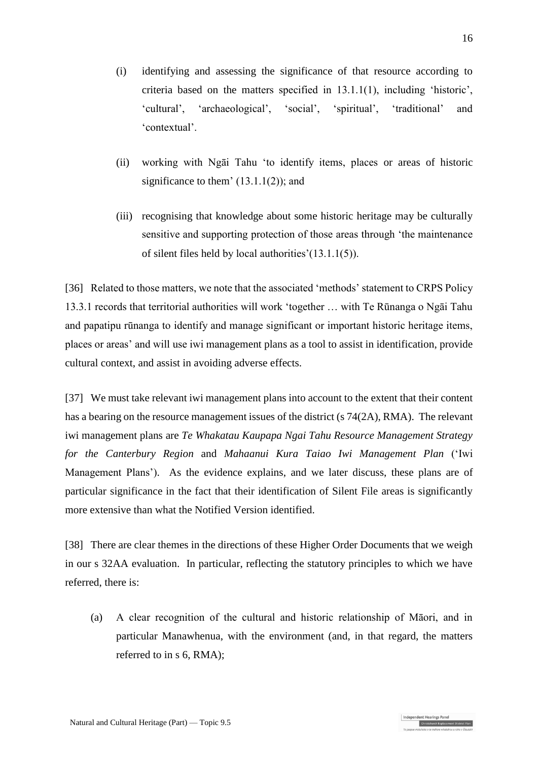- (i) identifying and assessing the significance of that resource according to criteria based on the matters specified in 13.1.1(1), including 'historic', 'cultural', 'archaeological', 'social', 'spiritual', 'traditional' and 'contextual'.
- (ii) working with Ngāi Tahu 'to identify items, places or areas of historic significance to them'  $(13.1.1(2))$ ; and
- (iii) recognising that knowledge about some historic heritage may be culturally sensitive and supporting protection of those areas through 'the maintenance of silent files held by local authorities'(13.1.1(5)).

[36] Related to those matters, we note that the associated 'methods' statement to CRPS Policy 13.3.1 records that territorial authorities will work 'together … with Te Rūnanga o Ngāi Tahu and papatipu rūnanga to identify and manage significant or important historic heritage items, places or areas' and will use iwi management plans as a tool to assist in identification, provide cultural context, and assist in avoiding adverse effects.

[37] We must take relevant iwi management plans into account to the extent that their content has a bearing on the resource management issues of the district (s 74(2A), RMA). The relevant iwi management plans are *Te Whakatau Kaupapa Ngai Tahu Resource Management Strategy for the Canterbury Region* and *Mahaanui Kura Taiao Iwi Management Plan* ('Iwi Management Plans'). As the evidence explains, and we later discuss, these plans are of particular significance in the fact that their identification of Silent File areas is significantly more extensive than what the Notified Version identified.

[38] There are clear themes in the directions of these Higher Order Documents that we weigh in our s 32AA evaluation. In particular, reflecting the statutory principles to which we have referred, there is:

(a) A clear recognition of the cultural and historic relationship of Māori, and in particular Manawhenua, with the environment (and, in that regard, the matters referred to in s 6, RMA);

Christchurch Replacement Dis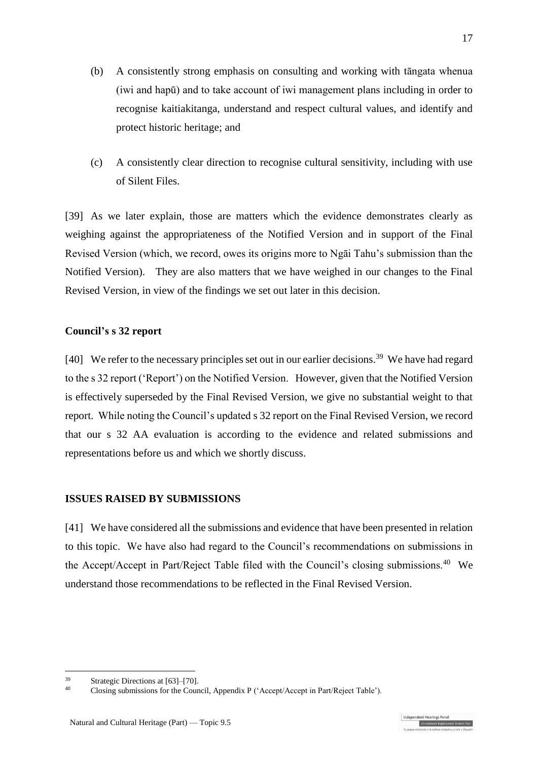- (b) A consistently strong emphasis on consulting and working with tāngata whenua (iwi and hapū) and to take account of iwi management plans including in order to recognise kaitiakitanga, understand and respect cultural values, and identify and protect historic heritage; and
- (c) A consistently clear direction to recognise cultural sensitivity, including with use of Silent Files.

[39] As we later explain, those are matters which the evidence demonstrates clearly as weighing against the appropriateness of the Notified Version and in support of the Final Revised Version (which, we record, owes its origins more to Ngāi Tahu's submission than the Notified Version). They are also matters that we have weighed in our changes to the Final Revised Version, in view of the findings we set out later in this decision.

### **Council's s 32 report**

[40] We refer to the necessary principles set out in our earlier decisions.<sup>39</sup> We have had regard to the s 32 report ('Report') on the Notified Version. However, given that the Notified Version is effectively superseded by the Final Revised Version, we give no substantial weight to that report. While noting the Council's updated s 32 report on the Final Revised Version, we record that our s 32 AA evaluation is according to the evidence and related submissions and representations before us and which we shortly discuss.

### **ISSUES RAISED BY SUBMISSIONS**

[41] We have considered all the submissions and evidence that have been presented in relation to this topic. We have also had regard to the Council's recommendations on submissions in the Accept/Accept in Part/Reject Table filed with the Council's closing submissions.<sup>40</sup> We understand those recommendations to be reflected in the Final Revised Version.

<u>.</u>

Christchurch Replacement Dis

<sup>&</sup>lt;sup>39</sup> Strategic Directions at  $[63]$ – $[70]$ .<br><sup>40</sup> Clasing submissions for the Cour

<sup>40</sup> Closing submissions for the Council, Appendix P ('Accept/Accept in Part/Reject Table').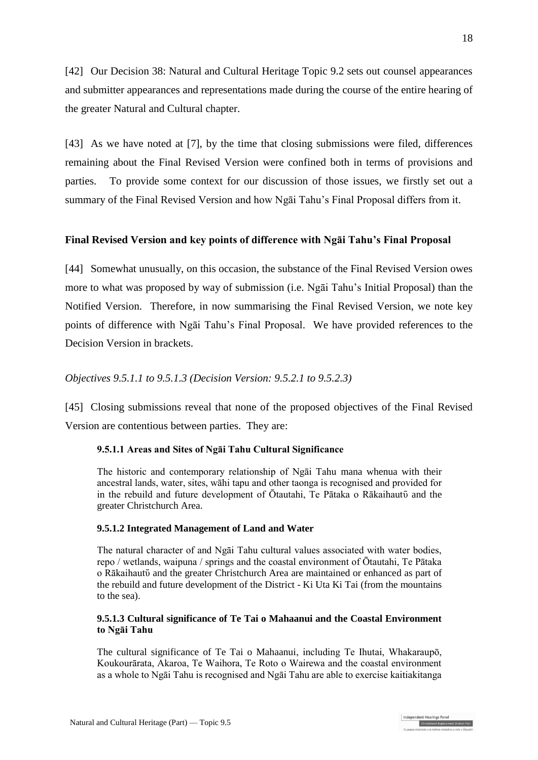[42] Our Decision 38: Natural and Cultural Heritage Topic 9.2 sets out counsel appearances and submitter appearances and representations made during the course of the entire hearing of the greater Natural and Cultural chapter.

[43] As we have noted at [\[7\],](#page-4-0) by the time that closing submissions were filed, differences remaining about the Final Revised Version were confined both in terms of provisions and parties. To provide some context for our discussion of those issues, we firstly set out a summary of the Final Revised Version and how Ngāi Tahu's Final Proposal differs from it.

## **Final Revised Version and key points of difference with Ngāi Tahu's Final Proposal**

[44] Somewhat unusually, on this occasion, the substance of the Final Revised Version owes more to what was proposed by way of submission (i.e. Ngāi Tahu's Initial Proposal) than the Notified Version. Therefore, in now summarising the Final Revised Version, we note key points of difference with Ngāi Tahu's Final Proposal. We have provided references to the Decision Version in brackets.

## *Objectives 9.5.1.1 to 9.5.1.3 (Decision Version: 9.5.2.1 to 9.5.2.3)*

[45] Closing submissions reveal that none of the proposed objectives of the Final Revised Version are contentious between parties. They are:

## **9.5.1.1 Areas and Sites of Ngāi Tahu Cultural Significance**

The historic and contemporary relationship of Ngāi Tahu mana whenua with their ancestral lands, water, sites, wāhi tapu and other taonga is recognised and provided for in the rebuild and future development of Ōtautahi, Te Pātaka o Rākaihautū and the greater Christchurch Area.

### **9.5.1.2 Integrated Management of Land and Water**

The natural character of and Ngāi Tahu cultural values associated with water bodies, repo / wetlands, waipuna / springs and the coastal environment of Ōtautahi, Te Pātaka o Rākaihautῡ and the greater Christchurch Area are maintained or enhanced as part of the rebuild and future development of the District - Ki Uta Ki Tai (from the mountains to the sea).

### **9.5.1.3 Cultural significance of Te Tai o Mahaanui and the Coastal Environment to Ngāi Tahu**

The cultural significance of Te Tai o Mahaanui, including Te Ihutai, Whakaraupō, Koukourārata, Akaroa, Te Waihora, Te Roto o Wairewa and the coastal environment as a whole to Ngāi Tahu is recognised and Ngāi Tahu are able to exercise kaitiakitanga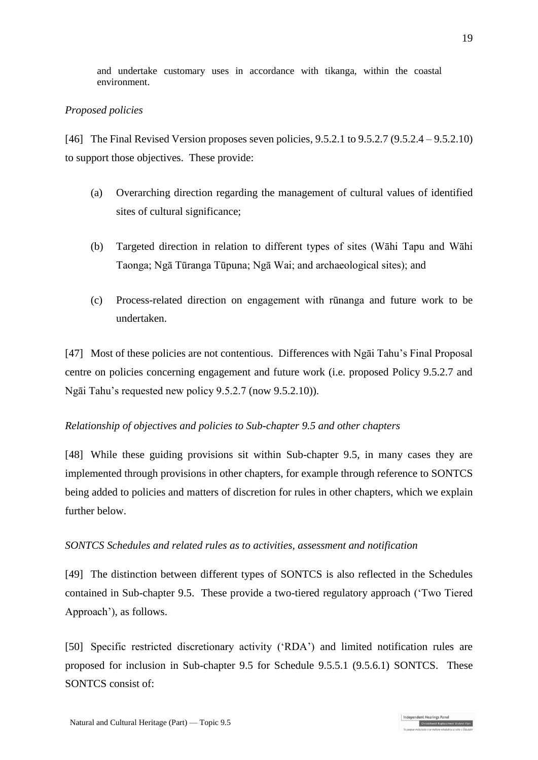and undertake customary uses in accordance with tikanga, within the coastal environment.

## *Proposed policies*

[46] The Final Revised Version proposes seven policies, 9.5.2.1 to 9.5.2.7 (9.5.2.4 – 9.5.2.10) to support those objectives. These provide:

- (a) Overarching direction regarding the management of cultural values of identified sites of cultural significance;
- (b) Targeted direction in relation to different types of sites (Wāhi Tapu and Wāhi Taonga; Ngā Tūranga Tūpuna; Ngā Wai; and archaeological sites); and
- (c) Process-related direction on engagement with rūnanga and future work to be undertaken.

[47] Most of these policies are not contentious. Differences with Ngāi Tahu's Final Proposal centre on policies concerning engagement and future work (i.e. proposed Policy 9.5.2.7 and Ngāi Tahu's requested new policy 9.5.2.7 (now 9.5.2.10)).

## *Relationship of objectives and policies to Sub-chapter 9.5 and other chapters*

[48] While these guiding provisions sit within Sub-chapter 9.5, in many cases they are implemented through provisions in other chapters, for example through reference to SONTCS being added to policies and matters of discretion for rules in other chapters, which we explain further below.

## *SONTCS Schedules and related rules as to activities, assessment and notification*

[49] The distinction between different types of SONTCS is also reflected in the Schedules contained in Sub-chapter 9.5. These provide a two-tiered regulatory approach ('Two Tiered Approach'), as follows.

[50] Specific restricted discretionary activity ('RDA') and limited notification rules are proposed for inclusion in Sub-chapter 9.5 for Schedule 9.5.5.1 (9.5.6.1) SONTCS. These SONTCS consist of: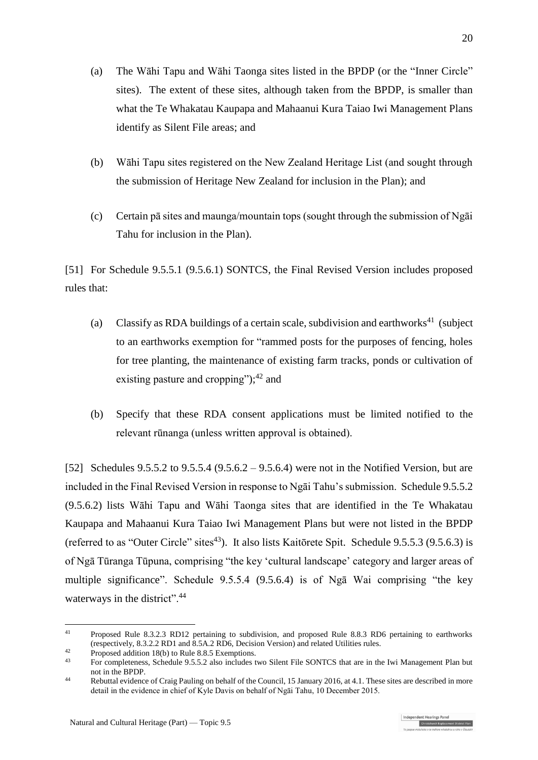- (a) The Wāhi Tapu and Wāhi Taonga sites listed in the BPDP (or the "Inner Circle" sites). The extent of these sites, although taken from the BPDP, is smaller than what the Te Whakatau Kaupapa and Mahaanui Kura Taiao Iwi Management Plans identify as Silent File areas; and
- (b) Wāhi Tapu sites registered on the New Zealand Heritage List (and sought through the submission of Heritage New Zealand for inclusion in the Plan); and
- (c) Certain pā sites and maunga/mountain tops (sought through the submission of Ngāi Tahu for inclusion in the Plan).

[51] For Schedule 9.5.5.1 (9.5.6.1) SONTCS, the Final Revised Version includes proposed rules that:

- (a) Classify as RDA buildings of a certain scale, subdivision and earthworks<sup>41</sup> (subject to an earthworks exemption for "rammed posts for the purposes of fencing, holes for tree planting, the maintenance of existing farm tracks, ponds or cultivation of existing pasture and cropping");<sup>42</sup> and
- (b) Specify that these RDA consent applications must be limited notified to the relevant rūnanga (unless written approval is obtained).

[52] Schedules 9.5.5.2 to 9.5.5.4 (9.5.6.2 – 9.5.6.4) were not in the Notified Version, but are included in the Final Revised Version in response to Ngāi Tahu's submission. Schedule 9.5.5.2 (9.5.6.2) lists Wāhi Tapu and Wāhi Taonga sites that are identified in the Te Whakatau Kaupapa and Mahaanui Kura Taiao Iwi Management Plans but were not listed in the BPDP (referred to as "Outer Circle" sites<sup>43</sup>). It also lists Kaitōrete Spit. Schedule 9.5.5.3 (9.5.6.3) is of Ngā Tūranga Tūpuna, comprising "the key 'cultural landscape' category and larger areas of multiple significance". Schedule 9.5.5.4 (9.5.6.4) is of Ngā Wai comprising "the key waterways in the district".<sup>44</sup>

<u>.</u>

<sup>&</sup>lt;sup>41</sup> Proposed Rule 8.3.2.3 RD12 pertaining to subdivision, and proposed Rule 8.8.3 RD6 pertaining to earthworks (respectively, 8.3.2.2 RD1 and 8.5A.2 RD6, Decision Version) and related Utilities rules.

<sup>42</sup> Proposed addition 18(b) to Rule 8.8.5 Exemptions.<br> $\frac{43}{2}$  For completences Schedule 9.5.5.2 also includes

<sup>43</sup> For completeness, Schedule 9.5.5.2 also includes two Silent File SONTCS that are in the Iwi Management Plan but not in the BPDP.

<sup>44</sup> Rebuttal evidence of Craig Pauling on behalf of the Council, 15 January 2016, at 4.1. These sites are described in more detail in the evidence in chief of Kyle Davis on behalf of Ngāi Tahu, 10 December 2015.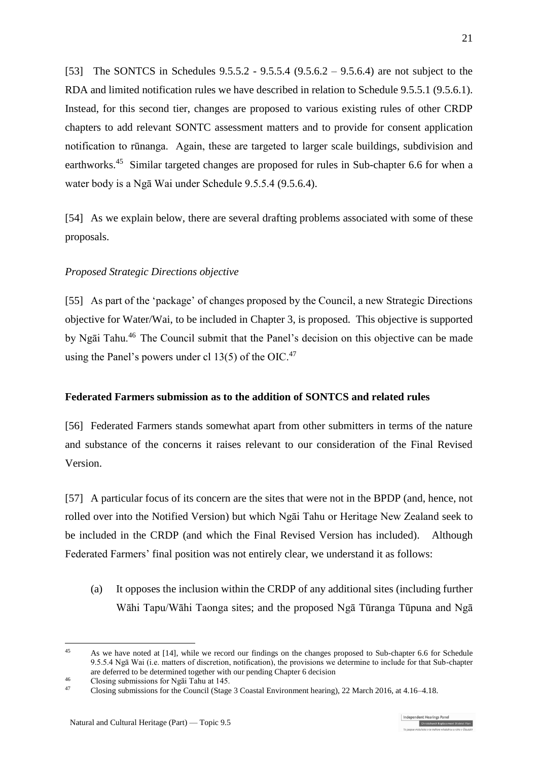[53] The SONTCS in Schedules 9.5.5.2 - 9.5.5.4 (9.5.6.2 – 9.5.6.4) are not subject to the RDA and limited notification rules we have described in relation to Schedule 9.5.5.1 (9.5.6.1). Instead, for this second tier, changes are proposed to various existing rules of other CRDP chapters to add relevant SONTC assessment matters and to provide for consent application notification to rūnanga. Again, these are targeted to larger scale buildings, subdivision and earthworks.<sup>45</sup> Similar targeted changes are proposed for rules in Sub-chapter 6.6 for when a water body is a Ngā Wai under Schedule 9.5.5.4 (9.5.6.4).

[54] As we explain below, there are several drafting problems associated with some of these proposals.

### *Proposed Strategic Directions objective*

[55] As part of the 'package' of changes proposed by the Council, a new Strategic Directions objective for Water/Wai, to be included in Chapter 3, is proposed. This objective is supported by Ngāi Tahu.<sup>46</sup> The Council submit that the Panel's decision on this objective can be made using the Panel's powers under cl 13(5) of the OIC.<sup>47</sup>

### <span id="page-20-0"></span>**Federated Farmers submission as to the addition of SONTCS and related rules**

[56] Federated Farmers stands somewhat apart from other submitters in terms of the nature and substance of the concerns it raises relevant to our consideration of the Final Revised Version.

<span id="page-20-1"></span>[57] A particular focus of its concern are the sites that were not in the BPDP (and, hence, not rolled over into the Notified Version) but which Ngāi Tahu or Heritage New Zealand seek to be included in the CRDP (and which the Final Revised Version has included). Although Federated Farmers' final position was not entirely clear, we understand it as follows:

(a) It opposes the inclusion within the CRDP of any additional sites (including further Wāhi Tapu/Wāhi Taonga sites; and the proposed Ngā Tūranga Tūpuna and Ngā

<sup>&</sup>lt;sup>45</sup> As we have noted at [14], while we record our findings on the changes proposed to Sub-chapter 6.6 for Schedule 9.5.5.4 Ngā Wai (i.e. matters of discretion, notification), the provisions we determine to include for that Sub-chapter are deferred to be determined together with our pending Chapter 6 decision

<sup>&</sup>lt;sup>46</sup> Closing submissions for Ngāi Tahu at 145.

<sup>47</sup> Closing submissions for the Council (Stage 3 Coastal Environment hearing), 22 March 2016, at 4.16–4.18.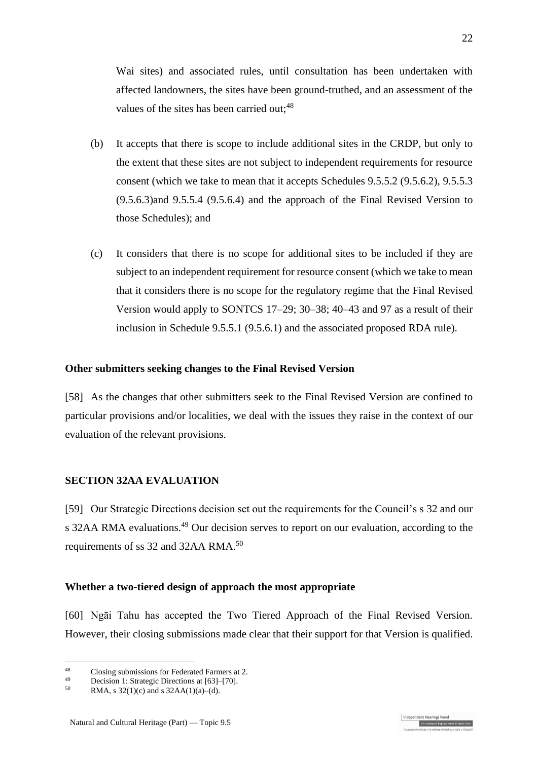Wai sites) and associated rules, until consultation has been undertaken with affected landowners, the sites have been ground-truthed, and an assessment of the values of the sites has been carried out;<sup>48</sup>

- (b) It accepts that there is scope to include additional sites in the CRDP, but only to the extent that these sites are not subject to independent requirements for resource consent (which we take to mean that it accepts Schedules 9.5.5.2 (9.5.6.2), 9.5.5.3 (9.5.6.3)and 9.5.5.4 (9.5.6.4) and the approach of the Final Revised Version to those Schedules); and
- (c) It considers that there is no scope for additional sites to be included if they are subject to an independent requirement for resource consent (which we take to mean that it considers there is no scope for the regulatory regime that the Final Revised Version would apply to SONTCS 17–29; 30–38; 40–43 and 97 as a result of their inclusion in Schedule 9.5.5.1 (9.5.6.1) and the associated proposed RDA rule).

### **Other submitters seeking changes to the Final Revised Version**

[58] As the changes that other submitters seek to the Final Revised Version are confined to particular provisions and/or localities, we deal with the issues they raise in the context of our evaluation of the relevant provisions.

## **SECTION 32AA EVALUATION**

[59] Our Strategic Directions decision set out the requirements for the Council's s 32 and our s 32AA RMA evaluations.<sup>49</sup> Our decision serves to report on our evaluation, according to the requirements of ss 32 and 32AA RMA.<sup>50</sup>

### **Whether a two-tiered design of approach the most appropriate**

[60] Ngāi Tahu has accepted the Two Tiered Approach of the Final Revised Version. However, their closing submissions made clear that their support for that Version is qualified.

1

 $^{48}$  Closing submissions for Federated Farmers at 2.

<sup>&</sup>lt;sup>49</sup> Decision 1: Strategic Directions at [63]–[70].<br> $50 \text{ PMA} \approx 32(1)(6) \text{ and } 32A \text{ A}(1)(6)$  (d)

RMA, s  $32(1)(c)$  and s  $32AA(1)(a)–(d)$ .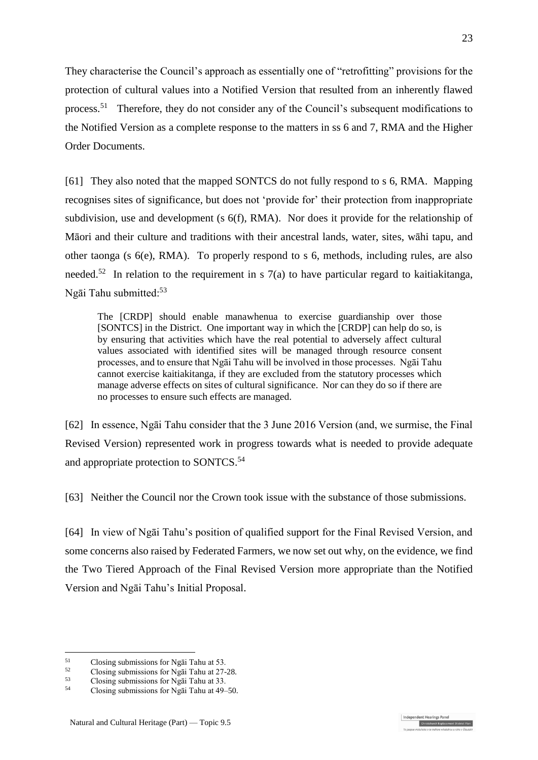They characterise the Council's approach as essentially one of "retrofitting" provisions for the protection of cultural values into a Notified Version that resulted from an inherently flawed process.<sup>51</sup> Therefore, they do not consider any of the Council's subsequent modifications to the Notified Version as a complete response to the matters in ss 6 and 7, RMA and the Higher Order Documents.

[61] They also noted that the mapped SONTCS do not fully respond to s 6, RMA. Mapping recognises sites of significance, but does not 'provide for' their protection from inappropriate subdivision, use and development (s 6(f), RMA). Nor does it provide for the relationship of Māori and their culture and traditions with their ancestral lands, water, sites, wāhi tapu, and other taonga (s 6(e), RMA). To properly respond to s 6, methods, including rules, are also needed.<sup>52</sup> In relation to the requirement in s  $7(a)$  to have particular regard to kaitiakitanga, Ngāi Tahu submitted:<sup>53</sup>

The [CRDP] should enable manawhenua to exercise guardianship over those [SONTCS] in the District. One important way in which the [CRDP] can help do so, is by ensuring that activities which have the real potential to adversely affect cultural values associated with identified sites will be managed through resource consent processes, and to ensure that Ngāi Tahu will be involved in those processes. Ngāi Tahu cannot exercise kaitiakitanga, if they are excluded from the statutory processes which manage adverse effects on sites of cultural significance. Nor can they do so if there are no processes to ensure such effects are managed.

[62] In essence, Ngāi Tahu consider that the 3 June 2016 Version (and, we surmise, the Final Revised Version) represented work in progress towards what is needed to provide adequate and appropriate protection to SONTCS.<sup>54</sup>

[63] Neither the Council nor the Crown took issue with the substance of those submissions.

[64] In view of Ngāi Tahu's position of qualified support for the Final Revised Version, and some concerns also raised by Federated Farmers, we now set out why, on the evidence, we find the Two Tiered Approach of the Final Revised Version more appropriate than the Notified Version and Ngāi Tahu's Initial Proposal.

<u>.</u>

ndent Hearings Pane Christchurch Replacement District Plan

<sup>&</sup>lt;sup>51</sup> Closing submissions for Ngai Tahu at 53.<br>Closing submissions for Na<sup> $\overline{5}$ </sup>

 $^{52}$  Closing submissions for Ngãi Tahu at 27-28.

<sup>&</sup>lt;sup>53</sup> Closing submissions for Ngāi Tahu at 33.<br> $\frac{54}{2}$  Closing submissions for Ngãi Tahu at 40

<sup>54</sup> Closing submissions for Ngāi Tahu at 49–50.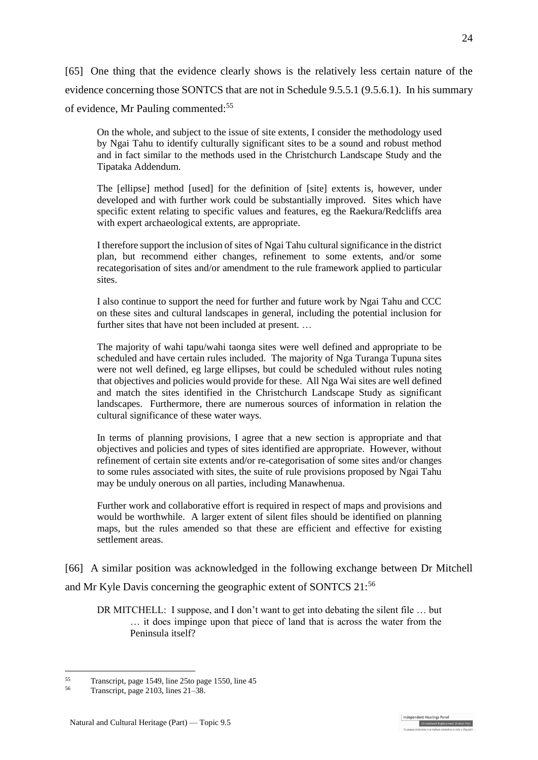[65] One thing that the evidence clearly shows is the relatively less certain nature of the evidence concerning those SONTCS that are not in Schedule 9.5.5.1 (9.5.6.1). In his summary of evidence, Mr Pauling commented:<sup>55</sup>

On the whole, and subject to the issue of site extents, I consider the methodology used by Ngai Tahu to identify culturally significant sites to be a sound and robust method and in fact similar to the methods used in the Christchurch Landscape Study and the Tipataka Addendum.

The [ellipse] method [used] for the definition of [site] extents is, however, under developed and with further work could be substantially improved. Sites which have specific extent relating to specific values and features, eg the Raekura/Redcliffs area with expert archaeological extents, are appropriate.

I therefore support the inclusion of sites of Ngai Tahu cultural significance in the district plan, but recommend either changes, refinement to some extents, and/or some recategorisation of sites and/or amendment to the rule framework applied to particular sites.

I also continue to support the need for further and future work by Ngai Tahu and CCC on these sites and cultural landscapes in general, including the potential inclusion for further sites that have not been included at present. …

The majority of wahi tapu/wahi taonga sites were well defined and appropriate to be scheduled and have certain rules included. The majority of Nga Turanga Tupuna sites were not well defined, eg large ellipses, but could be scheduled without rules noting that objectives and policies would provide for these. All Nga Wai sites are well defined and match the sites identified in the Christchurch Landscape Study as significant landscapes. Furthermore, there are numerous sources of information in relation the cultural significance of these water ways.

In terms of planning provisions, I agree that a new section is appropriate and that objectives and policies and types of sites identified are appropriate. However, without refinement of certain site extents and/or re-categorisation of some sites and/or changes to some rules associated with sites, the suite of rule provisions proposed by Ngai Tahu may be unduly onerous on all parties, including Manawhenua.

Further work and collaborative effort is required in respect of maps and provisions and would be worthwhile. A larger extent of silent files should be identified on planning maps, but the rules amended so that these are efficient and effective for existing settlement areas.

[66] A similar position was acknowledged in the following exchange between Dr Mitchell and Mr Kyle Davis concerning the geographic extent of SONTCS 21:<sup>56</sup>

DR MITCHELL: I suppose, and I don't want to get into debating the silent file … but … it does impinge upon that piece of land that is across the water from the Peninsula itself?

<u>.</u>

 $55$  Transcript, page 1549, line 25to page 1550, line 45<br> $56$  Transcript, page 2102, line 21, 28

Transcript, page 2103, lines 21–38.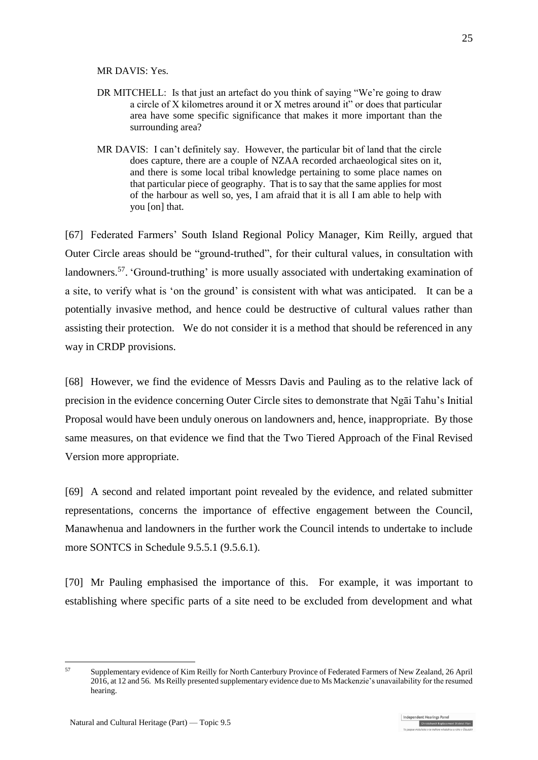MR DAVIS: Yes.

- DR MITCHELL: Is that just an artefact do you think of saying "We're going to draw a circle of X kilometres around it or X metres around it" or does that particular area have some specific significance that makes it more important than the surrounding area?
- MR DAVIS: I can't definitely say. However, the particular bit of land that the circle does capture, there are a couple of NZAA recorded archaeological sites on it, and there is some local tribal knowledge pertaining to some place names on that particular piece of geography. That is to say that the same applies for most of the harbour as well so, yes, I am afraid that it is all I am able to help with you [on] that.

[67] Federated Farmers' South Island Regional Policy Manager, Kim Reilly, argued that Outer Circle areas should be "ground-truthed", for their cultural values, in consultation with landowners.<sup>57</sup>. 'Ground-truthing' is more usually associated with undertaking examination of a site, to verify what is 'on the ground' is consistent with what was anticipated. It can be a potentially invasive method, and hence could be destructive of cultural values rather than assisting their protection. We do not consider it is a method that should be referenced in any way in CRDP provisions.

[68] However, we find the evidence of Messrs Davis and Pauling as to the relative lack of precision in the evidence concerning Outer Circle sites to demonstrate that Ngāi Tahu's Initial Proposal would have been unduly onerous on landowners and, hence, inappropriate. By those same measures, on that evidence we find that the Two Tiered Approach of the Final Revised Version more appropriate.

<span id="page-24-0"></span>[69] A second and related important point revealed by the evidence, and related submitter representations, concerns the importance of effective engagement between the Council, Manawhenua and landowners in the further work the Council intends to undertake to include more SONTCS in Schedule 9.5.5.1 (9.5.6.1).

[70] Mr Pauling emphasised the importance of this. For example, it was important to establishing where specific parts of a site need to be excluded from development and what

<sup>57</sup> Supplementary evidence of Kim Reilly for North Canterbury Province of Federated Farmers of New Zealand, 26 April 2016, at 12 and 56. Ms Reilly presented supplementary evidence due to Ms Mackenzie's unavailability for the resumed hearing.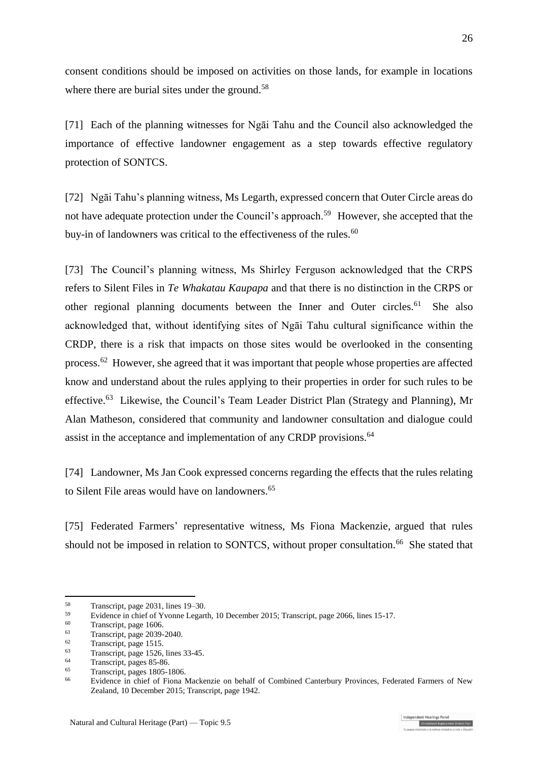consent conditions should be imposed on activities on those lands, for example in locations where there are burial sites under the ground.<sup>58</sup>

[71] Each of the planning witnesses for Ngāi Tahu and the Council also acknowledged the importance of effective landowner engagement as a step towards effective regulatory protection of SONTCS.

[72] Ngāi Tahu's planning witness, Ms Legarth, expressed concern that Outer Circle areas do not have adequate protection under the Council's approach.<sup>59</sup> However, she accepted that the buy-in of landowners was critical to the effectiveness of the rules.<sup>60</sup>

[73] The Council's planning witness, Ms Shirley Ferguson acknowledged that the CRPS refers to Silent Files in *Te Whakatau Kaupapa* and that there is no distinction in the CRPS or other regional planning documents between the Inner and Outer circles.<sup>61</sup> She also acknowledged that, without identifying sites of Ngāi Tahu cultural significance within the CRDP, there is a risk that impacts on those sites would be overlooked in the consenting process.<sup>62</sup> However, she agreed that it was important that people whose properties are affected know and understand about the rules applying to their properties in order for such rules to be effective.<sup>63</sup> Likewise, the Council's Team Leader District Plan (Strategy and Planning), Mr Alan Matheson, considered that community and landowner consultation and dialogue could assist in the acceptance and implementation of any CRDP provisions.<sup>64</sup>

[74] Landowner, Ms Jan Cook expressed concerns regarding the effects that the rules relating to Silent File areas would have on landowners.<sup>65</sup>

[75] Federated Farmers' representative witness, Ms Fiona Mackenzie, argued that rules should not be imposed in relation to SONTCS, without proper consultation.<sup>66</sup> She stated that

<u>.</u>

<sup>58</sup> Transcript, page 2031, lines 19–30.

<sup>&</sup>lt;sup>59</sup> Evidence in chief of Yvonne Legarth, 10 December 2015; Transcript, page 2066, lines 15-17.<br>
Transcript, page 1606

 $\frac{60}{61}$  Transcript, page 1606.

 $\frac{61}{62}$  Transcript, page 2039-2040.

 $\frac{62}{63}$  Transcript, page 1515.

 $^{63}$  Transcript, page 1526, lines 33-45.

 $\frac{64}{65}$  Transcript, pages 85-86.

 $\frac{65}{66}$  Transcript, pages 1805-1806.

<sup>66</sup> Evidence in chief of Fiona Mackenzie on behalf of Combined Canterbury Provinces, Federated Farmers of New Zealand, 10 December 2015; Transcript, page 1942.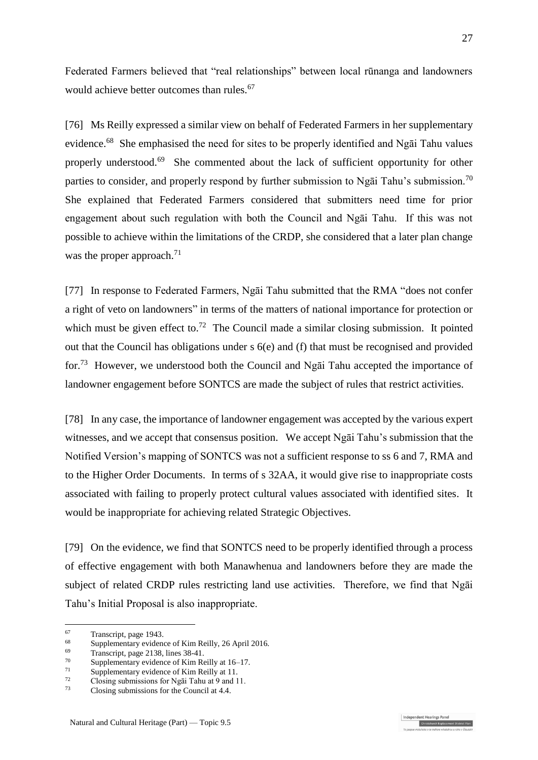Federated Farmers believed that "real relationships" between local rūnanga and landowners would achieve better outcomes than rules.<sup>67</sup>

[76] Ms Reilly expressed a similar view on behalf of Federated Farmers in her supplementary evidence.<sup>68</sup> She emphasised the need for sites to be properly identified and Ngāi Tahu values properly understood.<sup>69</sup> She commented about the lack of sufficient opportunity for other parties to consider, and properly respond by further submission to Ngai Tahu's submission.<sup>70</sup> She explained that Federated Farmers considered that submitters need time for prior engagement about such regulation with both the Council and Ngāi Tahu. If this was not possible to achieve within the limitations of the CRDP, she considered that a later plan change was the proper approach.<sup>71</sup>

[77] In response to Federated Farmers, Ngāi Tahu submitted that the RMA "does not confer a right of veto on landowners" in terms of the matters of national importance for protection or which must be given effect to.<sup>72</sup> The Council made a similar closing submission. It pointed out that the Council has obligations under s 6(e) and (f) that must be recognised and provided for.<sup>73</sup> However, we understood both the Council and Ngāi Tahu accepted the importance of landowner engagement before SONTCS are made the subject of rules that restrict activities.

[78] In any case, the importance of landowner engagement was accepted by the various expert witnesses, and we accept that consensus position. We accept Ngāi Tahu's submission that the Notified Version's mapping of SONTCS was not a sufficient response to ss 6 and 7, RMA and to the Higher Order Documents. In terms of s 32AA, it would give rise to inappropriate costs associated with failing to properly protect cultural values associated with identified sites. It would be inappropriate for achieving related Strategic Objectives.

[79] On the evidence, we find that SONTCS need to be properly identified through a process of effective engagement with both Manawhenua and landowners before they are made the subject of related CRDP rules restricting land use activities. Therefore, we find that Ngāi Tahu's Initial Proposal is also inappropriate.

dependent Hearings Pane

 $67$  $\frac{67}{68}$  Transcript, page 1943.

<sup>&</sup>lt;sup>68</sup> Supplementary evidence of Kim Reilly, 26 April 2016.<br> $\frac{69}{22}$  Transposit negative 2128 lines 28.41

<sup>&</sup>lt;sup>69</sup> Transcript, page 2138, lines  $38-41$ .<br><sup>70</sup> Sumplementary sydems of  $V$  im Re

<sup>&</sup>lt;sup>70</sup> Supplementary evidence of Kim Reilly at 16–17.

<sup>&</sup>lt;sup>71</sup> Supplementary evidence of Kim Reilly at 11.<br>
<sup>72</sup> Clasing pulmissions for  $N = \frac{1}{2}$ . Telus at 0 and 1

 $^{72}$  Closing submissions for Ngai Tahu at 9 and 11.<br> $^{73}$  Closing submissions for the Council at 4.4.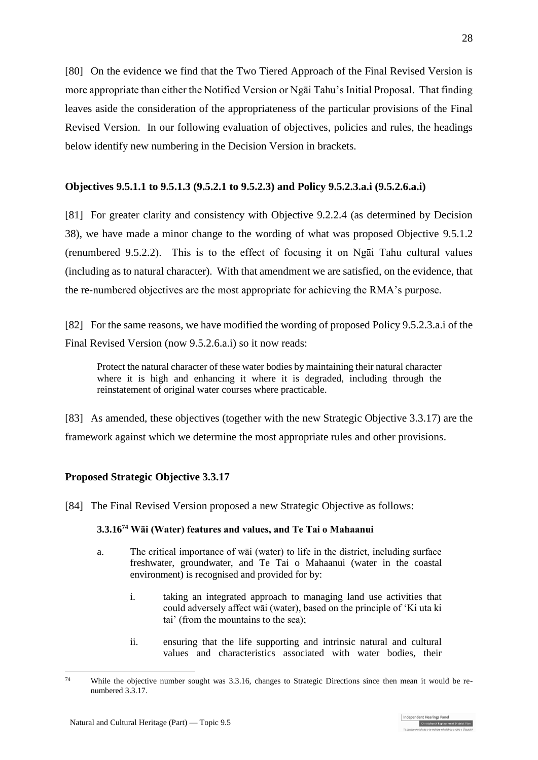<span id="page-27-0"></span>[80] On the evidence we find that the Two Tiered Approach of the Final Revised Version is more appropriate than either the Notified Version or Ngāi Tahu's Initial Proposal. That finding leaves aside the consideration of the appropriateness of the particular provisions of the Final Revised Version. In our following evaluation of objectives, policies and rules, the headings below identify new numbering in the Decision Version in brackets.

## **Objectives 9.5.1.1 to 9.5.1.3 (9.5.2.1 to 9.5.2.3) and Policy 9.5.2.3.a.i (9.5.2.6.a.i)**

[81] For greater clarity and consistency with Objective 9.2.2.4 (as determined by Decision 38), we have made a minor change to the wording of what was proposed Objective 9.5.1.2 (renumbered 9.5.2.2). This is to the effect of focusing it on Ngāi Tahu cultural values (including as to natural character). With that amendment we are satisfied, on the evidence, that the re-numbered objectives are the most appropriate for achieving the RMA's purpose.

[82] For the same reasons, we have modified the wording of proposed Policy 9.5.2.3.a.i of the Final Revised Version (now 9.5.2.6.a.i) so it now reads:

Protect the natural character of these water bodies by maintaining their natural character where it is high and enhancing it where it is degraded, including through the reinstatement of original water courses where practicable.

[83] As amended, these objectives (together with the new Strategic Objective 3.3.17) are the framework against which we determine the most appropriate rules and other provisions.

## **Proposed Strategic Objective 3.3.17**

[84] The Final Revised Version proposed a new Strategic Objective as follows:

### **3.3.16<sup>74</sup> Wāi (Water) features and values, and Te Tai o Mahaanui**

- a. The critical importance of wāi (water) to life in the district, including surface freshwater, groundwater, and Te Tai o Mahaanui (water in the coastal environment) is recognised and provided for by:
	- i. taking an integrated approach to managing land use activities that could adversely affect wāi (water), based on the principle of 'Ki uta ki tai' (from the mountains to the sea);
	- ii. ensuring that the life supporting and intrinsic natural and cultural values and characteristics associated with water bodies, their

ndent Hearings Pai Christchurch Replacement District Plan

<sup>&</sup>lt;u>.</u> <sup>74</sup> While the objective number sought was 3.3.16, changes to Strategic Directions since then mean it would be renumbered 3.3.17.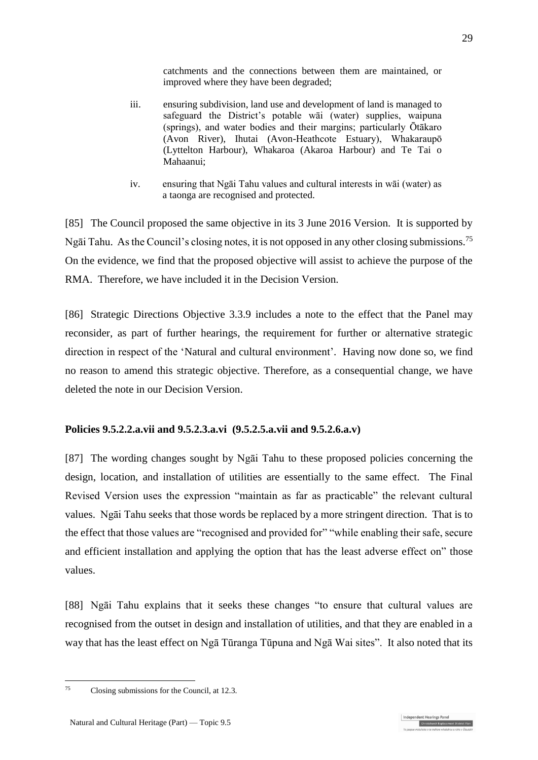catchments and the connections between them are maintained, or improved where they have been degraded;

- iii. ensuring subdivision, land use and development of land is managed to safeguard the District's potable wāi (water) supplies, waipuna (springs), and water bodies and their margins; particularly Ōtākaro (Avon River), Ihutai (Avon-Heathcote Estuary), Whakaraupō (Lyttelton Harbour), Whakaroa (Akaroa Harbour) and Te Tai o Mahaanui;
- iv. ensuring that Ngāi Tahu values and cultural interests in wāi (water) as a taonga are recognised and protected.

[85] The Council proposed the same objective in its 3 June 2016 Version. It is supported by Ngāi Tahu. As the Council's closing notes, it is not opposed in any other closing submissions.<sup>75</sup> On the evidence, we find that the proposed objective will assist to achieve the purpose of the RMA. Therefore, we have included it in the Decision Version.

[86] Strategic Directions Objective 3.3.9 includes a note to the effect that the Panel may reconsider, as part of further hearings, the requirement for further or alternative strategic direction in respect of the 'Natural and cultural environment'. Having now done so, we find no reason to amend this strategic objective. Therefore, as a consequential change, we have deleted the note in our Decision Version.

## **Policies 9.5.2.2.a.vii and 9.5.2.3.a.vi (9.5.2.5.a.vii and 9.5.2.6.a.v)**

[87] The wording changes sought by Ngāi Tahu to these proposed policies concerning the design, location, and installation of utilities are essentially to the same effect. The Final Revised Version uses the expression "maintain as far as practicable" the relevant cultural values. Ngāi Tahu seeks that those words be replaced by a more stringent direction. That is to the effect that those values are "recognised and provided for" "while enabling their safe, secure and efficient installation and applying the option that has the least adverse effect on" those values.

[88] Ngāi Tahu explains that it seeks these changes "to ensure that cultural values are recognised from the outset in design and installation of utilities, and that they are enabled in a way that has the least effect on Ngā Tūranga Tūpuna and Ngā Wai sites". It also noted that its

dependent Hearings Pane

<sup>1</sup> <sup>75</sup> Closing submissions for the Council, at 12.3.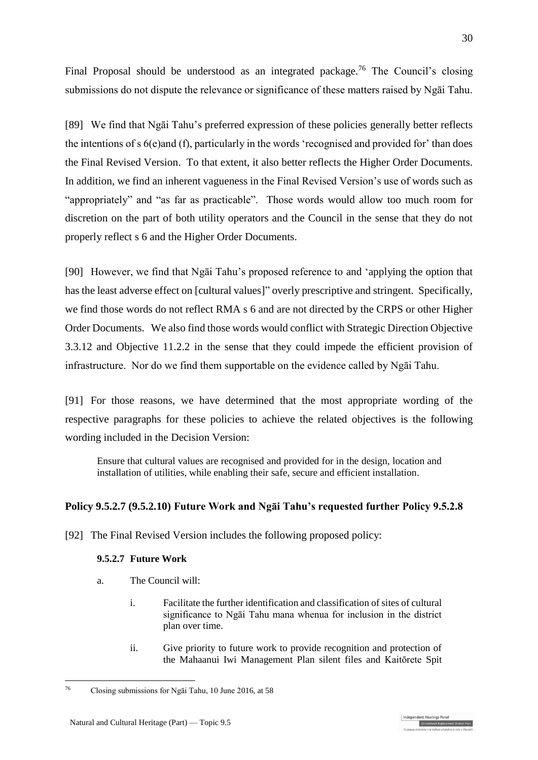Final Proposal should be understood as an integrated package.<sup>76</sup> The Council's closing submissions do not dispute the relevance or significance of these matters raised by Ngāi Tahu.

[89] We find that Ngāi Tahu's preferred expression of these policies generally better reflects the intentions of s 6(e)and (f), particularly in the words 'recognised and provided for' than does the Final Revised Version. To that extent, it also better reflects the Higher Order Documents. In addition, we find an inherent vagueness in the Final Revised Version's use of words such as "appropriately" and "as far as practicable". Those words would allow too much room for discretion on the part of both utility operators and the Council in the sense that they do not properly reflect s 6 and the Higher Order Documents.

[90] However, we find that Ngāi Tahu's proposed reference to and 'applying the option that has the least adverse effect on [cultural values]" overly prescriptive and stringent. Specifically, we find those words do not reflect RMA s 6 and are not directed by the CRPS or other Higher Order Documents. We also find those words would conflict with Strategic Direction Objective 3.3.12 and Objective 11.2.2 in the sense that they could impede the efficient provision of infrastructure. Nor do we find them supportable on the evidence called by Ngāi Tahu.

[91] For those reasons, we have determined that the most appropriate wording of the respective paragraphs for these policies to achieve the related objectives is the following wording included in the Decision Version:

Ensure that cultural values are recognised and provided for in the design, location and installation of utilities, while enabling their safe, secure and efficient installation.

# **Policy 9.5.2.7 (9.5.2.10) Future Work and Ngāi Tahu's requested further Policy 9.5.2.8**

[92] The Final Revised Version includes the following proposed policy:

## **9.5.2.7 Future Work**

- a. The Council will:
	- i. Facilitate the further identification and classification of sites of cultural significance to Ngāi Tahu mana whenua for inclusion in the district plan over time.
	- ii. Give priority to future work to provide recognition and protection of the Mahaanui Iwi Management Plan silent files and Kaitōrete Spit

Christchurch Replacement Dis

<sup>1</sup> <sup>76</sup> Closing submissions for Ngāi Tahu, 10 June 2016, at 58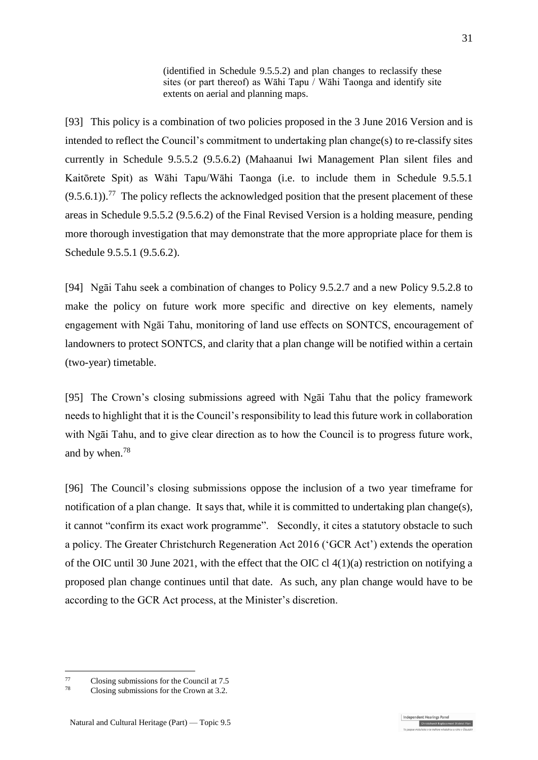(identified in Schedule 9.5.5.2) and plan changes to reclassify these sites (or part thereof) as Wāhi Tapu  $\overline{\phantom{a}}$  Wāhi Taonga and identify site extents on aerial and planning maps.

[93] This policy is a combination of two policies proposed in the 3 June 2016 Version and is intended to reflect the Council's commitment to undertaking plan change(s) to re-classify sites currently in Schedule 9.5.5.2 (9.5.6.2) (Mahaanui Iwi Management Plan silent files and Kaitōrete Spit) as Wāhi Tapu/Wāhi Taonga (i.e. to include them in Schedule 9.5.5.1  $(9.5.6.1)$ .<sup>77</sup> The policy reflects the acknowledged position that the present placement of these areas in Schedule 9.5.5.2 (9.5.6.2) of the Final Revised Version is a holding measure, pending more thorough investigation that may demonstrate that the more appropriate place for them is Schedule 9.5.5.1 (9.5.6.2).

[94] Ngāi Tahu seek a combination of changes to Policy 9.5.2.7 and a new Policy 9.5.2.8 to make the policy on future work more specific and directive on key elements, namely engagement with Ngāi Tahu, monitoring of land use effects on SONTCS, encouragement of landowners to protect SONTCS, and clarity that a plan change will be notified within a certain (two-year) timetable.

[95] The Crown's closing submissions agreed with Ngāi Tahu that the policy framework needs to highlight that it is the Council's responsibility to lead this future work in collaboration with Ngāi Tahu, and to give clear direction as to how the Council is to progress future work, and by when.<sup>78</sup>

[96] The Council's closing submissions oppose the inclusion of a two year timeframe for notification of a plan change. It says that, while it is committed to undertaking plan change(s), it cannot "confirm its exact work programme". Secondly, it cites a statutory obstacle to such a policy. The Greater Christchurch Regeneration Act 2016 ('GCR Act') extends the operation of the OIC until 30 June 2021, with the effect that the OIC cl 4(1)(a) restriction on notifying a proposed plan change continues until that date. As such, any plan change would have to be according to the GCR Act process, at the Minister's discretion.

<u>.</u>

ndent Hearings Pane Christchurch Replacement Dis

 $^{77}$  Closing submissions for the Council at 7.5<br> $^{78}$  Closing submissions for the Crown at 2.2

Closing submissions for the Crown at 3.2.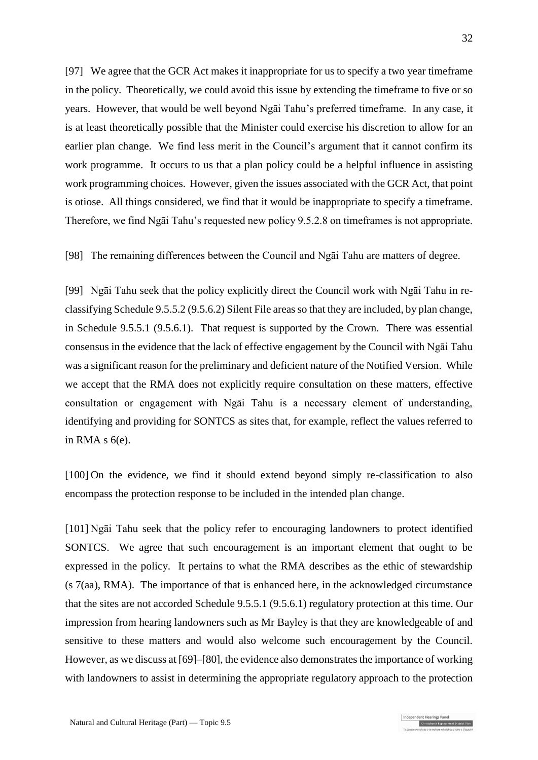[97] We agree that the GCR Act makes it inappropriate for us to specify a two year timeframe in the policy. Theoretically, we could avoid this issue by extending the timeframe to five or so years. However, that would be well beyond Ngāi Tahu's preferred timeframe. In any case, it is at least theoretically possible that the Minister could exercise his discretion to allow for an earlier plan change. We find less merit in the Council's argument that it cannot confirm its work programme. It occurs to us that a plan policy could be a helpful influence in assisting work programming choices. However, given the issues associated with the GCR Act, that point is otiose. All things considered, we find that it would be inappropriate to specify a timeframe. Therefore, we find Ngāi Tahu's requested new policy 9.5.2.8 on timeframes is not appropriate.

[98] The remaining differences between the Council and Ngāi Tahu are matters of degree.

[99] Ngāi Tahu seek that the policy explicitly direct the Council work with Ngāi Tahu in reclassifying Schedule 9.5.5.2 (9.5.6.2) Silent File areas so that they are included, by plan change, in Schedule 9.5.5.1 (9.5.6.1). That request is supported by the Crown. There was essential consensus in the evidence that the lack of effective engagement by the Council with Ngāi Tahu was a significant reason for the preliminary and deficient nature of the Notified Version. While we accept that the RMA does not explicitly require consultation on these matters, effective consultation or engagement with Ngāi Tahu is a necessary element of understanding, identifying and providing for SONTCS as sites that, for example, reflect the values referred to in RMA  $s$   $6(e)$ .

[100] On the evidence, we find it should extend beyond simply re-classification to also encompass the protection response to be included in the intended plan change.

[101] Ngāi Tahu seek that the policy refer to encouraging landowners to protect identified SONTCS. We agree that such encouragement is an important element that ought to be expressed in the policy. It pertains to what the RMA describes as the ethic of stewardship (s 7(aa), RMA). The importance of that is enhanced here, in the acknowledged circumstance that the sites are not accorded Schedule 9.5.5.1 (9.5.6.1) regulatory protection at this time. Our impression from hearing landowners such as Mr Bayley is that they are knowledgeable of and sensitive to these matters and would also welcome such encouragement by the Council. However, as we discuss at [\[69\]](#page-24-0)[–\[80\],](#page-27-0) the evidence also demonstrates the importance of working with landowners to assist in determining the appropriate regulatory approach to the protection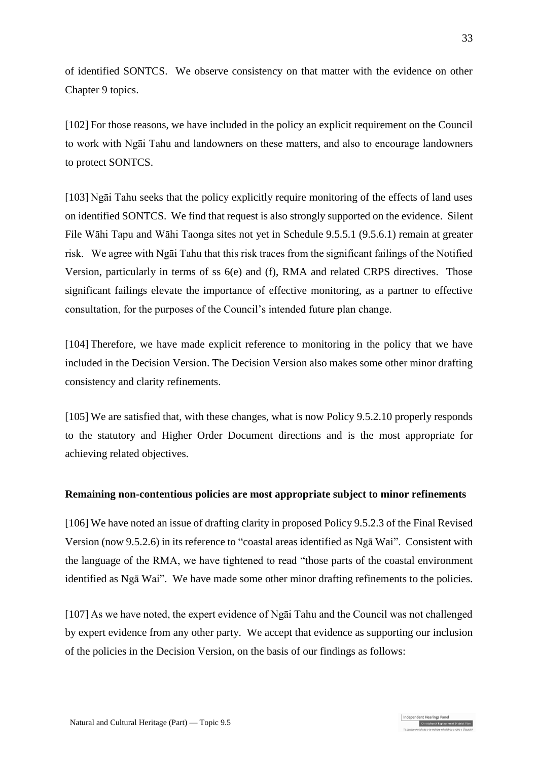of identified SONTCS. We observe consistency on that matter with the evidence on other Chapter 9 topics.

[102] For those reasons, we have included in the policy an explicit requirement on the Council to work with Ngāi Tahu and landowners on these matters, and also to encourage landowners to protect SONTCS.

[103] Ngāi Tahu seeks that the policy explicitly require monitoring of the effects of land uses on identified SONTCS. We find that request is also strongly supported on the evidence. Silent File Wāhi Tapu and Wāhi Taonga sites not yet in Schedule 9.5.5.1 (9.5.6.1) remain at greater risk. We agree with Ngāi Tahu that this risk traces from the significant failings of the Notified Version, particularly in terms of ss 6(e) and (f), RMA and related CRPS directives. Those significant failings elevate the importance of effective monitoring, as a partner to effective consultation, for the purposes of the Council's intended future plan change.

[104] Therefore, we have made explicit reference to monitoring in the policy that we have included in the Decision Version. The Decision Version also makes some other minor drafting consistency and clarity refinements.

[105] We are satisfied that, with these changes, what is now Policy 9.5.2.10 properly responds to the statutory and Higher Order Document directions and is the most appropriate for achieving related objectives.

### **Remaining non-contentious policies are most appropriate subject to minor refinements**

[106] We have noted an issue of drafting clarity in proposed Policy 9.5.2.3 of the Final Revised Version (now 9.5.2.6) in its reference to "coastal areas identified as Ngā Wai". Consistent with the language of the RMA, we have tightened to read "those parts of the coastal environment identified as Ngā Wai". We have made some other minor drafting refinements to the policies.

[107] As we have noted, the expert evidence of Ngāi Tahu and the Council was not challenged by expert evidence from any other party. We accept that evidence as supporting our inclusion of the policies in the Decision Version, on the basis of our findings as follows: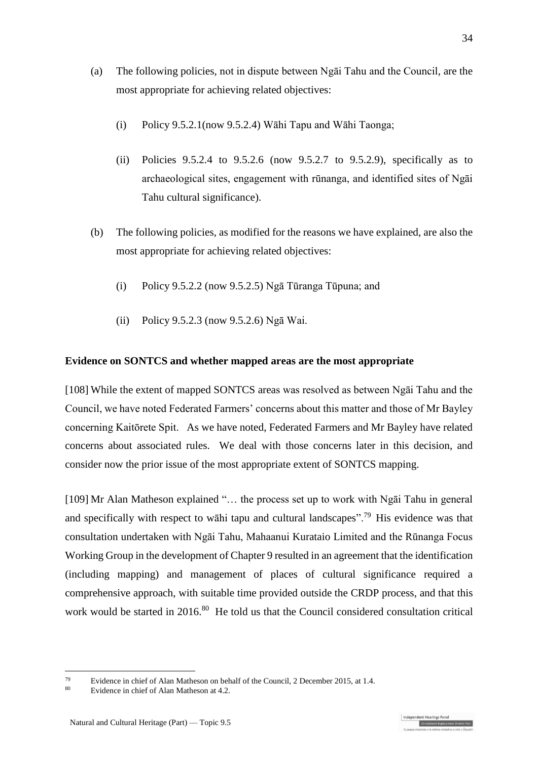- (a) The following policies, not in dispute between Ngāi Tahu and the Council, are the most appropriate for achieving related objectives:
	- (i) Policy 9.5.2.1(now 9.5.2.4) Wāhi Tapu and Wāhi Taonga;
	- (ii) Policies 9.5.2.4 to 9.5.2.6 (now 9.5.2.7 to 9.5.2.9), specifically as to archaeological sites, engagement with rūnanga, and identified sites of Ngāi Tahu cultural significance).
- (b) The following policies, as modified for the reasons we have explained, are also the most appropriate for achieving related objectives:
	- (i) Policy 9.5.2.2 (now 9.5.2.5) Ngā Tūranga Tūpuna; and
	- (ii) Policy 9.5.2.3 (now 9.5.2.6) Ngā Wai.

## **Evidence on SONTCS and whether mapped areas are the most appropriate**

[108] While the extent of mapped SONTCS areas was resolved as between Ngāi Tahu and the Council, we have noted Federated Farmers' concerns about this matter and those of Mr Bayley concerning Kaitōrete Spit. As we have noted, Federated Farmers and Mr Bayley have related concerns about associated rules. We deal with those concerns later in this decision, and consider now the prior issue of the most appropriate extent of SONTCS mapping.

[109] Mr Alan Matheson explained "… the process set up to work with Ngāi Tahu in general and specifically with respect to wāhi tapu and cultural landscapes".<sup>79</sup> His evidence was that consultation undertaken with Ngāi Tahu, Mahaanui Kurataio Limited and the Rūnanga Focus Working Group in the development of Chapter 9 resulted in an agreement that the identification (including mapping) and management of places of cultural significance required a comprehensive approach, with suitable time provided outside the CRDP process, and that this work would be started in 2016.<sup>80</sup> He told us that the Council considered consultation critical

<u>.</u>

<sup>&</sup>lt;sup>79</sup> Evidence in chief of Alan Matheson on behalf of the Council, 2 December 2015, at 1.4.<br><sup>80</sup>

Evidence in chief of Alan Matheson at 4.2.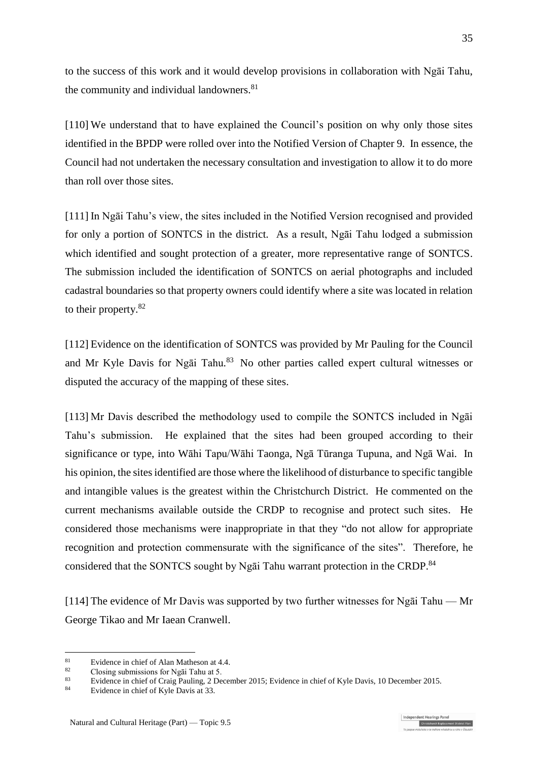to the success of this work and it would develop provisions in collaboration with Ngāi Tahu, the community and individual landowners. 81

[110] We understand that to have explained the Council's position on why only those sites identified in the BPDP were rolled over into the Notified Version of Chapter 9. In essence, the Council had not undertaken the necessary consultation and investigation to allow it to do more than roll over those sites.

[111] In Ngāi Tahu's view, the sites included in the Notified Version recognised and provided for only a portion of SONTCS in the district. As a result, Ngāi Tahu lodged a submission which identified and sought protection of a greater, more representative range of SONTCS. The submission included the identification of SONTCS on aerial photographs and included cadastral boundaries so that property owners could identify where a site was located in relation to their property.<sup>82</sup>

[112] Evidence on the identification of SONTCS was provided by Mr Pauling for the Council and Mr Kyle Davis for Ngai Tahu.<sup>83</sup> No other parties called expert cultural witnesses or disputed the accuracy of the mapping of these sites.

[113] Mr Davis described the methodology used to compile the SONTCS included in Ngāi Tahu's submission. He explained that the sites had been grouped according to their significance or type, into Wāhi Tapu/Wāhi Taonga, Ngā Tūranga Tupuna, and Ngā Wai. In his opinion, the sites identified are those where the likelihood of disturbance to specific tangible and intangible values is the greatest within the Christchurch District. He commented on the current mechanisms available outside the CRDP to recognise and protect such sites. He considered those mechanisms were inappropriate in that they "do not allow for appropriate recognition and protection commensurate with the significance of the sites". Therefore, he considered that the SONTCS sought by Ngai Tahu warrant protection in the CRDP.<sup>84</sup>

[114] The evidence of Mr Davis was supported by two further witnesses for Ngāi Tahu — Mr George Tikao and Mr Iaean Cranwell.

<u>.</u>

<sup>&</sup>lt;sup>81</sup> Evidence in chief of Alan Matheson at 4.4.<br><sup>82</sup> Clasing submissions for  $N=7$  Telm at 5.

 $\frac{82}{100}$  Closing submissions for Ngai Tahu at 5.

<sup>&</sup>lt;sup>83</sup> Evidence in chief of Craig Pauling, 2 December 2015; Evidence in chief of Kyle Davis, 10 December 2015.

Evidence in chief of Kyle Davis at 33.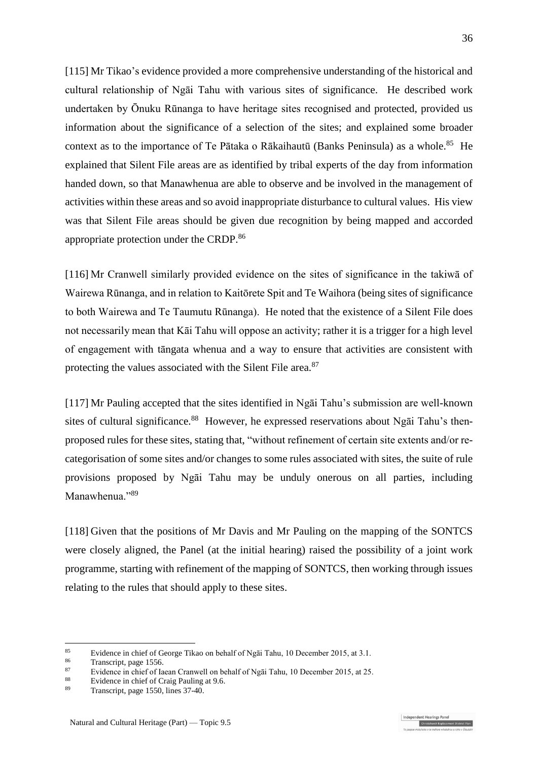[115] Mr Tikao's evidence provided a more comprehensive understanding of the historical and cultural relationship of Ngāi Tahu with various sites of significance. He described work undertaken by Ōnuku Rūnanga to have heritage sites recognised and protected, provided us information about the significance of a selection of the sites; and explained some broader context as to the importance of Te Pātaka o Rākaihautū (Banks Peninsula) as a whole.<sup>85</sup> He explained that Silent File areas are as identified by tribal experts of the day from information handed down, so that Manawhenua are able to observe and be involved in the management of activities within these areas and so avoid inappropriate disturbance to cultural values. His view was that Silent File areas should be given due recognition by being mapped and accorded appropriate protection under the CRDP.<sup>86</sup>

[116] Mr Cranwell similarly provided evidence on the sites of significance in the takiwā of Wairewa Rūnanga, and in relation to Kaitōrete Spit and Te Waihora (being sites of significance to both Wairewa and Te Taumutu Rūnanga). He noted that the existence of a Silent File does not necessarily mean that Kāi Tahu will oppose an activity; rather it is a trigger for a high level of engagement with tāngata whenua and a way to ensure that activities are consistent with protecting the values associated with the Silent File area.<sup>87</sup>

[117] Mr Pauling accepted that the sites identified in Ngāi Tahu's submission are well-known sites of cultural significance.<sup>88</sup> However, he expressed reservations about Ngai Tahu's thenproposed rules for these sites, stating that, "without refinement of certain site extents and/or recategorisation of some sites and/or changes to some rules associated with sites, the suite of rule provisions proposed by Ngāi Tahu may be unduly onerous on all parties, including Manawhenua<sup>"89</sup>

[118] Given that the positions of Mr Davis and Mr Pauling on the mapping of the SONTCS were closely aligned, the Panel (at the initial hearing) raised the possibility of a joint work programme, starting with refinement of the mapping of SONTCS, then working through issues relating to the rules that should apply to these sites.

1

ndependent Hearings Pane

<sup>&</sup>lt;sup>85</sup> Evidence in chief of George Tikao on behalf of Ngāi Tahu, 10 December 2015, at 3.1.<br><sup>86</sup> Tennesiat, peop 1556

 $rac{86}{87}$  Transcript, page 1556.

<sup>&</sup>lt;sup>87</sup> Evidence in chief of Iaean Cranwell on behalf of Ngāi Tahu, 10 December 2015, at 25.

<sup>&</sup>lt;sup>88</sup> Evidence in chief of Craig Pauling at 9.6.<br><sup>89</sup> Transmitt, noge 1550, lines 27, 40.

Transcript, page 1550, lines 37-40.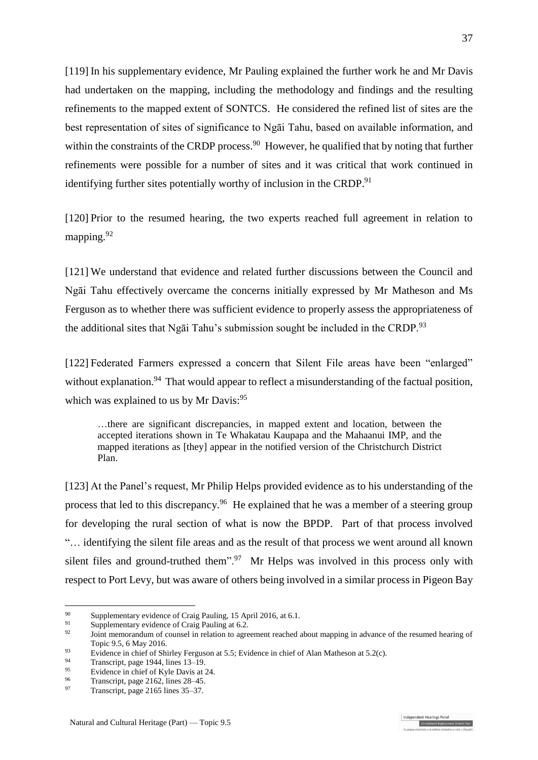[119] In his supplementary evidence, Mr Pauling explained the further work he and Mr Davis had undertaken on the mapping, including the methodology and findings and the resulting refinements to the mapped extent of SONTCS. He considered the refined list of sites are the best representation of sites of significance to Ngāi Tahu, based on available information, and within the constraints of the CRDP process.<sup>90</sup> However, he qualified that by noting that further refinements were possible for a number of sites and it was critical that work continued in identifying further sites potentially worthy of inclusion in the CRDP.<sup>91</sup>

[120] Prior to the resumed hearing, the two experts reached full agreement in relation to mapping.<sup>92</sup>

[121] We understand that evidence and related further discussions between the Council and Ngāi Tahu effectively overcame the concerns initially expressed by Mr Matheson and Ms Ferguson as to whether there was sufficient evidence to properly assess the appropriateness of the additional sites that Ng $\bar{a}$  Tahu's submission sought be included in the CRDP.<sup>93</sup>

[122] Federated Farmers expressed a concern that Silent File areas have been "enlarged" without explanation.<sup>94</sup> That would appear to reflect a misunderstanding of the factual position, which was explained to us by Mr Davis:<sup>95</sup>

…there are significant discrepancies, in mapped extent and location, between the accepted iterations shown in Te Whakatau Kaupapa and the Mahaanui IMP, and the mapped iterations as [they] appear in the notified version of the Christchurch District Plan.

[123] At the Panel's request, Mr Philip Helps provided evidence as to his understanding of the process that led to this discrepancy.<sup>96</sup> He explained that he was a member of a steering group for developing the rural section of what is now the BPDP. Part of that process involved "… identifying the silent file areas and as the result of that process we went around all known silent files and ground-truthed them".<sup>97</sup> Mr Helps was involved in this process only with respect to Port Levy, but was aware of others being involved in a similar process in Pigeon Bay

<u>.</u>

<sup>&</sup>lt;sup>90</sup> Supplementary evidence of Craig Pauling, 15 April 2016, at 6.1.<br><sup>91</sup> Supplementary evidence of Craig Pauling at 6.2

<sup>91</sup> Supplementary evidence of Craig Pauling at 6.2.

<sup>92</sup> Joint memorandum of counsel in relation to agreement reached about mapping in advance of the resumed hearing of Topic 9.5, 6 May 2016.

<sup>&</sup>lt;sup>93</sup> Evidence in chief of Shirley Ferguson at 5.5; Evidence in chief of Alan Matheson at 5.2(c).<br>Transmitt, peop 1044, lines 12, 10.

<sup>94</sup> Transcript, page 1944, lines  $13-19$ .

<sup>&</sup>lt;sup>95</sup> Evidence in chief of Kyle Davis at 24.<br> $\frac{96}{2}$  Expressint name 2162 lines 28, 45

<sup>&</sup>lt;sup>96</sup> Transcript, page 2162, lines  $28-45$ .<br><sup>97</sup> Transcript, page 2165 lines  $25 \div 27$ .

Transcript, page 2165 lines 35–37.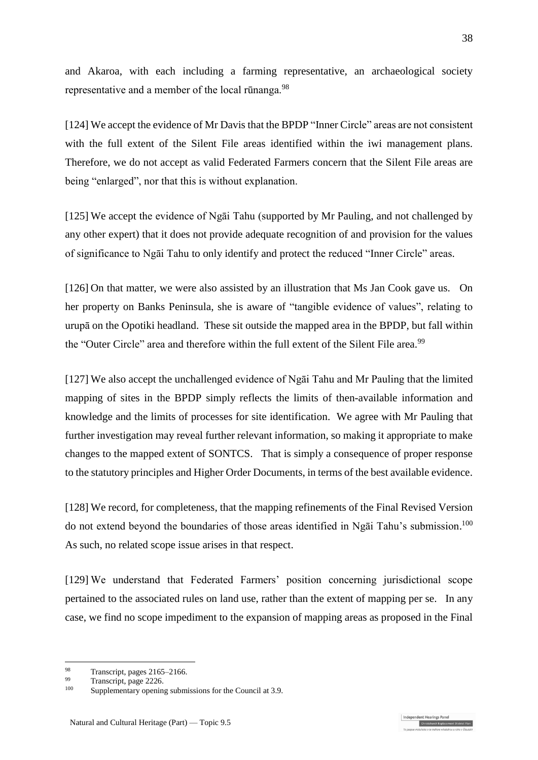and Akaroa, with each including a farming representative, an archaeological society representative and a member of the local rūnanga.<sup>98</sup>

[124] We accept the evidence of Mr Davis that the BPDP "Inner Circle" areas are not consistent with the full extent of the Silent File areas identified within the iwi management plans. Therefore, we do not accept as valid Federated Farmers concern that the Silent File areas are being "enlarged", nor that this is without explanation.

[125] We accept the evidence of Ngāi Tahu (supported by Mr Pauling, and not challenged by any other expert) that it does not provide adequate recognition of and provision for the values of significance to Ngāi Tahu to only identify and protect the reduced "Inner Circle" areas.

[126] On that matter, we were also assisted by an illustration that Ms Jan Cook gave us. On her property on Banks Peninsula, she is aware of "tangible evidence of values", relating to urupā on the Opotiki headland. These sit outside the mapped area in the BPDP, but fall within the "Outer Circle" area and therefore within the full extent of the Silent File area.<sup>99</sup>

[127] We also accept the unchallenged evidence of Ngāi Tahu and Mr Pauling that the limited mapping of sites in the BPDP simply reflects the limits of then-available information and knowledge and the limits of processes for site identification. We agree with Mr Pauling that further investigation may reveal further relevant information, so making it appropriate to make changes to the mapped extent of SONTCS. That is simply a consequence of proper response to the statutory principles and Higher Order Documents, in terms of the best available evidence.

[128] We record, for completeness, that the mapping refinements of the Final Revised Version do not extend beyond the boundaries of those areas identified in Ngai Tahu's submission.<sup>100</sup> As such, no related scope issue arises in that respect.

[129] We understand that Federated Farmers' position concerning jurisdictional scope pertained to the associated rules on land use, rather than the extent of mapping per se. In any case, we find no scope impediment to the expansion of mapping areas as proposed in the Final

1

ndependent Hearings Pane

<sup>98</sup> Transcript, pages  $2165-2166$ .

 $\frac{99}{100}$  Transcript, page 2226.

Supplementary opening submissions for the Council at 3.9.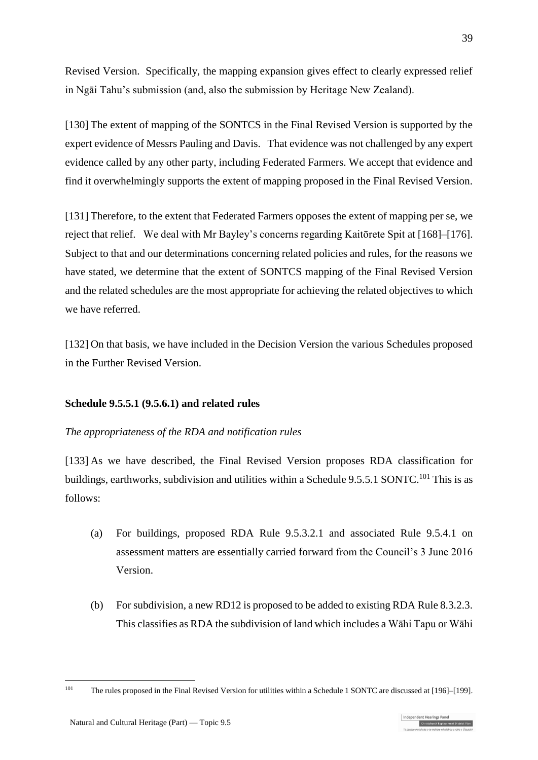Revised Version. Specifically, the mapping expansion gives effect to clearly expressed relief in Ngāi Tahu's submission (and, also the submission by Heritage New Zealand).

[130] The extent of mapping of the SONTCS in the Final Revised Version is supported by the expert evidence of Messrs Pauling and Davis. That evidence was not challenged by any expert evidence called by any other party, including Federated Farmers. We accept that evidence and find it overwhelmingly supports the extent of mapping proposed in the Final Revised Version.

[131] Therefore, to the extent that Federated Farmers opposes the extent of mapping per se, we reject that relief. We deal with Mr Bayley's concerns regarding Kaitōrete Spit at [\[168\]](#page-47-0)[–\[176\].](#page-49-0) Subject to that and our determinations concerning related policies and rules, for the reasons we have stated, we determine that the extent of SONTCS mapping of the Final Revised Version and the related schedules are the most appropriate for achieving the related objectives to which we have referred.

[132] On that basis, we have included in the Decision Version the various Schedules proposed in the Further Revised Version.

## **Schedule 9.5.5.1 (9.5.6.1) and related rules**

## <span id="page-38-0"></span>*The appropriateness of the RDA and notification rules*

[133] As we have described, the Final Revised Version proposes RDA classification for buildings, earthworks, subdivision and utilities within a Schedule 9.5.5.1 SONTC.<sup>101</sup> This is as follows:

- (a) For buildings, proposed RDA Rule 9.5.3.2.1 and associated Rule 9.5.4.1 on assessment matters are essentially carried forward from the Council's 3 June 2016 Version.
- (b) For subdivision, a new RD12 is proposed to be added to existing RDA Rule 8.3.2.3. This classifies as RDA the subdivision of land which includes a Wāhi Tapu or Wāhi

<sup>101</sup> The rules proposed in the Final Revised Version for utilities within a Schedule 1 SONTC are discussed a[t \[196\]](#page-52-0)[–\[199\].](#page-53-0)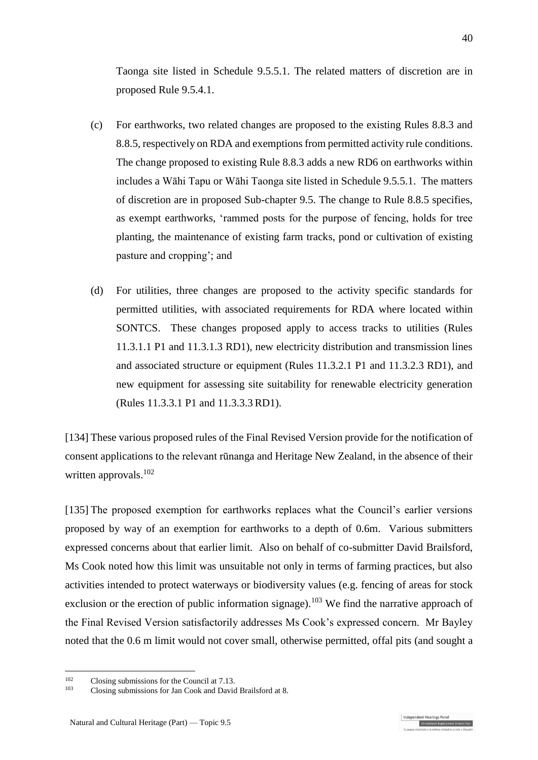Taonga site listed in Schedule 9.5.5.1. The related matters of discretion are in proposed Rule 9.5.4.1.

- (c) For earthworks, two related changes are proposed to the existing Rules 8.8.3 and 8.8.5, respectively on RDA and exemptions from permitted activity rule conditions. The change proposed to existing Rule 8.8.3 adds a new RD6 on earthworks within includes a Wāhi Tapu or Wāhi Taonga site listed in Schedule 9.5.5.1. The matters of discretion are in proposed Sub-chapter 9.5. The change to Rule 8.8.5 specifies, as exempt earthworks, 'rammed posts for the purpose of fencing, holds for tree planting, the maintenance of existing farm tracks, pond or cultivation of existing pasture and cropping'; and
- (d) For utilities, three changes are proposed to the activity specific standards for permitted utilities, with associated requirements for RDA where located within SONTCS. These changes proposed apply to access tracks to utilities (Rules 11.3.1.1 P1 and 11.3.1.3 RD1), new electricity distribution and transmission lines and associated structure or equipment (Rules 11.3.2.1 P1 and 11.3.2.3 RD1), and new equipment for assessing site suitability for renewable electricity generation (Rules 11.3.3.1 P1 and 11.3.3.3 RD1).

[134] These various proposed rules of the Final Revised Version provide for the notification of consent applications to the relevant rūnanga and Heritage New Zealand, in the absence of their written approvals.<sup>102</sup>

[135] The proposed exemption for earthworks replaces what the Council's earlier versions proposed by way of an exemption for earthworks to a depth of 0.6m. Various submitters expressed concerns about that earlier limit. Also on behalf of co-submitter David Brailsford, Ms Cook noted how this limit was unsuitable not only in terms of farming practices, but also activities intended to protect waterways or biodiversity values (e.g. fencing of areas for stock exclusion or the erection of public information signage).<sup>103</sup> We find the narrative approach of the Final Revised Version satisfactorily addresses Ms Cook's expressed concern. Mr Bayley noted that the 0.6 m limit would not cover small, otherwise permitted, offal pits (and sought a

ndent Hearings Pane Christchurch Replacement District Plan

 $102$  $\frac{102}{103}$  Closing submissions for the Council at 7.13.

<sup>103</sup> Closing submissions for Jan Cook and David Brailsford at 8.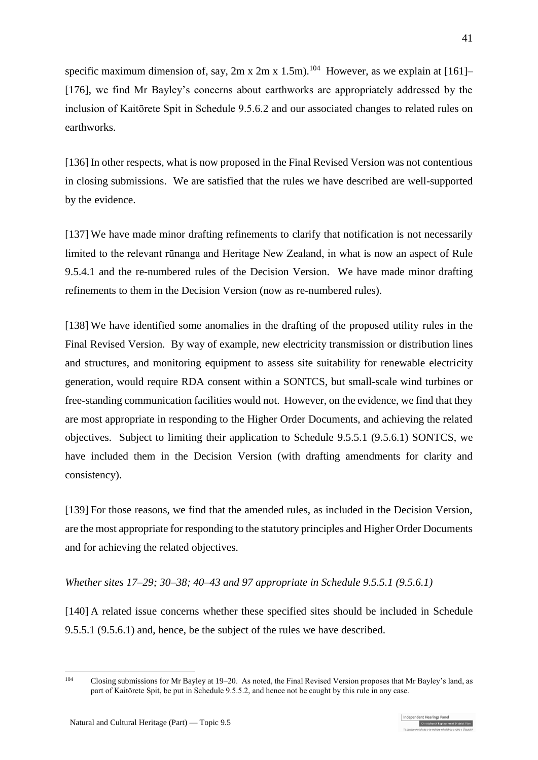specific maximum dimension of, say,  $2m \times 2m \times 1.5m$ ).<sup>104</sup> However, as we explain at [\[161\]–](#page-45-0) [\[176\],](#page-49-0) we find Mr Bayley's concerns about earthworks are appropriately addressed by the inclusion of Kaitōrete Spit in Schedule 9.5.6.2 and our associated changes to related rules on earthworks.

[136] In other respects, what is now proposed in the Final Revised Version was not contentious in closing submissions. We are satisfied that the rules we have described are well-supported by the evidence.

[137] We have made minor drafting refinements to clarify that notification is not necessarily limited to the relevant rūnanga and Heritage New Zealand, in what is now an aspect of Rule 9.5.4.1 and the re-numbered rules of the Decision Version. We have made minor drafting refinements to them in the Decision Version (now as re-numbered rules).

[138] We have identified some anomalies in the drafting of the proposed utility rules in the Final Revised Version. By way of example, new electricity transmission or distribution lines and structures, and monitoring equipment to assess site suitability for renewable electricity generation, would require RDA consent within a SONTCS, but small-scale wind turbines or free-standing communication facilities would not. However, on the evidence, we find that they are most appropriate in responding to the Higher Order Documents, and achieving the related objectives. Subject to limiting their application to Schedule 9.5.5.1 (9.5.6.1) SONTCS, we have included them in the Decision Version (with drafting amendments for clarity and consistency).

<span id="page-40-0"></span>[139] For those reasons, we find that the amended rules, as included in the Decision Version, are the most appropriate for responding to the statutory principles and Higher Order Documents and for achieving the related objectives.

## *Whether sites 17–29; 30–38; 40–43 and 97 appropriate in Schedule 9.5.5.1 (9.5.6.1)*

[140] A related issue concerns whether these specified sites should be included in Schedule 9.5.5.1 (9.5.6.1) and, hence, be the subject of the rules we have described.

<sup>104</sup> <sup>104</sup> Closing submissions for Mr Bayley at 19–20. As noted, the Final Revised Version proposes that Mr Bayley's land, as part of Kaitōrete Spit, be put in Schedule 9.5.5.2, and hence not be caught by this rule in any case.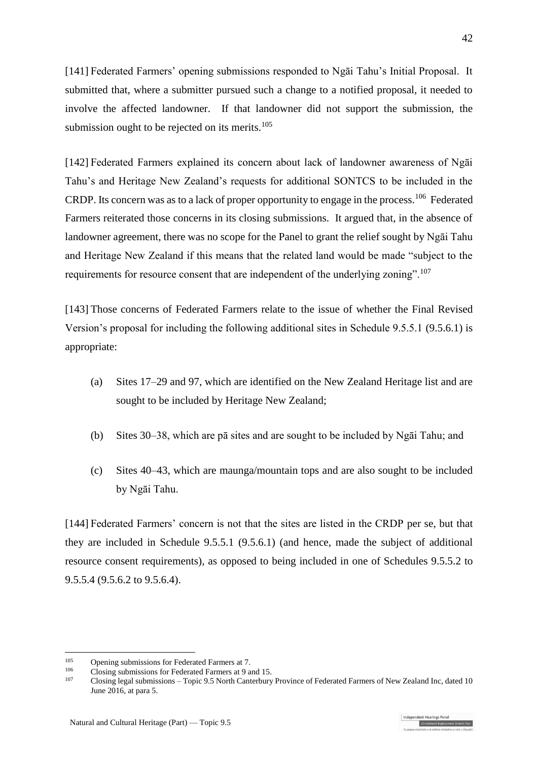[141] Federated Farmers' opening submissions responded to Ngāi Tahu's Initial Proposal. It submitted that, where a submitter pursued such a change to a notified proposal, it needed to involve the affected landowner. If that landowner did not support the submission, the submission ought to be rejected on its merits. $105$ 

[142] Federated Farmers explained its concern about lack of landowner awareness of Ngāi Tahu's and Heritage New Zealand's requests for additional SONTCS to be included in the CRDP. Its concern was as to a lack of proper opportunity to engage in the process.<sup>106</sup> Federated Farmers reiterated those concerns in its closing submissions. It argued that, in the absence of landowner agreement, there was no scope for the Panel to grant the relief sought by Ngāi Tahu and Heritage New Zealand if this means that the related land would be made "subject to the requirements for resource consent that are independent of the underlying zoning".<sup>107</sup>

[143] Those concerns of Federated Farmers relate to the issue of whether the Final Revised Version's proposal for including the following additional sites in Schedule 9.5.5.1 (9.5.6.1) is appropriate:

- (a) Sites 17–29 and 97, which are identified on the New Zealand Heritage list and are sought to be included by Heritage New Zealand;
- (b) Sites 30–38, which are pā sites and are sought to be included by Ngāi Tahu; and
- (c) Sites 40–43, which are maunga/mountain tops and are also sought to be included by Ngāi Tahu.

[144] Federated Farmers' concern is not that the sites are listed in the CRDP per se, but that they are included in Schedule 9.5.5.1 (9.5.6.1) (and hence, made the subject of additional resource consent requirements), as opposed to being included in one of Schedules 9.5.5.2 to 9.5.5.4 (9.5.6.2 to 9.5.6.4).

<u>.</u>

<sup>&</sup>lt;sup>105</sup> Opening submissions for Federated Farmers at 7.<br> $\frac{106}{\text{C}}$  Claris submissions for Federated Farmers at 0.

 $\frac{106}{107}$  Closing submissions for Federated Farmers at 9 and 15.

<sup>107</sup> Closing legal submissions – Topic 9.5 North Canterbury Province of Federated Farmers of New Zealand Inc, dated 10 June 2016, at para 5.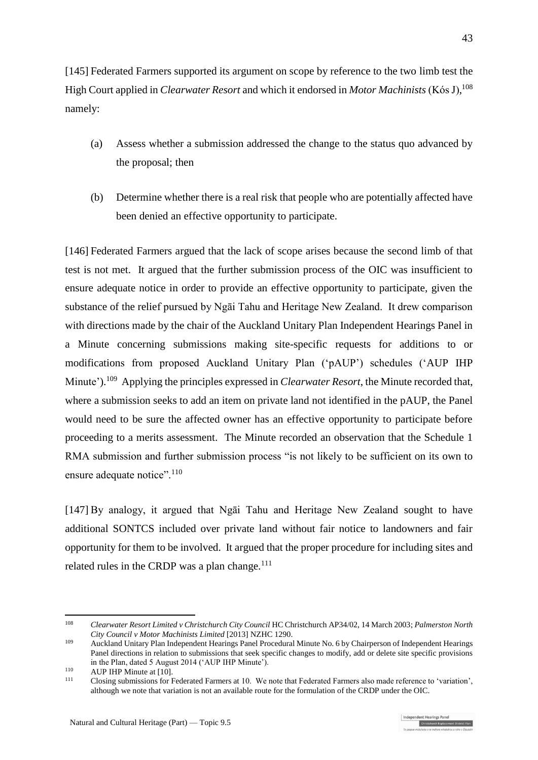[145] Federated Farmers supported its argument on scope by reference to the two limb test the High Court applied in *Clearwater Resort* and which it endorsed in *Motor Machinists* (Kόs J), 108 namely:

- (a) Assess whether a submission addressed the change to the status quo advanced by the proposal; then
- (b) Determine whether there is a real risk that people who are potentially affected have been denied an effective opportunity to participate.

[146] Federated Farmers argued that the lack of scope arises because the second limb of that test is not met. It argued that the further submission process of the OIC was insufficient to ensure adequate notice in order to provide an effective opportunity to participate, given the substance of the relief pursued by Ngāi Tahu and Heritage New Zealand. It drew comparison with directions made by the chair of the Auckland Unitary Plan Independent Hearings Panel in a Minute concerning submissions making site-specific requests for additions to or modifications from proposed Auckland Unitary Plan ('pAUP') schedules ('AUP IHP Minute').<sup>109</sup> Applying the principles expressed in *Clearwater Resort*, the Minute recorded that, where a submission seeks to add an item on private land not identified in the pAUP, the Panel would need to be sure the affected owner has an effective opportunity to participate before proceeding to a merits assessment. The Minute recorded an observation that the Schedule 1 RMA submission and further submission process "is not likely to be sufficient on its own to ensure adequate notice".<sup>110</sup>

[147] By analogy, it argued that Ngāi Tahu and Heritage New Zealand sought to have additional SONTCS included over private land without fair notice to landowners and fair opportunity for them to be involved. It argued that the proper procedure for including sites and related rules in the CRDP was a plan change. $111$ 

<sup>108</sup> *Clearwater Resort Limited v Christchurch City Council* HC Christchurch AP34/02, 14 March 2003; *Palmerston North City Council v Motor Machinists Limited* [2013] NZHC 1290.

<sup>109</sup> Auckland Unitary Plan Independent Hearings Panel Procedural Minute No. 6 by Chairperson of Independent Hearings Panel directions in relation to submissions that seek specific changes to modify, add or delete site specific provisions in the Plan, dated 5 August 2014 ('AUP IHP Minute').

 $110$  AUP IHP Minute at [10].

<sup>111</sup> Closing submissions for Federated Farmers at 10. We note that Federated Farmers also made reference to 'variation', although we note that variation is not an available route for the formulation of the CRDP under the OIC.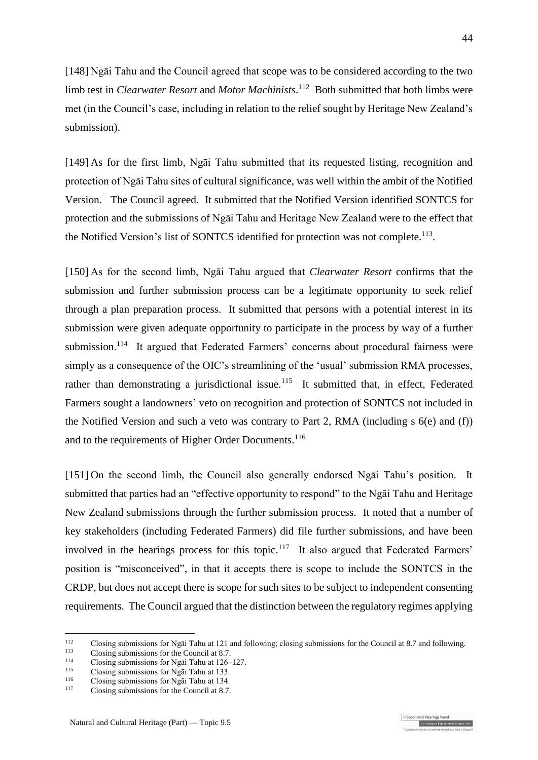[148] Ngāi Tahu and the Council agreed that scope was to be considered according to the two limb test in *Clearwater Resort* and *Motor Machinists*. 112 Both submitted that both limbs were met (in the Council's case, including in relation to the relief sought by Heritage New Zealand's submission).

[149] As for the first limb, Ngāi Tahu submitted that its requested listing, recognition and protection of Ngāi Tahu sites of cultural significance, was well within the ambit of the Notified Version. The Council agreed. It submitted that the Notified Version identified SONTCS for protection and the submissions of Ngāi Tahu and Heritage New Zealand were to the effect that the Notified Version's list of SONTCS identified for protection was not complete.<sup>113</sup>.

[150] As for the second limb, Ngāi Tahu argued that *Clearwater Resort* confirms that the submission and further submission process can be a legitimate opportunity to seek relief through a plan preparation process. It submitted that persons with a potential interest in its submission were given adequate opportunity to participate in the process by way of a further submission.<sup>114</sup> It argued that Federated Farmers' concerns about procedural fairness were simply as a consequence of the OIC's streamlining of the 'usual' submission RMA processes, rather than demonstrating a jurisdictional issue.<sup>115</sup> It submitted that, in effect, Federated Farmers sought a landowners' veto on recognition and protection of SONTCS not included in the Notified Version and such a veto was contrary to Part 2, RMA (including s 6(e) and (f)) and to the requirements of Higher Order Documents.<sup>116</sup>

[151] On the second limb, the Council also generally endorsed Ngāi Tahu's position. It submitted that parties had an "effective opportunity to respond" to the Ngāi Tahu and Heritage New Zealand submissions through the further submission process. It noted that a number of key stakeholders (including Federated Farmers) did file further submissions, and have been involved in the hearings process for this topic.<sup>117</sup> It also argued that Federated Farmers' position is "misconceived", in that it accepts there is scope to include the SONTCS in the CRDP, but does not accept there is scope for such sites to be subject to independent consenting requirements. The Council argued that the distinction between the regulatory regimes applying

<sup>&</sup>lt;sup>112</sup> Closing submissions for Ngāi Tahu at 121 and following; closing submissions for the Council at 8.7 and following.

<sup>&</sup>lt;sup>113</sup> Closing submissions for the Council at 8.7.<br> $\frac{114}{\text{C} \cdot \text{C} \cdot \text{C} \cdot \text{C} \cdot \text{C} \cdot \text{C}}$ 

<sup>&</sup>lt;sup>114</sup> Closing submissions for Ngai Tahu at  $126-127$ .

<sup>&</sup>lt;sup>115</sup> Closing submissions for Ngai Tahu at 133.

<sup>&</sup>lt;sup>116</sup> Closing submissions for Ngai Tahu at 134.<br> $\frac{117}{2}$  Closing submissions for the Council at 8.7

Closing submissions for the Council at 8.7.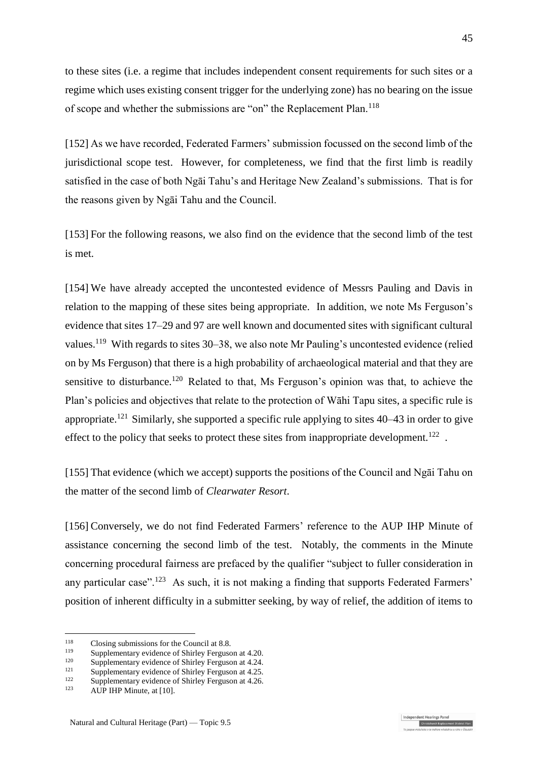to these sites (i.e. a regime that includes independent consent requirements for such sites or a regime which uses existing consent trigger for the underlying zone) has no bearing on the issue of scope and whether the submissions are "on" the Replacement Plan.<sup>118</sup>

[152] As we have recorded, Federated Farmers' submission focussed on the second limb of the jurisdictional scope test. However, for completeness, we find that the first limb is readily satisfied in the case of both Ngāi Tahu's and Heritage New Zealand's submissions. That is for the reasons given by Ngāi Tahu and the Council.

[153] For the following reasons, we also find on the evidence that the second limb of the test is met.

<span id="page-44-0"></span>[154] We have already accepted the uncontested evidence of Messrs Pauling and Davis in relation to the mapping of these sites being appropriate. In addition, we note Ms Ferguson's evidence that sites 17–29 and 97 are well known and documented sites with significant cultural values.<sup>119</sup> With regards to sites 30–38, we also note Mr Pauling's uncontested evidence (relied on by Ms Ferguson) that there is a high probability of archaeological material and that they are sensitive to disturbance.<sup>120</sup> Related to that, Ms Ferguson's opinion was that, to achieve the Plan's policies and objectives that relate to the protection of Wāhi Tapu sites, a specific rule is appropriate.<sup>121</sup> Similarly, she supported a specific rule applying to sites  $40-43$  in order to give effect to the policy that seeks to protect these sites from inappropriate development.<sup>122</sup>.

[155] That evidence (which we accept) supports the positions of the Council and Ngāi Tahu on the matter of the second limb of *Clearwater Resort*.

[156] Conversely, we do not find Federated Farmers' reference to the AUP IHP Minute of assistance concerning the second limb of the test. Notably, the comments in the Minute concerning procedural fairness are prefaced by the qualifier "subject to fuller consideration in any particular case".<sup>123</sup> As such, it is not making a finding that supports Federated Farmers' position of inherent difficulty in a submitter seeking, by way of relief, the addition of items to

1

ndent Hearings Pane Christchurch Replacement District Plan

<sup>&</sup>lt;sup>118</sup> Closing submissions for the Council at 8.8.<br> $\frac{119}{2}$  Symplementery suidence of Shieley Enguses

<sup>&</sup>lt;sup>119</sup> Supplementary evidence of Shirley Ferguson at 4.20.<br><sup>120</sup> Supplementary evidence of Shirley Ferguson at 4.24.

<sup>&</sup>lt;sup>120</sup> Supplementary evidence of Shirley Ferguson at 4.24.

<sup>&</sup>lt;sup>121</sup> Supplementary evidence of Shirley Ferguson at 4.25.<br><sup>122</sup> Supplementary suidance of Shirley Ferguson at 4.26.

<sup>&</sup>lt;sup>122</sup> Supplementary evidence of Shirley Ferguson at 4.26.<br><sup>123</sup> AUD HID Minute at  $101$ 

AUP IHP Minute, at [10].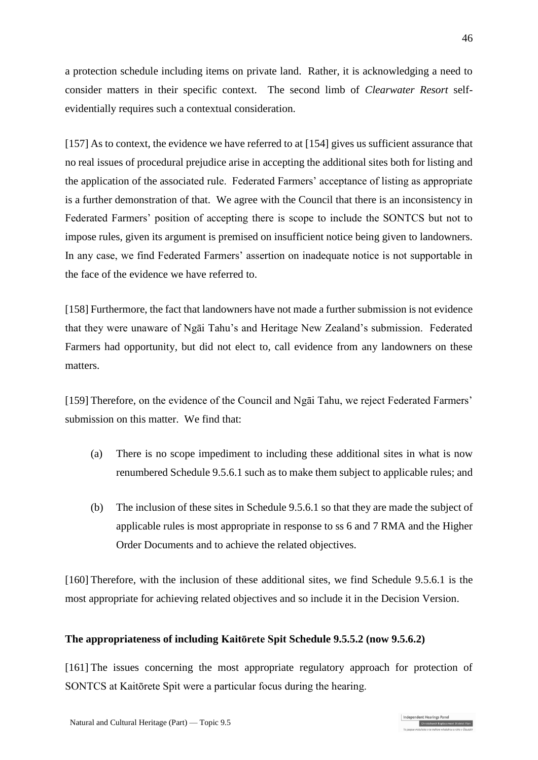a protection schedule including items on private land. Rather, it is acknowledging a need to consider matters in their specific context. The second limb of *Clearwater Resort* selfevidentially requires such a contextual consideration.

[157] As to context, the evidence we have referred to at [\[154\]](#page-44-0) gives us sufficient assurance that no real issues of procedural prejudice arise in accepting the additional sites both for listing and the application of the associated rule. Federated Farmers' acceptance of listing as appropriate is a further demonstration of that. We agree with the Council that there is an inconsistency in Federated Farmers' position of accepting there is scope to include the SONTCS but not to impose rules, given its argument is premised on insufficient notice being given to landowners. In any case, we find Federated Farmers' assertion on inadequate notice is not supportable in the face of the evidence we have referred to.

[158] Furthermore, the fact that landowners have not made a further submission is not evidence that they were unaware of Ngāi Tahu's and Heritage New Zealand's submission. Federated Farmers had opportunity, but did not elect to, call evidence from any landowners on these matters.

[159] Therefore, on the evidence of the Council and Ngāi Tahu, we reject Federated Farmers' submission on this matter. We find that:

- (a) There is no scope impediment to including these additional sites in what is now renumbered Schedule 9.5.6.1 such as to make them subject to applicable rules; and
- (b) The inclusion of these sites in Schedule 9.5.6.1 so that they are made the subject of applicable rules is most appropriate in response to ss 6 and 7 RMA and the Higher Order Documents and to achieve the related objectives.

[160] Therefore, with the inclusion of these additional sites, we find Schedule 9.5.6.1 is the most appropriate for achieving related objectives and so include it in the Decision Version.

## <span id="page-45-0"></span>**The appropriateness of including Kaitōrete Spit Schedule 9.5.5.2 (now 9.5.6.2)**

[161] The issues concerning the most appropriate regulatory approach for protection of SONTCS at Kaitōrete Spit were a particular focus during the hearing.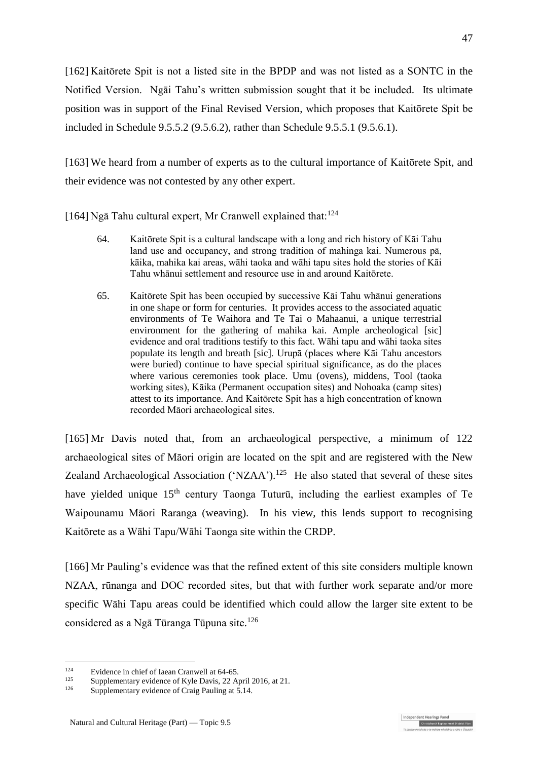[162] Kaitōrete Spit is not a listed site in the BPDP and was not listed as a SONTC in the Notified Version. Ngāi Tahu's written submission sought that it be included. Its ultimate position was in support of the Final Revised Version, which proposes that Kaitōrete Spit be included in Schedule 9.5.5.2 (9.5.6.2), rather than Schedule 9.5.5.1 (9.5.6.1).

[163] We heard from a number of experts as to the cultural importance of Kaitōrete Spit, and their evidence was not contested by any other expert.

[164] Ngā Tahu cultural expert, Mr Cranwell explained that:  $124$ 

- 64. Kaitōrete Spit is a cultural landscape with a long and rich history of Kāi Tahu land use and occupancy, and strong tradition of mahinga kai. Numerous pā, kāika, mahika kai areas, wāhi taoka and wāhi tapu sites hold the stories of Kāi Tahu whānui settlement and resource use in and around Kaitōrete.
- 65. Kaitōrete Spit has been occupied by successive Kāi Tahu whānui generations in one shape or form for centuries. It provides access to the associated aquatic environments of Te Waihora and Te Tai o Mahaanui, a unique terrestrial environment for the gathering of mahika kai. Ample archeological [sic] evidence and oral traditions testify to this fact. Wāhi tapu and wāhi taoka sites populate its length and breath [sic]. Urupā (places where Kāi Tahu ancestors were buried) continue to have special spiritual significance, as do the places where various ceremonies took place. Umu (ovens), middens, Tool (taoka working sites), Kāika (Permanent occupation sites) and Nohoaka (camp sites) attest to its importance. And Kaitōrete Spit has a high concentration of known recorded Māori archaeological sites.

[165] Mr Davis noted that, from an archaeological perspective, a minimum of 122 archaeological sites of Māori origin are located on the spit and are registered with the New Zealand Archaeological Association ('NZAA').<sup>125</sup> He also stated that several of these sites have yielded unique  $15<sup>th</sup>$  century Taonga Tuturū, including the earliest examples of Te Waipounamu Māori Raranga (weaving). In his view, this lends support to recognising Kaitōrete as a Wāhi Tapu/Wāhi Taonga site within the CRDP.

[166] Mr Pauling's evidence was that the refined extent of this site considers multiple known NZAA, rūnanga and DOC recorded sites, but that with further work separate and/or more specific Wāhi Tapu areas could be identified which could allow the larger site extent to be considered as a Ngā Tūranga Tūpuna site. 126

1

dependent Hearings Pane

<sup>&</sup>lt;sup>124</sup> Evidence in chief of Iaean Cranwell at  $64-65$ .

<sup>&</sup>lt;sup>125</sup> Supplementary evidence of Kyle Davis, 22 April 2016, at 21.<br><sup>126</sup> Supplementary evidence of Crais Davling at  $\frac{5}{2}$  14

Supplementary evidence of Craig Pauling at 5.14.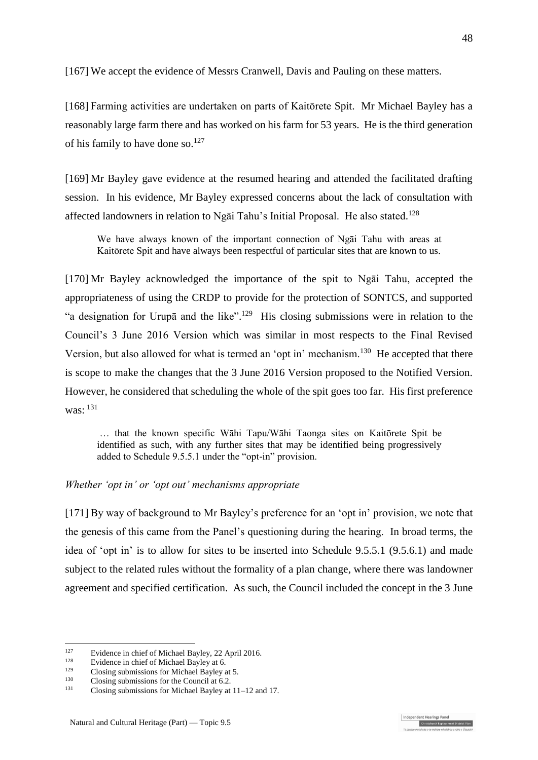<span id="page-47-0"></span>[167] We accept the evidence of Messrs Cranwell, Davis and Pauling on these matters.

[168] Farming activities are undertaken on parts of Kaitōrete Spit. Mr Michael Bayley has a reasonably large farm there and has worked on his farm for 53 years. He is the third generation of his family to have done so.<sup>127</sup>

[169] Mr Bayley gave evidence at the resumed hearing and attended the facilitated drafting session. In his evidence, Mr Bayley expressed concerns about the lack of consultation with affected landowners in relation to Ngāi Tahu's Initial Proposal. He also stated. 128

We have always known of the important connection of Ngāi Tahu with areas at Kaitōrete Spit and have always been respectful of particular sites that are known to us.

[170] Mr Bayley acknowledged the importance of the spit to Ngāi Tahu, accepted the appropriateness of using the CRDP to provide for the protection of SONTCS, and supported "a designation for Urupā and the like".<sup>129</sup> His closing submissions were in relation to the Council's 3 June 2016 Version which was similar in most respects to the Final Revised Version, but also allowed for what is termed an 'opt in' mechanism.<sup>130</sup> He accepted that there is scope to make the changes that the 3 June 2016 Version proposed to the Notified Version. However, he considered that scheduling the whole of the spit goes too far. His first preference was: <sup>131</sup>

… that the known specific Wāhi Tapu/Wāhi Taonga sites on Kaitōrete Spit be identified as such, with any further sites that may be identified being progressively added to Schedule 9.5.5.1 under the "opt-in" provision.

## *Whether 'opt in' or 'opt out' mechanisms appropriate*

[171] By way of background to Mr Bayley's preference for an 'opt in' provision, we note that the genesis of this came from the Panel's questioning during the hearing. In broad terms, the idea of 'opt in' is to allow for sites to be inserted into Schedule 9.5.5.1 (9.5.6.1) and made subject to the related rules without the formality of a plan change, where there was landowner agreement and specified certification. As such, the Council included the concept in the 3 June

1

dependent Hearings Pane

<sup>&</sup>lt;sup>127</sup> Evidence in chief of Michael Bayley, 22 April 2016.

<sup>&</sup>lt;sup>128</sup> Evidence in chief of Michael Bayley at 6.<br><sup>129</sup> Claring submissions for Michael Bayley

<sup>&</sup>lt;sup>129</sup> Closing submissions for Michael Bayley at 5.<br> $\frac{130}{2}$  Closing submissions for the Causeil at 6.3

<sup>&</sup>lt;sup>130</sup> Closing submissions for the Council at 6.2.<br>
<sup>131</sup> Closing submissions for Misbael Baylov at

<sup>131</sup> Closing submissions for Michael Bayley at 11–12 and 17.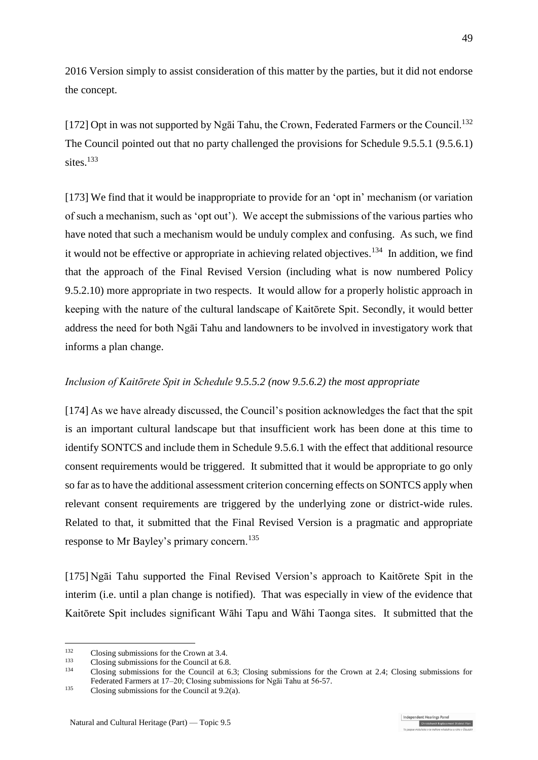2016 Version simply to assist consideration of this matter by the parties, but it did not endorse the concept.

[172] Opt in was not supported by Ngai Tahu, the Crown, Federated Farmers or the Council.<sup>132</sup> The Council pointed out that no party challenged the provisions for Schedule 9.5.5.1 (9.5.6.1) sites.<sup>133</sup>

[173] We find that it would be inappropriate to provide for an 'opt in' mechanism (or variation of such a mechanism, such as 'opt out'). We accept the submissions of the various parties who have noted that such a mechanism would be unduly complex and confusing. As such, we find it would not be effective or appropriate in achieving related objectives.<sup>134</sup> In addition, we find that the approach of the Final Revised Version (including what is now numbered Policy 9.5.2.10) more appropriate in two respects. It would allow for a properly holistic approach in keeping with the nature of the cultural landscape of Kaitōrete Spit. Secondly, it would better address the need for both Ngāi Tahu and landowners to be involved in investigatory work that informs a plan change.

## *Inclusion of Kaitōrete Spit in Schedule 9.5.5.2 (now 9.5.6.2) the most appropriate*

[174] As we have already discussed, the Council's position acknowledges the fact that the spit is an important cultural landscape but that insufficient work has been done at this time to identify SONTCS and include them in Schedule 9.5.6.1 with the effect that additional resource consent requirements would be triggered. It submitted that it would be appropriate to go only so far as to have the additional assessment criterion concerning effects on SONTCS apply when relevant consent requirements are triggered by the underlying zone or district-wide rules. Related to that, it submitted that the Final Revised Version is a pragmatic and appropriate response to Mr Bayley's primary concern.<sup>135</sup>

[175] Ngāi Tahu supported the Final Revised Version's approach to Kaitōrete Spit in the interim (i.e. until a plan change is notified). That was especially in view of the evidence that Kaitōrete Spit includes significant Wāhi Tapu and Wāhi Taonga sites. It submitted that the

<sup>&</sup>lt;sup>132</sup> Closing submissions for the Crown at 3.4.<br><sup>133</sup> Closing submissions for the Council at 6.8

<sup>&</sup>lt;sup>133</sup> Closing submissions for the Council at 6.8.<br> $134$  Closing submissions for the Council at 6.

<sup>134</sup> Closing submissions for the Council at 6.3; Closing submissions for the Crown at 2.4; Closing submissions for Federated Farmers at 17–20; Closing submissions for Ngāi Tahu at 56-57.

 $135$  Closing submissions for the Council at 9.2(a).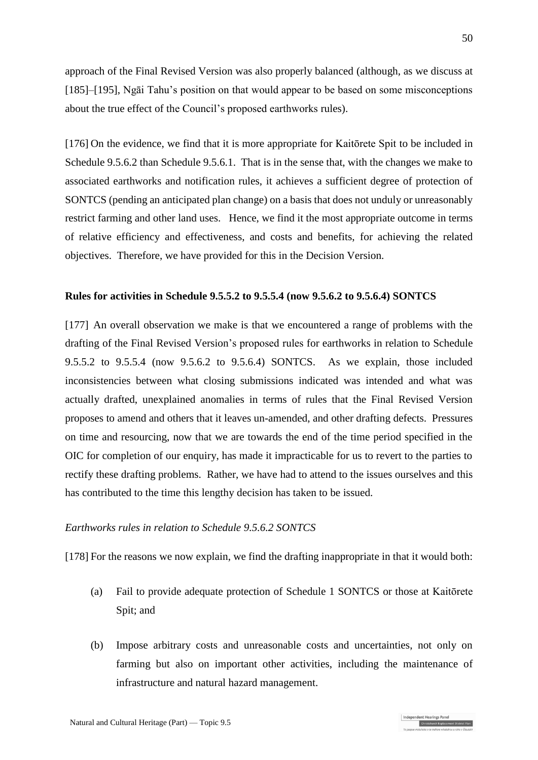approach of the Final Revised Version was also properly balanced (although, as we discuss at [\[185\]](#page-51-0)[–\[195\],](#page-52-1) Ngāi Tahu's position on that would appear to be based on some misconceptions about the true effect of the Council's proposed earthworks rules).

<span id="page-49-0"></span>[176] On the evidence, we find that it is more appropriate for Kaitōrete Spit to be included in Schedule 9.5.6.2 than Schedule 9.5.6.1. That is in the sense that, with the changes we make to associated earthworks and notification rules, it achieves a sufficient degree of protection of SONTCS (pending an anticipated plan change) on a basis that does not unduly or unreasonably restrict farming and other land uses. Hence, we find it the most appropriate outcome in terms of relative efficiency and effectiveness, and costs and benefits, for achieving the related objectives. Therefore, we have provided for this in the Decision Version.

### **Rules for activities in Schedule 9.5.5.2 to 9.5.5.4 (now 9.5.6.2 to 9.5.6.4) SONTCS**

[177] An overall observation we make is that we encountered a range of problems with the drafting of the Final Revised Version's proposed rules for earthworks in relation to Schedule 9.5.5.2 to 9.5.5.4 (now 9.5.6.2 to 9.5.6.4) SONTCS. As we explain, those included inconsistencies between what closing submissions indicated was intended and what was actually drafted, unexplained anomalies in terms of rules that the Final Revised Version proposes to amend and others that it leaves un-amended, and other drafting defects. Pressures on time and resourcing, now that we are towards the end of the time period specified in the OIC for completion of our enquiry, has made it impracticable for us to revert to the parties to rectify these drafting problems. Rather, we have had to attend to the issues ourselves and this has contributed to the time this lengthy decision has taken to be issued.

## *Earthworks rules in relation to Schedule 9.5.6.2 SONTCS*

[178] For the reasons we now explain, we find the drafting inappropriate in that it would both:

- (a) Fail to provide adequate protection of Schedule 1 SONTCS or those at Kaitōrete Spit; and
- (b) Impose arbitrary costs and unreasonable costs and uncertainties, not only on farming but also on important other activities, including the maintenance of infrastructure and natural hazard management.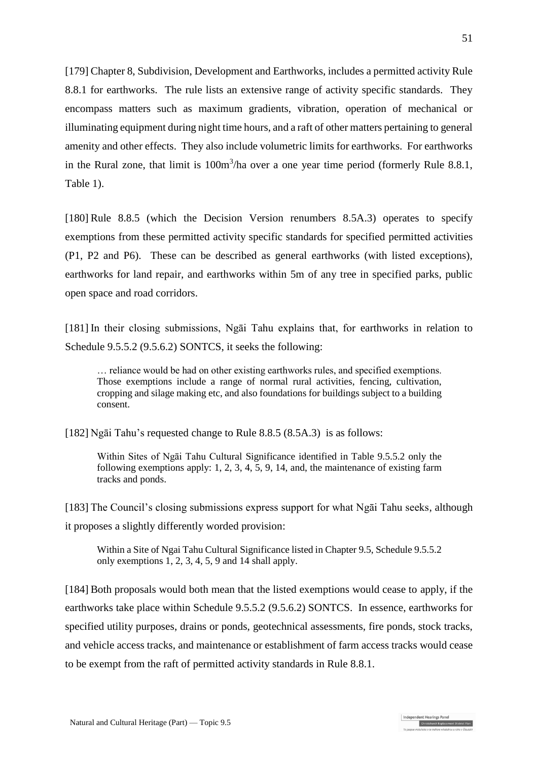[179] Chapter 8, Subdivision, Development and Earthworks, includes a permitted activity Rule 8.8.1 for earthworks. The rule lists an extensive range of activity specific standards. They encompass matters such as maximum gradients, vibration, operation of mechanical or illuminating equipment during night time hours, and a raft of other matters pertaining to general amenity and other effects. They also include volumetric limits for earthworks. For earthworks in the Rural zone, that limit is  $100m<sup>3</sup>/ha$  over a one year time period (formerly Rule 8.8.1, Table 1).

[180] Rule 8.8.5 (which the Decision Version renumbers 8.5A.3) operates to specify exemptions from these permitted activity specific standards for specified permitted activities (P1, P2 and P6). These can be described as general earthworks (with listed exceptions), earthworks for land repair, and earthworks within 5m of any tree in specified parks, public open space and road corridors.

[181] In their closing submissions, Ngai Tahu explains that, for earthworks in relation to Schedule 9.5.5.2 (9.5.6.2) SONTCS, it seeks the following:

… reliance would be had on other existing earthworks rules, and specified exemptions. Those exemptions include a range of normal rural activities, fencing, cultivation, cropping and silage making etc, and also foundations for buildings subject to a building consent.

[182] Ngāi Tahu's requested change to Rule 8.8.5 (8.5A.3) is as follows:

Within Sites of Ngāi Tahu Cultural Significance identified in Table 9.5.5.2 only the following exemptions apply: 1, 2, 3, 4, 5, 9, 14, and, the maintenance of existing farm tracks and ponds.

[183] The Council's closing submissions express support for what Ngāi Tahu seeks, although it proposes a slightly differently worded provision:

Within a Site of Ngai Tahu Cultural Significance listed in Chapter 9.5, Schedule 9.5.5.2 only exemptions 1, 2, 3, 4, 5, 9 and 14 shall apply.

[184] Both proposals would both mean that the listed exemptions would cease to apply, if the earthworks take place within Schedule 9.5.5.2 (9.5.6.2) SONTCS. In essence, earthworks for specified utility purposes, drains or ponds, geotechnical assessments, fire ponds, stock tracks, and vehicle access tracks, and maintenance or establishment of farm access tracks would cease to be exempt from the raft of permitted activity standards in Rule 8.8.1.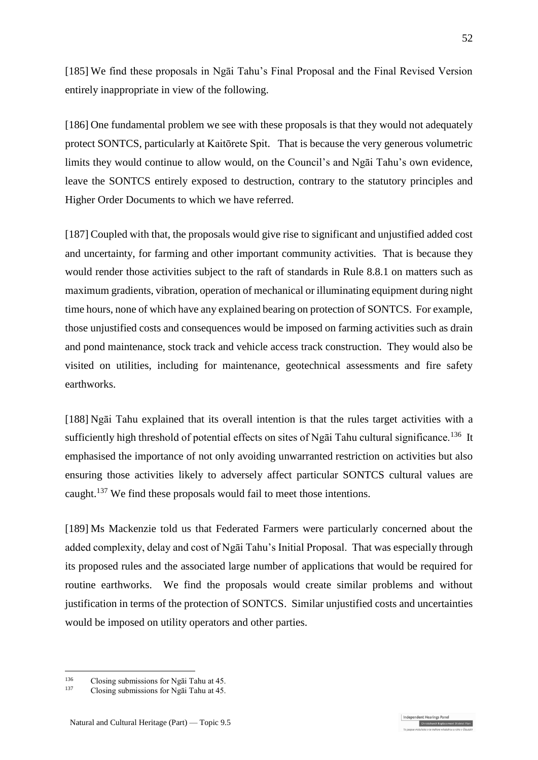<span id="page-51-0"></span>[185] We find these proposals in Ngāi Tahu's Final Proposal and the Final Revised Version entirely inappropriate in view of the following.

[186] One fundamental problem we see with these proposals is that they would not adequately protect SONTCS, particularly at Kaitōrete Spit. That is because the very generous volumetric limits they would continue to allow would, on the Council's and Ngāi Tahu's own evidence, leave the SONTCS entirely exposed to destruction, contrary to the statutory principles and Higher Order Documents to which we have referred.

[187] Coupled with that, the proposals would give rise to significant and unjustified added cost and uncertainty, for farming and other important community activities. That is because they would render those activities subject to the raft of standards in Rule 8.8.1 on matters such as maximum gradients, vibration, operation of mechanical or illuminating equipment during night time hours, none of which have any explained bearing on protection of SONTCS. For example, those unjustified costs and consequences would be imposed on farming activities such as drain and pond maintenance, stock track and vehicle access track construction. They would also be visited on utilities, including for maintenance, geotechnical assessments and fire safety earthworks.

[188] Ngāi Tahu explained that its overall intention is that the rules target activities with a sufficiently high threshold of potential effects on sites of Ngai Tahu cultural significance.<sup>136</sup> It emphasised the importance of not only avoiding unwarranted restriction on activities but also ensuring those activities likely to adversely affect particular SONTCS cultural values are caught.<sup>137</sup> We find these proposals would fail to meet those intentions.

[189] Ms Mackenzie told us that Federated Farmers were particularly concerned about the added complexity, delay and cost of Ngāi Tahu's Initial Proposal. That was especially through its proposed rules and the associated large number of applications that would be required for routine earthworks. We find the proposals would create similar problems and without justification in terms of the protection of SONTCS. Similar unjustified costs and uncertainties would be imposed on utility operators and other parties.

ndependent Hearings Pane

<sup>136</sup> <sup>136</sup> Closing submissions for Ngai Tahu at 45.<br><sup>137</sup> Closing submissions for Ngai Tahu at 45.

<sup>137</sup> Closing submissions for Ngāi Tahu at 45.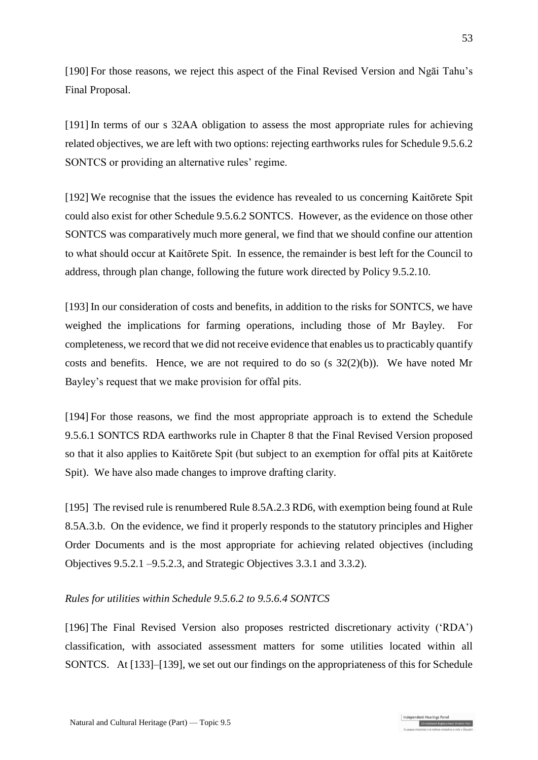[190] For those reasons, we reject this aspect of the Final Revised Version and Ngāi Tahu's Final Proposal.

[191] In terms of our s 32AA obligation to assess the most appropriate rules for achieving related objectives, we are left with two options: rejecting earthworks rules for Schedule 9.5.6.2 SONTCS or providing an alternative rules' regime.

[192] We recognise that the issues the evidence has revealed to us concerning Kaitōrete Spit could also exist for other Schedule 9.5.6.2 SONTCS. However, as the evidence on those other SONTCS was comparatively much more general, we find that we should confine our attention to what should occur at Kaitōrete Spit. In essence, the remainder is best left for the Council to address, through plan change, following the future work directed by Policy 9.5.2.10.

[193] In our consideration of costs and benefits, in addition to the risks for SONTCS, we have weighed the implications for farming operations, including those of Mr Bayley. For completeness, we record that we did not receive evidence that enables us to practicably quantify costs and benefits. Hence, we are not required to do so (s  $32(2)(b)$ ). We have noted Mr Bayley's request that we make provision for offal pits.

[194] For those reasons, we find the most appropriate approach is to extend the Schedule 9.5.6.1 SONTCS RDA earthworks rule in Chapter 8 that the Final Revised Version proposed so that it also applies to Kaitōrete Spit (but subject to an exemption for offal pits at Kaitōrete Spit). We have also made changes to improve drafting clarity.

<span id="page-52-1"></span>[195] The revised rule is renumbered Rule 8.5A.2.3 RD6, with exemption being found at Rule 8.5A.3.b. On the evidence, we find it properly responds to the statutory principles and Higher Order Documents and is the most appropriate for achieving related objectives (including Objectives 9.5.2.1 –9.5.2.3, and Strategic Objectives 3.3.1 and 3.3.2).

## <span id="page-52-0"></span>*Rules for utilities within Schedule 9.5.6.2 to 9.5.6.4 SONTCS*

[196] The Final Revised Version also proposes restricted discretionary activity ('RDA') classification, with associated assessment matters for some utilities located within all SONTCS. At [\[133\]](#page-38-0)[–\[139\],](#page-40-0) we set out our findings on the appropriateness of this for Schedule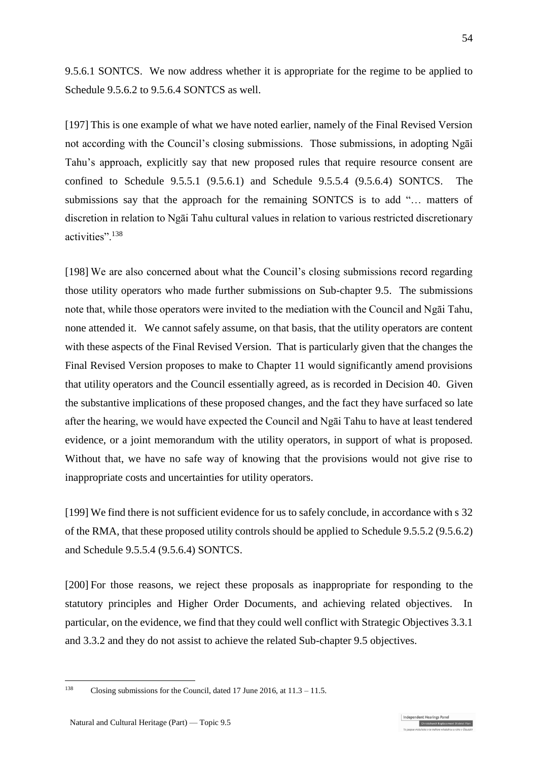9.5.6.1 SONTCS. We now address whether it is appropriate for the regime to be applied to Schedule 9.5.6.2 to 9.5.6.4 SONTCS as well.

[197] This is one example of what we have noted earlier, namely of the Final Revised Version not according with the Council's closing submissions. Those submissions, in adopting Ngāi Tahu's approach, explicitly say that new proposed rules that require resource consent are confined to Schedule 9.5.5.1 (9.5.6.1) and Schedule 9.5.5.4 (9.5.6.4) SONTCS. The submissions say that the approach for the remaining SONTCS is to add "… matters of discretion in relation to Ngāi Tahu cultural values in relation to various restricted discretionary activities".<sup>138</sup>

[198] We are also concerned about what the Council's closing submissions record regarding those utility operators who made further submissions on Sub-chapter 9.5. The submissions note that, while those operators were invited to the mediation with the Council and Ngāi Tahu, none attended it. We cannot safely assume, on that basis, that the utility operators are content with these aspects of the Final Revised Version. That is particularly given that the changes the Final Revised Version proposes to make to Chapter 11 would significantly amend provisions that utility operators and the Council essentially agreed, as is recorded in Decision 40. Given the substantive implications of these proposed changes, and the fact they have surfaced so late after the hearing, we would have expected the Council and Ngāi Tahu to have at least tendered evidence, or a joint memorandum with the utility operators, in support of what is proposed. Without that, we have no safe way of knowing that the provisions would not give rise to inappropriate costs and uncertainties for utility operators.

<span id="page-53-0"></span>[199] We find there is not sufficient evidence for us to safely conclude, in accordance with s 32 of the RMA, that these proposed utility controls should be applied to Schedule 9.5.5.2 (9.5.6.2) and Schedule 9.5.5.4 (9.5.6.4) SONTCS.

[200] For those reasons, we reject these proposals as inappropriate for responding to the statutory principles and Higher Order Documents, and achieving related objectives. In particular, on the evidence, we find that they could well conflict with Strategic Objectives 3.3.1 and 3.3.2 and they do not assist to achieve the related Sub-chapter 9.5 objectives.

1

Christchurch Replacement Dist

<sup>138</sup> Closing submissions for the Council, dated 17 June 2016, at 11.3 – 11.5.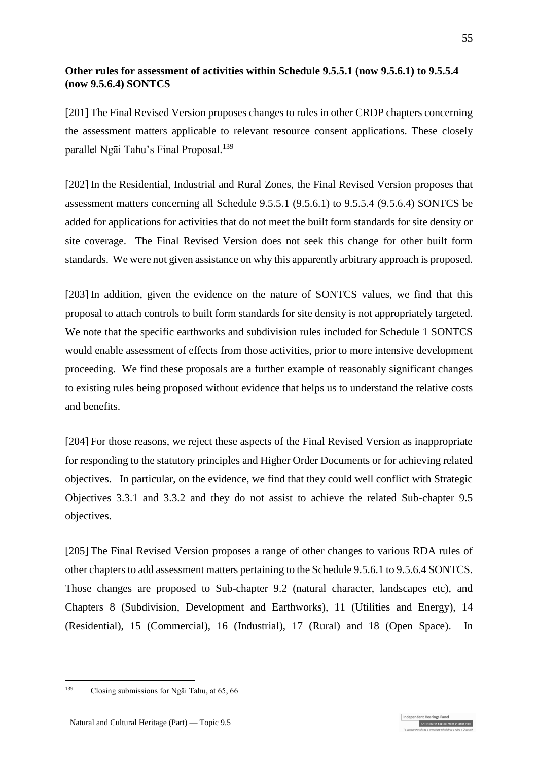## **Other rules for assessment of activities within Schedule 9.5.5.1 (now 9.5.6.1) to 9.5.5.4 (now 9.5.6.4) SONTCS**

[201] The Final Revised Version proposes changes to rules in other CRDP chapters concerning the assessment matters applicable to relevant resource consent applications. These closely parallel Ngāi Tahu's Final Proposal. 139

[202] In the Residential, Industrial and Rural Zones, the Final Revised Version proposes that assessment matters concerning all Schedule 9.5.5.1 (9.5.6.1) to 9.5.5.4 (9.5.6.4) SONTCS be added for applications for activities that do not meet the built form standards for site density or site coverage. The Final Revised Version does not seek this change for other built form standards. We were not given assistance on why this apparently arbitrary approach is proposed.

[203] In addition, given the evidence on the nature of SONTCS values, we find that this proposal to attach controls to built form standards for site density is not appropriately targeted. We note that the specific earthworks and subdivision rules included for Schedule 1 SONTCS would enable assessment of effects from those activities, prior to more intensive development proceeding. We find these proposals are a further example of reasonably significant changes to existing rules being proposed without evidence that helps us to understand the relative costs and benefits.

[204] For those reasons, we reject these aspects of the Final Revised Version as inappropriate for responding to the statutory principles and Higher Order Documents or for achieving related objectives. In particular, on the evidence, we find that they could well conflict with Strategic Objectives 3.3.1 and 3.3.2 and they do not assist to achieve the related Sub-chapter 9.5 objectives.

[205] The Final Revised Version proposes a range of other changes to various RDA rules of other chapters to add assessment matters pertaining to the Schedule 9.5.6.1 to 9.5.6.4 SONTCS. Those changes are proposed to Sub-chapter 9.2 (natural character, landscapes etc), and Chapters 8 (Subdivision, Development and Earthworks), 11 (Utilities and Energy), 14 (Residential), 15 (Commercial), 16 (Industrial), 17 (Rural) and 18 (Open Space). In

1

<sup>139</sup> Closing submissions for Ngāi Tahu, at 65, 66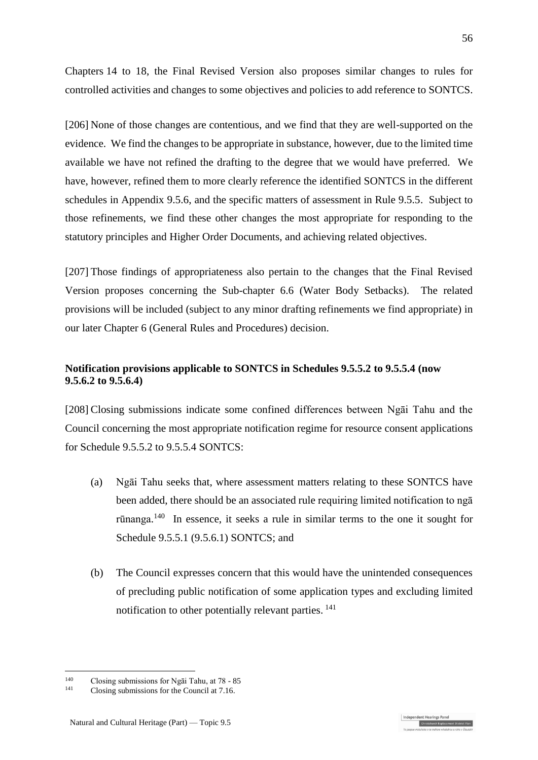Chapters 14 to 18, the Final Revised Version also proposes similar changes to rules for controlled activities and changes to some objectives and policies to add reference to SONTCS.

[206] None of those changes are contentious, and we find that they are well-supported on the evidence. We find the changes to be appropriate in substance, however, due to the limited time available we have not refined the drafting to the degree that we would have preferred. We have, however, refined them to more clearly reference the identified SONTCS in the different schedules in Appendix 9.5.6, and the specific matters of assessment in Rule 9.5.5. Subject to those refinements, we find these other changes the most appropriate for responding to the statutory principles and Higher Order Documents, and achieving related objectives.

[207] Those findings of appropriateness also pertain to the changes that the Final Revised Version proposes concerning the Sub-chapter 6.6 (Water Body Setbacks). The related provisions will be included (subject to any minor drafting refinements we find appropriate) in our later Chapter 6 (General Rules and Procedures) decision.

## **Notification provisions applicable to SONTCS in Schedules 9.5.5.2 to 9.5.5.4 (now 9.5.6.2 to 9.5.6.4)**

[208] Closing submissions indicate some confined differences between Ngāi Tahu and the Council concerning the most appropriate notification regime for resource consent applications for Schedule 9.5.5.2 to 9.5.5.4 SONTCS:

- (a) Ngāi Tahu seeks that, where assessment matters relating to these SONTCS have been added, there should be an associated rule requiring limited notification to ngā rūnanga.<sup>140</sup> In essence, it seeks a rule in similar terms to the one it sought for Schedule 9.5.5.1 (9.5.6.1) SONTCS; and
- (b) The Council expresses concern that this would have the unintended consequences of precluding public notification of some application types and excluding limited notification to other potentially relevant parties.<sup>141</sup>

<u>.</u>

<sup>&</sup>lt;sup>140</sup> Closing submissions for Ngai Tahu, at  $78 - 85$ <br><sup>141</sup> Closing submissions for the Council at  $7.16$ 

Closing submissions for the Council at 7.16.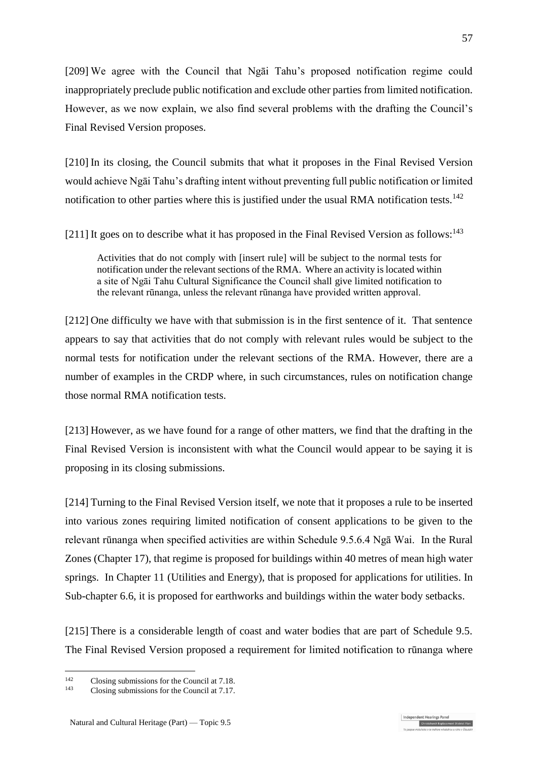[209] We agree with the Council that Ngāi Tahu's proposed notification regime could inappropriately preclude public notification and exclude other parties from limited notification. However, as we now explain, we also find several problems with the drafting the Council's Final Revised Version proposes.

[210] In its closing, the Council submits that what it proposes in the Final Revised Version would achieve Ngāi Tahu's drafting intent without preventing full public notification or limited notification to other parties where this is justified under the usual RMA notification tests.<sup>142</sup>

[211] It goes on to describe what it has proposed in the Final Revised Version as follows:<sup>143</sup>

Activities that do not comply with [insert rule] will be subject to the normal tests for notification under the relevant sections of the RMA. Where an activity is located within a site of Ngāi Tahu Cultural Significance the Council shall give limited notification to the relevant rūnanga, unless the relevant rūnanga have provided written approval.

[212] One difficulty we have with that submission is in the first sentence of it. That sentence appears to say that activities that do not comply with relevant rules would be subject to the normal tests for notification under the relevant sections of the RMA. However, there are a number of examples in the CRDP where, in such circumstances, rules on notification change those normal RMA notification tests.

[213] However, as we have found for a range of other matters, we find that the drafting in the Final Revised Version is inconsistent with what the Council would appear to be saying it is proposing in its closing submissions.

[214] Turning to the Final Revised Version itself, we note that it proposes a rule to be inserted into various zones requiring limited notification of consent applications to be given to the relevant rūnanga when specified activities are within Schedule 9.5.6.4 Ngā Wai. In the Rural Zones (Chapter 17), that regime is proposed for buildings within 40 metres of mean high water springs. In Chapter 11 (Utilities and Energy), that is proposed for applications for utilities. In Sub-chapter 6.6, it is proposed for earthworks and buildings within the water body setbacks.

[215] There is a considerable length of coast and water bodies that are part of Schedule 9.5. The Final Revised Version proposed a requirement for limited notification to rūnanga where

ndependent Hearings Pane

 $142$ <sup>142</sup> Closing submissions for the Council at 7.18.<br> $\frac{143}{2}$  Closing submissions for the Council at 7.17

Closing submissions for the Council at 7.17.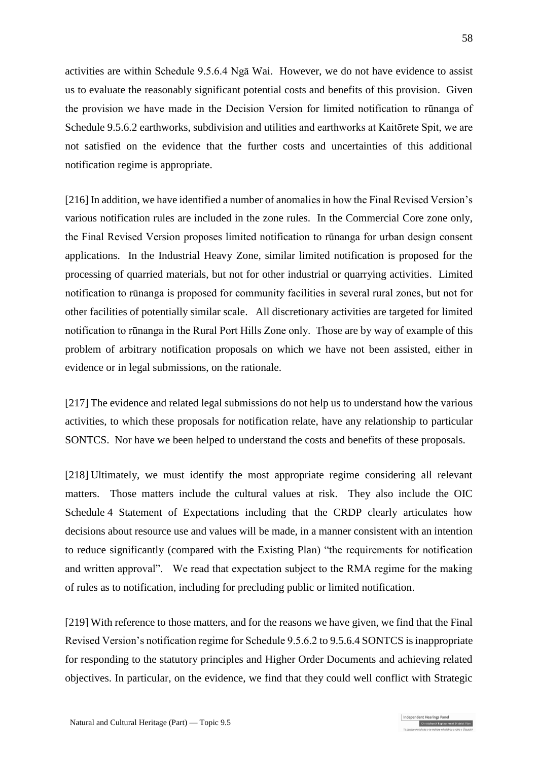activities are within Schedule 9.5.6.4 Ngā Wai. However, we do not have evidence to assist us to evaluate the reasonably significant potential costs and benefits of this provision. Given the provision we have made in the Decision Version for limited notification to rūnanga of Schedule 9.5.6.2 earthworks, subdivision and utilities and earthworks at Kaitōrete Spit, we are not satisfied on the evidence that the further costs and uncertainties of this additional notification regime is appropriate.

[216] In addition, we have identified a number of anomalies in how the Final Revised Version's various notification rules are included in the zone rules. In the Commercial Core zone only, the Final Revised Version proposes limited notification to rūnanga for urban design consent applications. In the Industrial Heavy Zone, similar limited notification is proposed for the processing of quarried materials, but not for other industrial or quarrying activities. Limited notification to rūnanga is proposed for community facilities in several rural zones, but not for other facilities of potentially similar scale. All discretionary activities are targeted for limited notification to rūnanga in the Rural Port Hills Zone only. Those are by way of example of this problem of arbitrary notification proposals on which we have not been assisted, either in evidence or in legal submissions, on the rationale.

[217] The evidence and related legal submissions do not help us to understand how the various activities, to which these proposals for notification relate, have any relationship to particular SONTCS. Nor have we been helped to understand the costs and benefits of these proposals.

[218] Ultimately, we must identify the most appropriate regime considering all relevant matters. Those matters include the cultural values at risk. They also include the OIC Schedule 4 Statement of Expectations including that the CRDP clearly articulates how decisions about resource use and values will be made, in a manner consistent with an intention to reduce significantly (compared with the Existing Plan) "the requirements for notification and written approval". We read that expectation subject to the RMA regime for the making of rules as to notification, including for precluding public or limited notification.

[219] With reference to those matters, and for the reasons we have given, we find that the Final Revised Version's notification regime for Schedule 9.5.6.2 to 9.5.6.4 SONTCS is inappropriate for responding to the statutory principles and Higher Order Documents and achieving related objectives. In particular, on the evidence, we find that they could well conflict with Strategic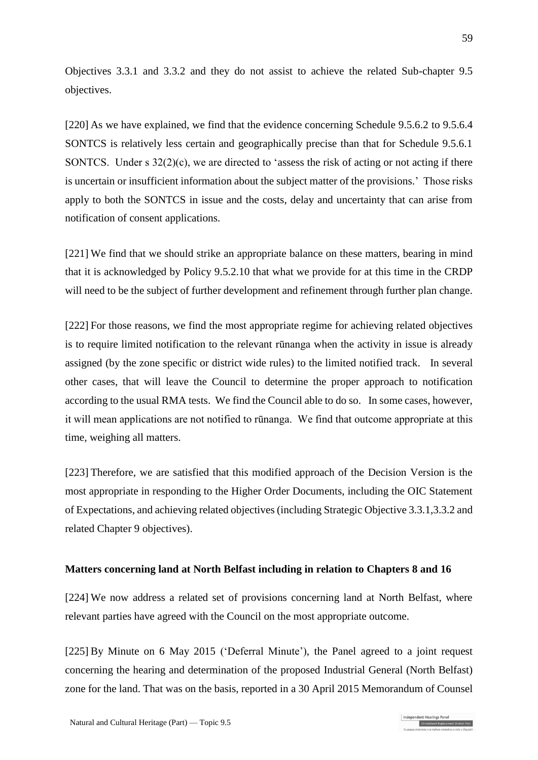Objectives 3.3.1 and 3.3.2 and they do not assist to achieve the related Sub-chapter 9.5 objectives.

[220] As we have explained, we find that the evidence concerning Schedule 9.5.6.2 to 9.5.6.4 SONTCS is relatively less certain and geographically precise than that for Schedule 9.5.6.1 SONTCS. Under s 32(2)(c), we are directed to 'assess the risk of acting or not acting if there is uncertain or insufficient information about the subject matter of the provisions.' Those risks apply to both the SONTCS in issue and the costs, delay and uncertainty that can arise from notification of consent applications.

[221] We find that we should strike an appropriate balance on these matters, bearing in mind that it is acknowledged by Policy 9.5.2.10 that what we provide for at this time in the CRDP will need to be the subject of further development and refinement through further plan change.

[222] For those reasons, we find the most appropriate regime for achieving related objectives is to require limited notification to the relevant rūnanga when the activity in issue is already assigned (by the zone specific or district wide rules) to the limited notified track. In several other cases, that will leave the Council to determine the proper approach to notification according to the usual RMA tests. We find the Council able to do so. In some cases, however, it will mean applications are not notified to rūnanga. We find that outcome appropriate at this time, weighing all matters.

[223] Therefore, we are satisfied that this modified approach of the Decision Version is the most appropriate in responding to the Higher Order Documents, including the OIC Statement of Expectations, and achieving related objectives (including Strategic Objective 3.3.1,3.3.2 and related Chapter 9 objectives).

### **Matters concerning land at North Belfast including in relation to Chapters 8 and 16**

[224] We now address a related set of provisions concerning land at North Belfast, where relevant parties have agreed with the Council on the most appropriate outcome.

[225] By Minute on 6 May 2015 ('Deferral Minute'), the Panel agreed to a joint request concerning the hearing and determination of the proposed Industrial General (North Belfast) zone for the land. That was on the basis, reported in a 30 April 2015 Memorandum of Counsel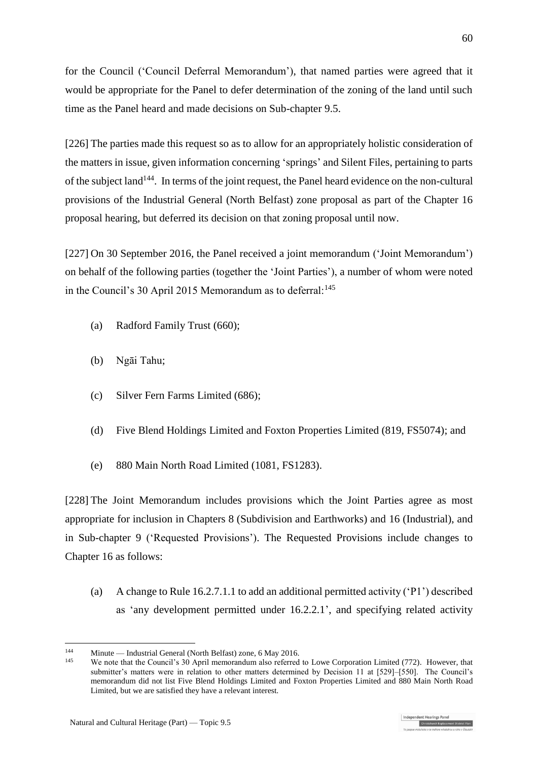for the Council ('Council Deferral Memorandum'), that named parties were agreed that it would be appropriate for the Panel to defer determination of the zoning of the land until such time as the Panel heard and made decisions on Sub-chapter 9.5.

[226] The parties made this request so as to allow for an appropriately holistic consideration of the matters in issue, given information concerning 'springs' and Silent Files, pertaining to parts of the subject land<sup>144</sup>. In terms of the joint request, the Panel heard evidence on the non-cultural provisions of the Industrial General (North Belfast) zone proposal as part of the Chapter 16 proposal hearing, but deferred its decision on that zoning proposal until now.

[227] On 30 September 2016, the Panel received a joint memorandum ('Joint Memorandum') on behalf of the following parties (together the 'Joint Parties'), a number of whom were noted in the Council's 30 April 2015 Memorandum as to deferral:  $145$ 

- (a) Radford Family Trust (660);
- (b) Ngāi Tahu;
- (c) Silver Fern Farms Limited (686);
- (d) Five Blend Holdings Limited and Foxton Properties Limited (819, FS5074); and
- (e) 880 Main North Road Limited (1081, FS1283).

[228] The Joint Memorandum includes provisions which the Joint Parties agree as most appropriate for inclusion in Chapters 8 (Subdivision and Earthworks) and 16 (Industrial), and in Sub-chapter 9 ('Requested Provisions'). The Requested Provisions include changes to Chapter 16 as follows:

(a) A change to Rule 16.2.7.1.1 to add an additional permitted activity ('P1') described as 'any development permitted under 16.2.2.1', and specifying related activity

<sup>&</sup>lt;sup>144</sup> Minute — Industrial General (North Belfast) zone, 6 May 2016.<br><sup>145</sup> We note that the Council's 20 April mamps adjust also referred

We note that the Council's 30 April memorandum also referred to Lowe Corporation Limited (772). However, that submitter's matters were in relation to other matters determined by Decision 11 at [529]–[550]. The Council's memorandum did not list Five Blend Holdings Limited and Foxton Properties Limited and 880 Main North Road Limited, but we are satisfied they have a relevant interest.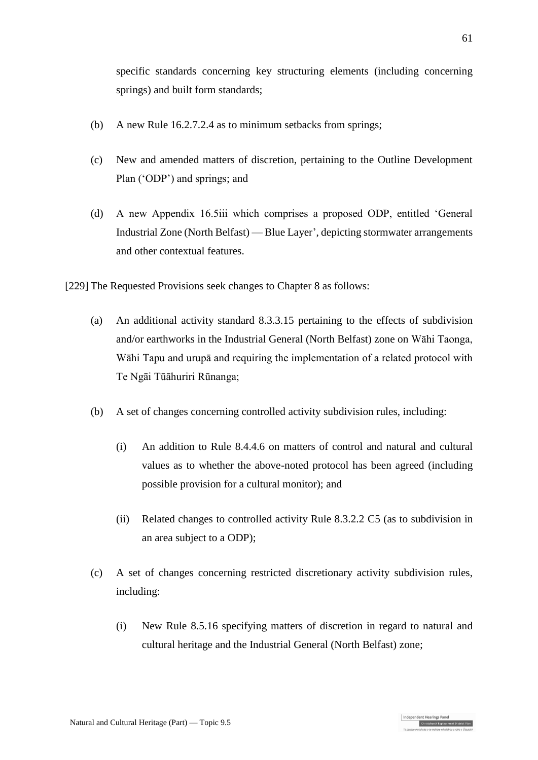specific standards concerning key structuring elements (including concerning springs) and built form standards;

- (b) A new Rule 16.2.7.2.4 as to minimum setbacks from springs;
- (c) New and amended matters of discretion, pertaining to the Outline Development Plan ('ODP') and springs; and
- (d) A new Appendix 16.5iii which comprises a proposed ODP, entitled 'General Industrial Zone (North Belfast) — Blue Layer', depicting stormwater arrangements and other contextual features.

[229] The Requested Provisions seek changes to Chapter 8 as follows:

- (a) An additional activity standard 8.3.3.15 pertaining to the effects of subdivision and/or earthworks in the Industrial General (North Belfast) zone on Wāhi Taonga, Wāhi Tapu and urupā and requiring the implementation of a related protocol with Te Ngāi Tūāhuriri Rūnanga;
- (b) A set of changes concerning controlled activity subdivision rules, including:
	- (i) An addition to Rule 8.4.4.6 on matters of control and natural and cultural values as to whether the above-noted protocol has been agreed (including possible provision for a cultural monitor); and
	- (ii) Related changes to controlled activity Rule 8.3.2.2 C5 (as to subdivision in an area subject to a ODP);
- (c) A set of changes concerning restricted discretionary activity subdivision rules, including:
	- (i) New Rule 8.5.16 specifying matters of discretion in regard to natural and cultural heritage and the Industrial General (North Belfast) zone;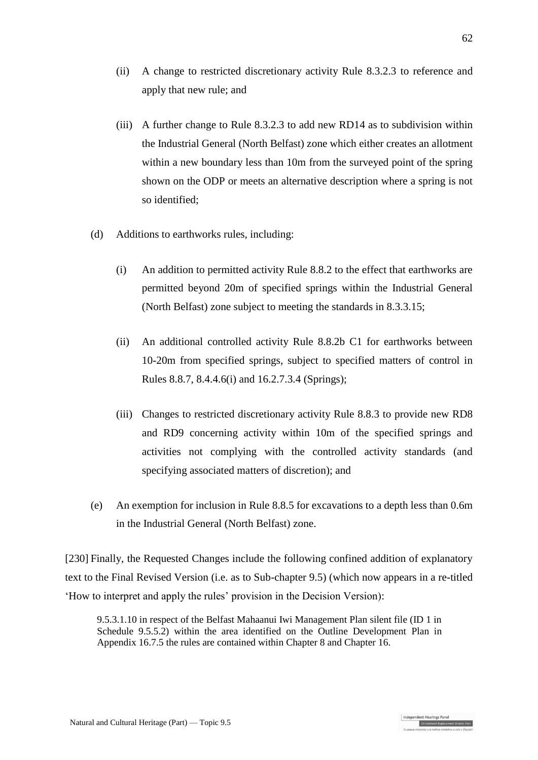- (ii) A change to restricted discretionary activity Rule 8.3.2.3 to reference and apply that new rule; and
- (iii) A further change to Rule 8.3.2.3 to add new RD14 as to subdivision within the Industrial General (North Belfast) zone which either creates an allotment within a new boundary less than 10m from the surveyed point of the spring shown on the ODP or meets an alternative description where a spring is not so identified;
- (d) Additions to earthworks rules, including:
	- (i) An addition to permitted activity Rule 8.8.2 to the effect that earthworks are permitted beyond 20m of specified springs within the Industrial General (North Belfast) zone subject to meeting the standards in 8.3.3.15;
	- (ii) An additional controlled activity Rule 8.8.2b C1 for earthworks between 10-20m from specified springs, subject to specified matters of control in Rules 8.8.7, 8.4.4.6(i) and 16.2.7.3.4 (Springs);
	- (iii) Changes to restricted discretionary activity Rule 8.8.3 to provide new RD8 and RD9 concerning activity within 10m of the specified springs and activities not complying with the controlled activity standards (and specifying associated matters of discretion); and
- (e) An exemption for inclusion in Rule 8.8.5 for excavations to a depth less than 0.6m in the Industrial General (North Belfast) zone.

[230] Finally, the Requested Changes include the following confined addition of explanatory text to the Final Revised Version (i.e. as to Sub-chapter 9.5) (which now appears in a re-titled 'How to interpret and apply the rules' provision in the Decision Version):

9.5.3.1.10 in respect of the Belfast Mahaanui Iwi Management Plan silent file (ID 1 in Schedule 9.5.5.2) within the area identified on the Outline Development Plan in Appendix 16.7.5 the rules are contained within Chapter 8 and Chapter 16.

Christchurch Replacement Dis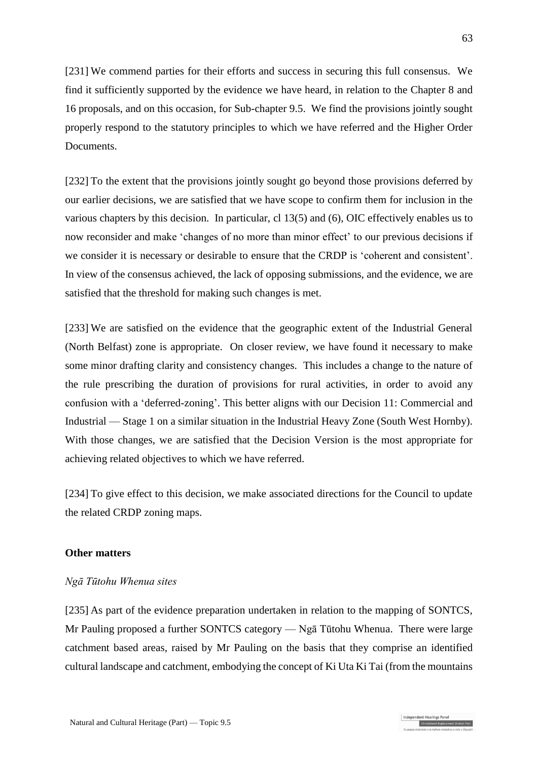[231] We commend parties for their efforts and success in securing this full consensus. We find it sufficiently supported by the evidence we have heard, in relation to the Chapter 8 and 16 proposals, and on this occasion, for Sub-chapter 9.5. We find the provisions jointly sought properly respond to the statutory principles to which we have referred and the Higher Order Documents.

[232] To the extent that the provisions jointly sought go beyond those provisions deferred by our earlier decisions, we are satisfied that we have scope to confirm them for inclusion in the various chapters by this decision. In particular, cl 13(5) and (6), OIC effectively enables us to now reconsider and make 'changes of no more than minor effect' to our previous decisions if we consider it is necessary or desirable to ensure that the CRDP is 'coherent and consistent'. In view of the consensus achieved, the lack of opposing submissions, and the evidence, we are satisfied that the threshold for making such changes is met.

[233] We are satisfied on the evidence that the geographic extent of the Industrial General (North Belfast) zone is appropriate. On closer review, we have found it necessary to make some minor drafting clarity and consistency changes. This includes a change to the nature of the rule prescribing the duration of provisions for rural activities, in order to avoid any confusion with a 'deferred-zoning'. This better aligns with our Decision 11: Commercial and Industrial — Stage 1 on a similar situation in the Industrial Heavy Zone (South West Hornby). With those changes, we are satisfied that the Decision Version is the most appropriate for achieving related objectives to which we have referred.

[234] To give effect to this decision, we make associated directions for the Council to update the related CRDP zoning maps.

#### **Other matters**

### *Ngā Tūtohu Whenua sites*

[235] As part of the evidence preparation undertaken in relation to the mapping of SONTCS, Mr Pauling proposed a further SONTCS category — Ngā Tūtohu Whenua. There were large catchment based areas, raised by Mr Pauling on the basis that they comprise an identified cultural landscape and catchment, embodying the concept of Ki Uta Ki Tai (from the mountains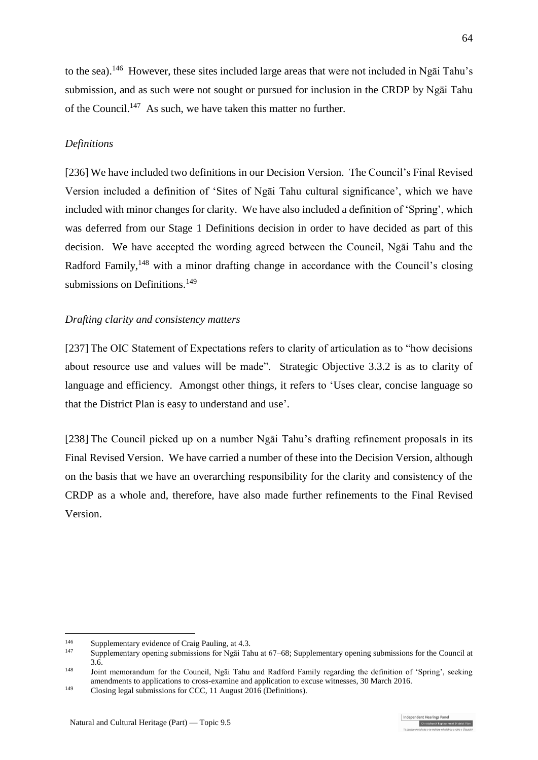to the sea).<sup>146</sup> However, these sites included large areas that were not included in Ngai Tahu's submission, and as such were not sought or pursued for inclusion in the CRDP by Ngāi Tahu of the Council.<sup>147</sup> As such, we have taken this matter no further.

## *Definitions*

[236] We have included two definitions in our Decision Version. The Council's Final Revised Version included a definition of 'Sites of Ngāi Tahu cultural significance', which we have included with minor changes for clarity. We have also included a definition of 'Spring', which was deferred from our Stage 1 Definitions decision in order to have decided as part of this decision. We have accepted the wording agreed between the Council, Ngāi Tahu and the Radford Family,<sup>148</sup> with a minor drafting change in accordance with the Council's closing submissions on Definitions.<sup>149</sup>

## *Drafting clarity and consistency matters*

[237] The OIC Statement of Expectations refers to clarity of articulation as to "how decisions about resource use and values will be made". Strategic Objective 3.3.2 is as to clarity of language and efficiency. Amongst other things, it refers to 'Uses clear, concise language so that the District Plan is easy to understand and use'.

[238] The Council picked up on a number Ngāi Tahu's drafting refinement proposals in its Final Revised Version. We have carried a number of these into the Decision Version, although on the basis that we have an overarching responsibility for the clarity and consistency of the CRDP as a whole and, therefore, have also made further refinements to the Final Revised Version.

<sup>&</sup>lt;sup>146</sup> Supplementary evidence of Craig Pauling, at 4.3.<br><sup>147</sup> Supplementary engines submissions for Nezi Tal

<sup>147</sup> Supplementary opening submissions for Ngāi Tahu at 67–68; Supplementary opening submissions for the Council at 3.6.

<sup>&</sup>lt;sup>148</sup> Joint memorandum for the Council, Ngāi Tahu and Radford Family regarding the definition of 'Spring', seeking amendments to applications to cross-examine and application to excuse witnesses, 30 March 2016.

<sup>149</sup> Closing legal submissions for CCC, 11 August 2016 (Definitions).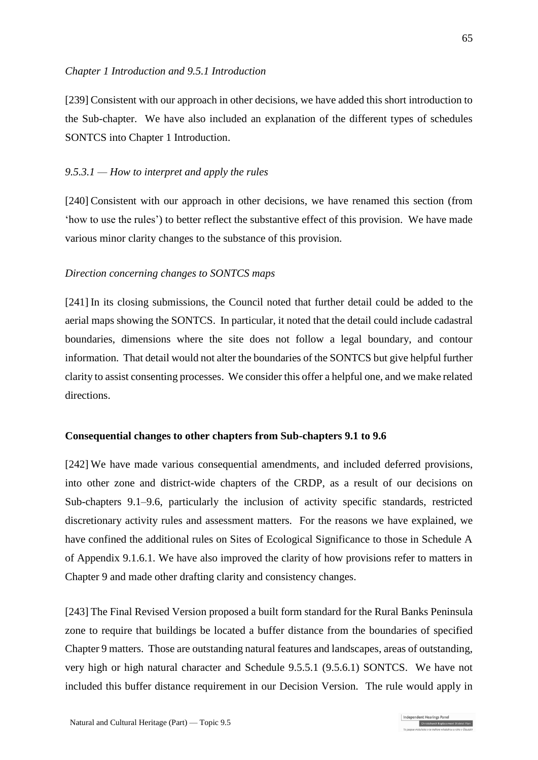[239] Consistent with our approach in other decisions, we have added this short introduction to the Sub-chapter. We have also included an explanation of the different types of schedules SONTCS into Chapter 1 Introduction.

## *9.5.3.1 — How to interpret and apply the rules*

[240] Consistent with our approach in other decisions, we have renamed this section (from 'how to use the rules') to better reflect the substantive effect of this provision. We have made various minor clarity changes to the substance of this provision.

### *Direction concerning changes to SONTCS maps*

[241] In its closing submissions, the Council noted that further detail could be added to the aerial maps showing the SONTCS. In particular, it noted that the detail could include cadastral boundaries, dimensions where the site does not follow a legal boundary, and contour information. That detail would not alter the boundaries of the SONTCS but give helpful further clarity to assist consenting processes. We consider this offer a helpful one, and we make related directions.

### **Consequential changes to other chapters from Sub-chapters 9.1 to 9.6**

[242] We have made various consequential amendments, and included deferred provisions, into other zone and district-wide chapters of the CRDP, as a result of our decisions on Sub-chapters 9.1–9.6, particularly the inclusion of activity specific standards, restricted discretionary activity rules and assessment matters. For the reasons we have explained, we have confined the additional rules on Sites of Ecological Significance to those in Schedule A of Appendix 9.1.6.1. We have also improved the clarity of how provisions refer to matters in Chapter 9 and made other drafting clarity and consistency changes.

[243] The Final Revised Version proposed a built form standard for the Rural Banks Peninsula zone to require that buildings be located a buffer distance from the boundaries of specified Chapter 9 matters. Those are outstanding natural features and landscapes, areas of outstanding, very high or high natural character and Schedule 9.5.5.1 (9.5.6.1) SONTCS. We have not included this buffer distance requirement in our Decision Version. The rule would apply in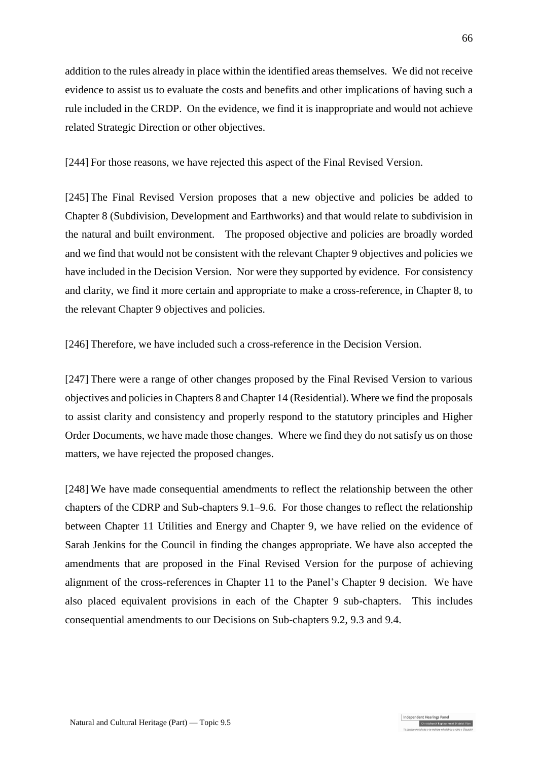addition to the rules already in place within the identified areas themselves. We did not receive evidence to assist us to evaluate the costs and benefits and other implications of having such a rule included in the CRDP. On the evidence, we find it is inappropriate and would not achieve related Strategic Direction or other objectives.

[244] For those reasons, we have rejected this aspect of the Final Revised Version.

[245] The Final Revised Version proposes that a new objective and policies be added to Chapter 8 (Subdivision, Development and Earthworks) and that would relate to subdivision in the natural and built environment. The proposed objective and policies are broadly worded and we find that would not be consistent with the relevant Chapter 9 objectives and policies we have included in the Decision Version. Nor were they supported by evidence. For consistency and clarity, we find it more certain and appropriate to make a cross-reference, in Chapter 8, to the relevant Chapter 9 objectives and policies.

[246] Therefore, we have included such a cross-reference in the Decision Version.

[247] There were a range of other changes proposed by the Final Revised Version to various objectives and policies in Chapters 8 and Chapter 14 (Residential). Where we find the proposals to assist clarity and consistency and properly respond to the statutory principles and Higher Order Documents, we have made those changes. Where we find they do not satisfy us on those matters, we have rejected the proposed changes.

[248] We have made consequential amendments to reflect the relationship between the other chapters of the CDRP and Sub-chapters 9.1–9.6. For those changes to reflect the relationship between Chapter 11 Utilities and Energy and Chapter 9, we have relied on the evidence of Sarah Jenkins for the Council in finding the changes appropriate. We have also accepted the amendments that are proposed in the Final Revised Version for the purpose of achieving alignment of the cross-references in Chapter 11 to the Panel's Chapter 9 decision. We have also placed equivalent provisions in each of the Chapter 9 sub-chapters. This includes consequential amendments to our Decisions on Sub-chapters 9.2, 9.3 and 9.4.

Christchurch Replacement Dist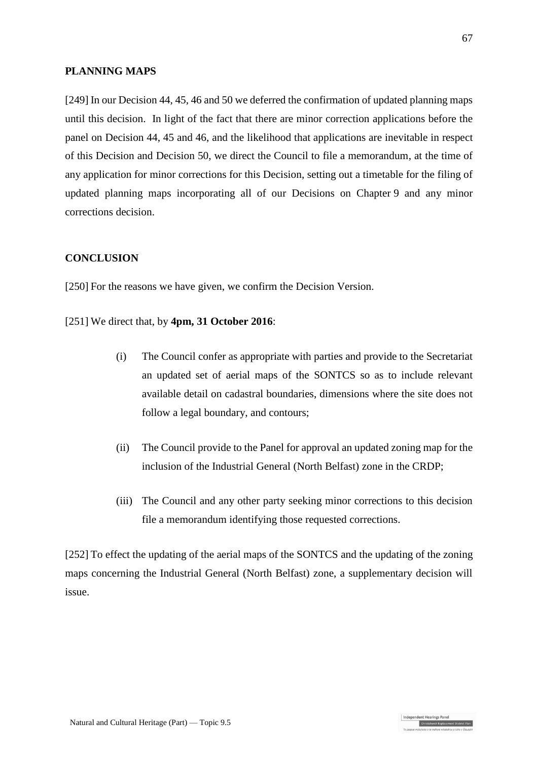### **PLANNING MAPS**

[249] In our Decision 44, 45, 46 and 50 we deferred the confirmation of updated planning maps until this decision. In light of the fact that there are minor correction applications before the panel on Decision 44, 45 and 46, and the likelihood that applications are inevitable in respect of this Decision and Decision 50, we direct the Council to file a memorandum, at the time of any application for minor corrections for this Decision, setting out a timetable for the filing of updated planning maps incorporating all of our Decisions on Chapter 9 and any minor corrections decision.

### **CONCLUSION**

[250] For the reasons we have given, we confirm the Decision Version.

[251] We direct that, by **4pm, 31 October 2016**:

- (i) The Council confer as appropriate with parties and provide to the Secretariat an updated set of aerial maps of the SONTCS so as to include relevant available detail on cadastral boundaries, dimensions where the site does not follow a legal boundary, and contours;
- (ii) The Council provide to the Panel for approval an updated zoning map for the inclusion of the Industrial General (North Belfast) zone in the CRDP;
- (iii) The Council and any other party seeking minor corrections to this decision file a memorandum identifying those requested corrections.

[252] To effect the updating of the aerial maps of the SONTCS and the updating of the zoning maps concerning the Industrial General (North Belfast) zone, a supplementary decision will issue.

Christchurch Replacement Dis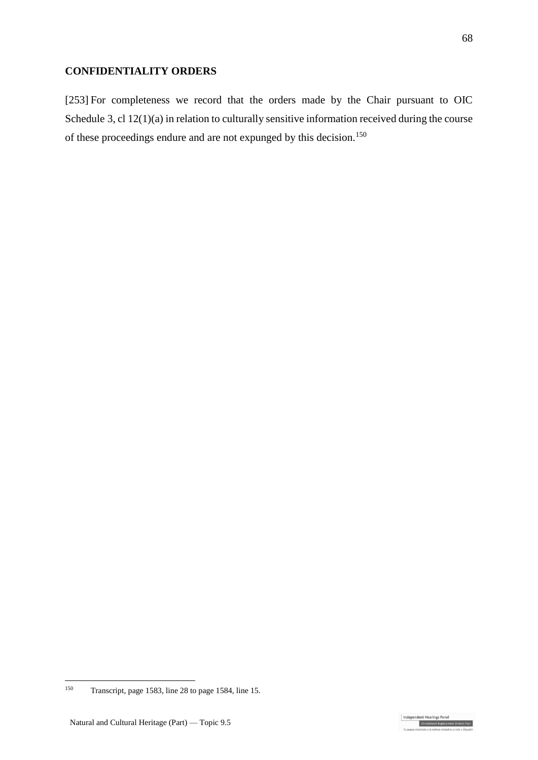### **CONFIDENTIALITY ORDERS**

[253] For completeness we record that the orders made by the Chair pursuant to OIC Schedule 3, cl 12(1)(a) in relation to culturally sensitive information received during the course of these proceedings endure and are not expunged by this decision.<sup>150</sup>

Independent Hearings Pane Christchurch Replacement Di

<sup>150</sup> Transcript, page 1583, line 28 to page 1584, line 15.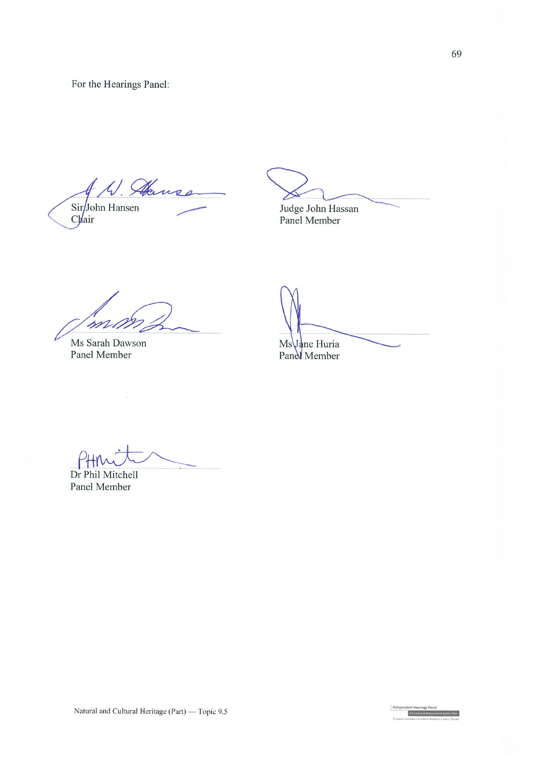For the Hearings Panel:

W. Hanss Sir<br>John Hansen<br>Chair

Judge John Hassan

Panel Member

mu

Ms Sarah Dawson Panel Member

 $\overline{C}$ 

Ms Jane Huria<br>Panel Member

Dr Phil Mitchell

Panel Member